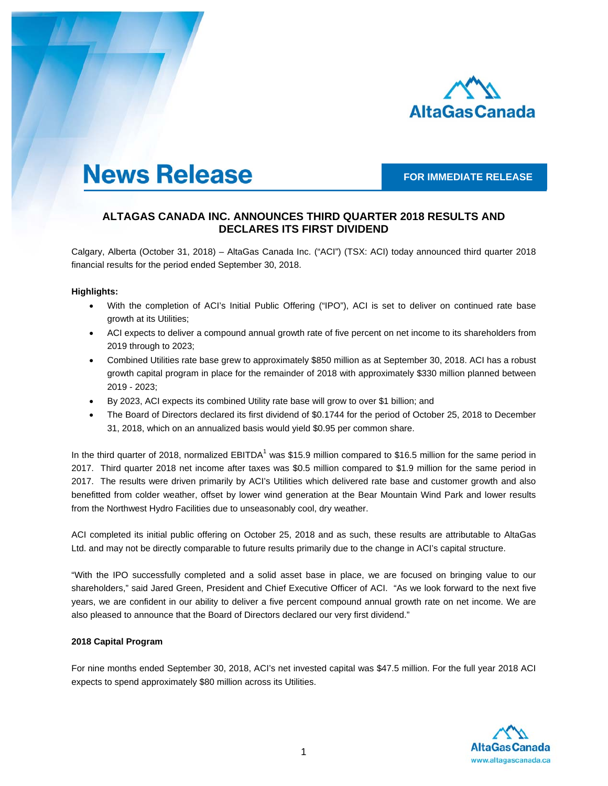

# **News Release**

**FOR IMMEDIATE RELEASE** 

## **ALTAGAS CANADA INC. ANNOUNCES THIRD QUARTER 2018 RESULTS AND DECLARES ITS FIRST DIVIDEND**

Calgary, Alberta (October 31, 2018) – AltaGas Canada Inc. ("ACI") (TSX: ACI) today announced third quarter 2018 financial results for the period ended September 30, 2018.

## **Highlights:**

- With the completion of ACI's Initial Public Offering ("IPO"), ACI is set to deliver on continued rate base growth at its Utilities;
- ACI expects to deliver a compound annual growth rate of five percent on net income to its shareholders from 2019 through to 2023;
- Combined Utilities rate base grew to approximately \$850 million as at September 30, 2018. ACI has a robust growth capital program in place for the remainder of 2018 with approximately \$330 million planned between 2019 - 2023;
- By 2023, ACI expects its combined Utility rate base will grow to over \$1 billion; and
- The Board of Directors declared its first dividend of \$0.1744 for the period of October 25, 2018 to December 31, 2018, which on an annualized basis would yield \$0.95 per common share.

In the third quarter of 2018, normalized EBITDA<sup>1</sup> was \$15.9 million compared to \$16.5 million for the same period in 2017. Third quarter 2018 net income after taxes was \$0.5 million compared to \$1.9 million for the same period in 2017. The results were driven primarily by ACI's Utilities which delivered rate base and customer growth and also benefitted from colder weather, offset by lower wind generation at the Bear Mountain Wind Park and lower results from the Northwest Hydro Facilities due to unseasonably cool, dry weather.

ACI completed its initial public offering on October 25, 2018 and as such, these results are attributable to AltaGas Ltd. and may not be directly comparable to future results primarily due to the change in ACI's capital structure.

"With the IPO successfully completed and a solid asset base in place, we are focused on bringing value to our shareholders," said Jared Green, President and Chief Executive Officer of ACI. "As we look forward to the next five years, we are confident in our ability to deliver a five percent compound annual growth rate on net income. We are also pleased to announce that the Board of Directors declared our very first dividend."

## **2018 Capital Program**

For nine months ended September 30, 2018, ACI's net invested capital was \$47.5 million. For the full year 2018 ACI expects to spend approximately \$80 million across its Utilities.

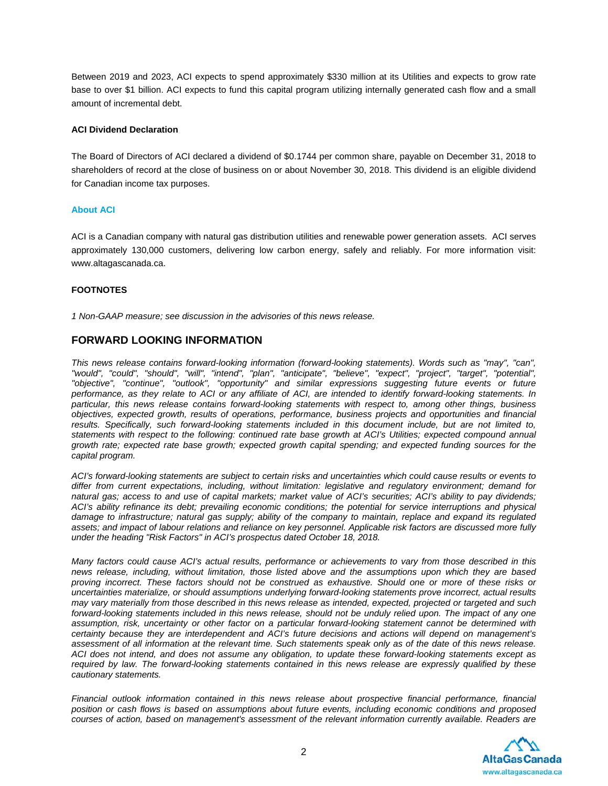Between 2019 and 2023, ACI expects to spend approximately \$330 million at its Utilities and expects to grow rate base to over \$1 billion. ACI expects to fund this capital program utilizing internally generated cash flow and a small amount of incremental debt.

#### **ACI Dividend Declaration**

The Board of Directors of ACI declared a dividend of \$0.1744 per common share, payable on December 31, 2018 to shareholders of record at the close of business on or about November 30, 2018. This dividend is an eligible dividend for Canadian income tax purposes.

#### **About ACI**

ACI is a Canadian company with natural gas distribution utilities and renewable power generation assets. ACI serves approximately 130,000 customers, delivering low carbon energy, safely and reliably. For more information visit: www.altagascanada.ca.

## **FOOTNOTES**

*1 Non-GAAP measure; see discussion in the advisories of this news release.*

## **FORWARD LOOKING INFORMATION**

*This news release contains forward-looking information (forward-looking statements). Words such as "may", "can", "would", "could", "should", "will", "intend", "plan", "anticipate", "believe", "expect", "project", "target", "potential", "objective", "continue", "outlook", "opportunity" and similar expressions suggesting future events or future*  performance, as they relate to ACI or any affiliate of ACI, are intended to identify forward-looking statements. In *particular, this news release contains forward-looking statements with respect to, among other things, business objectives, expected growth, results of operations, performance, business projects and opportunities and financial*  results. Specifically, such forward-looking statements included in this document include, but are not limited to, *statements with respect to the following: continued rate base growth at ACI's Utilities; expected compound annual growth rate; expected rate base growth; expected growth capital spending; and expected funding sources for the capital program.* 

*ACI's forward-looking statements are subject to certain risks and uncertainties which could cause results or events to differ from current expectations, including, without limitation: legislative and regulatory environment; demand for natural gas; access to and use of capital markets; market value of ACI's securities; ACI's ability to pay dividends; ACI's ability refinance its debt; prevailing economic conditions; the potential for service interruptions and physical damage to infrastructure; natural gas supply; ability of the company to maintain, replace and expand its regulated assets; and impact of labour relations and reliance on key personnel. Applicable risk factors are discussed more fully under the heading "Risk Factors" in ACI's prospectus dated October 18, 2018.* 

*Many factors could cause ACI's actual results, performance or achievements to vary from those described in this news release, including, without limitation, those listed above and the assumptions upon which they are based proving incorrect. These factors should not be construed as exhaustive. Should one or more of these risks or uncertainties materialize, or should assumptions underlying forward-looking statements prove incorrect, actual results may vary materially from those described in this news release as intended, expected, projected or targeted and such*  forward-looking statements included in this news release, should not be unduly relied upon. The impact of any one *assumption, risk, uncertainty or other factor on a particular forward-looking statement cannot be determined with certainty because they are interdependent and ACI's future decisions and actions will depend on management's assessment of all information at the relevant time. Such statements speak only as of the date of this news release. ACI does not intend, and does not assume any obligation, to update these forward-looking statements except as required by law. The forward-looking statements contained in this news release are expressly qualified by these cautionary statements.* 

*Financial outlook information contained in this news release about prospective financial performance, financial position or cash flows is based on assumptions about future events, including economic conditions and proposed courses of action, based on management's assessment of the relevant information currently available. Readers are* 

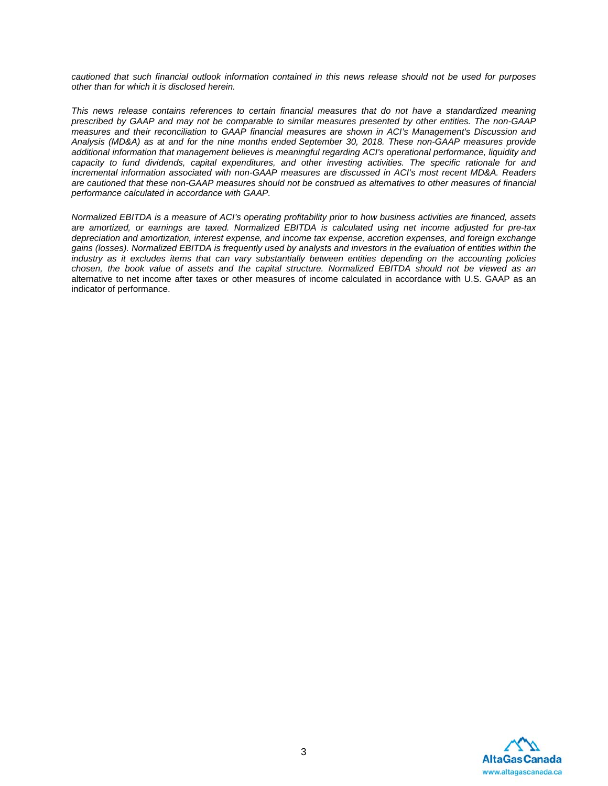*cautioned that such financial outlook information contained in this news release should not be used for purposes other than for which it is disclosed herein.* 

*This news release contains references to certain financial measures that do not have a standardized meaning prescribed by GAAP and may not be comparable to similar measures presented by other entities. The non-GAAP measures and their reconciliation to GAAP financial measures are shown in ACI's Management's Discussion and Analysis (MD&A) as at and for the nine months ended September 30, 2018. These non-GAAP measures provide additional information that management believes is meaningful regarding ACI's operational performance, liquidity and capacity to fund dividends, capital expenditures, and other investing activities. The specific rationale for and incremental information associated with non-GAAP measures are discussed in ACI's most recent MD&A. Readers are cautioned that these non-GAAP measures should not be construed as alternatives to other measures of financial performance calculated in accordance with GAAP.* 

*Normalized EBITDA is a measure of ACI's operating profitability prior to how business activities are financed, assets are amortized, or earnings are taxed. Normalized EBITDA is calculated using net income adjusted for pre-tax depreciation and amortization, interest expense, and income tax expense, accretion expenses, and foreign exchange gains (losses). Normalized EBITDA is frequently used by analysts and investors in the evaluation of entities within the industry as it excludes items that can vary substantially between entities depending on the accounting policies chosen, the book value of assets and the capital structure. Normalized EBITDA should not be viewed as an* alternative to net income after taxes or other measures of income calculated in accordance with U.S. GAAP as an indicator of performance.

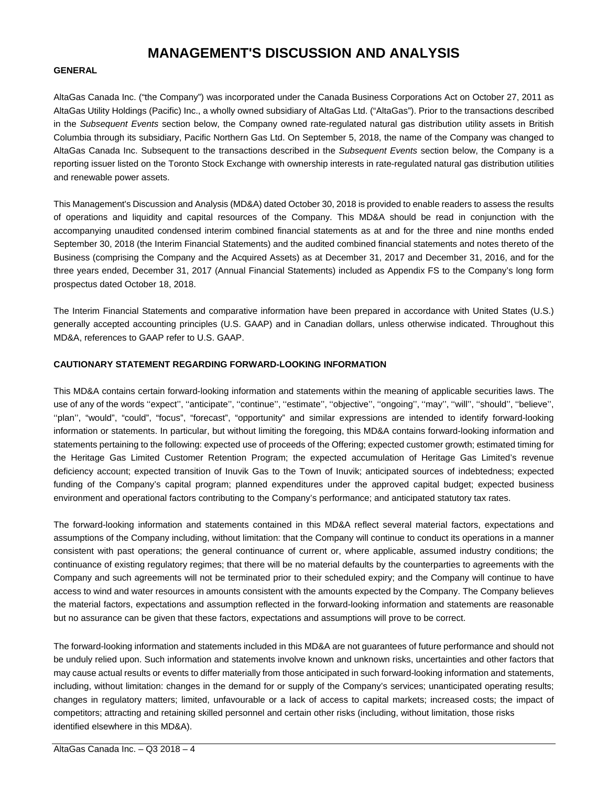## **MANAGEMENT'S DISCUSSION AND ANALYSIS**

#### **GENERAL**

AltaGas Canada Inc. ("the Company") was incorporated under the Canada Business Corporations Act on October 27, 2011 as AltaGas Utility Holdings (Pacific) Inc., a wholly owned subsidiary of AltaGas Ltd. ("AltaGas"). Prior to the transactions described in the *Subsequent Events* section below, the Company owned rate-regulated natural gas distribution utility assets in British Columbia through its subsidiary, Pacific Northern Gas Ltd. On September 5, 2018, the name of the Company was changed to AltaGas Canada Inc. Subsequent to the transactions described in the *Subsequent Events* section below, the Company is a reporting issuer listed on the Toronto Stock Exchange with ownership interests in rate-regulated natural gas distribution utilities and renewable power assets.

This Management's Discussion and Analysis (MD&A) dated October 30, 2018 is provided to enable readers to assess the results of operations and liquidity and capital resources of the Company. This MD&A should be read in conjunction with the accompanying unaudited condensed interim combined financial statements as at and for the three and nine months ended September 30, 2018 (the Interim Financial Statements) and the audited combined financial statements and notes thereto of the Business (comprising the Company and the Acquired Assets) as at December 31, 2017 and December 31, 2016, and for the three years ended, December 31, 2017 (Annual Financial Statements) included as Appendix FS to the Company's long form prospectus dated October 18, 2018.

The Interim Financial Statements and comparative information have been prepared in accordance with United States (U.S.) generally accepted accounting principles (U.S. GAAP) and in Canadian dollars, unless otherwise indicated. Throughout this MD&A, references to GAAP refer to U.S. GAAP.

#### **CAUTIONARY STATEMENT REGARDING FORWARD-LOOKING INFORMATION**

This MD&A contains certain forward-looking information and statements within the meaning of applicable securities laws. The use of any of the words "expect", "anticipate", "continue", "estimate", "objective", "ongoing", "may", "will", "should", "believe", ''plan'', "would", "could", "focus", "forecast", "opportunity" and similar expressions are intended to identify forward-looking information or statements. In particular, but without limiting the foregoing, this MD&A contains forward-looking information and statements pertaining to the following: expected use of proceeds of the Offering; expected customer growth; estimated timing for the Heritage Gas Limited Customer Retention Program; the expected accumulation of Heritage Gas Limited's revenue deficiency account; expected transition of Inuvik Gas to the Town of Inuvik; anticipated sources of indebtedness; expected funding of the Company's capital program; planned expenditures under the approved capital budget; expected business environment and operational factors contributing to the Company's performance; and anticipated statutory tax rates.

The forward-looking information and statements contained in this MD&A reflect several material factors, expectations and assumptions of the Company including, without limitation: that the Company will continue to conduct its operations in a manner consistent with past operations; the general continuance of current or, where applicable, assumed industry conditions; the continuance of existing regulatory regimes; that there will be no material defaults by the counterparties to agreements with the Company and such agreements will not be terminated prior to their scheduled expiry; and the Company will continue to have access to wind and water resources in amounts consistent with the amounts expected by the Company. The Company believes the material factors, expectations and assumption reflected in the forward-looking information and statements are reasonable but no assurance can be given that these factors, expectations and assumptions will prove to be correct.

The forward-looking information and statements included in this MD&A are not guarantees of future performance and should not be unduly relied upon. Such information and statements involve known and unknown risks, uncertainties and other factors that may cause actual results or events to differ materially from those anticipated in such forward-looking information and statements, including, without limitation: changes in the demand for or supply of the Company's services; unanticipated operating results; changes in regulatory matters; limited, unfavourable or a lack of access to capital markets; increased costs; the impact of competitors; attracting and retaining skilled personnel and certain other risks (including, without limitation, those risks identified elsewhere in this MD&A).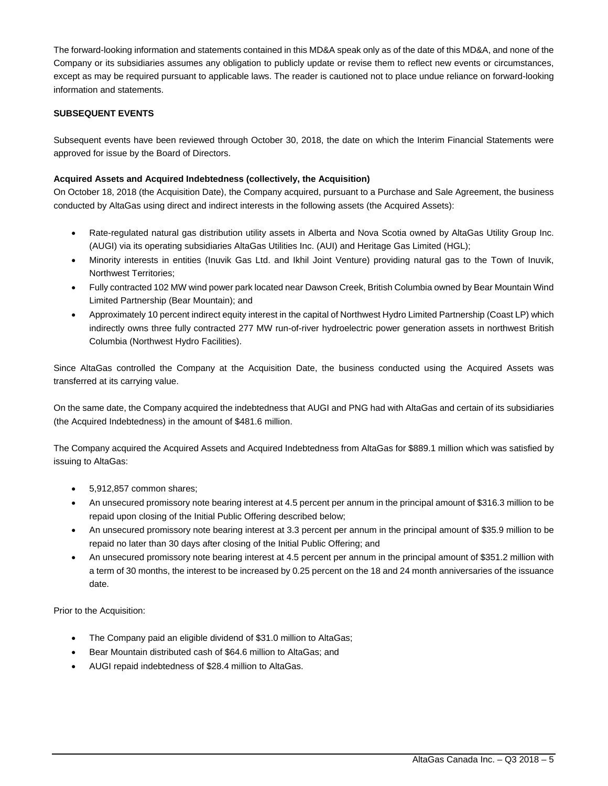The forward-looking information and statements contained in this MD&A speak only as of the date of this MD&A, and none of the Company or its subsidiaries assumes any obligation to publicly update or revise them to reflect new events or circumstances, except as may be required pursuant to applicable laws. The reader is cautioned not to place undue reliance on forward-looking information and statements.

## **SUBSEQUENT EVENTS**

Subsequent events have been reviewed through October 30, 2018, the date on which the Interim Financial Statements were approved for issue by the Board of Directors.

## **Acquired Assets and Acquired Indebtedness (collectively, the Acquisition)**

On October 18, 2018 (the Acquisition Date), the Company acquired, pursuant to a Purchase and Sale Agreement, the business conducted by AltaGas using direct and indirect interests in the following assets (the Acquired Assets):

- Rate-regulated natural gas distribution utility assets in Alberta and Nova Scotia owned by AltaGas Utility Group Inc. (AUGI) via its operating subsidiaries AltaGas Utilities Inc. (AUI) and Heritage Gas Limited (HGL);
- Minority interests in entities (Inuvik Gas Ltd. and Ikhil Joint Venture) providing natural gas to the Town of Inuvik, Northwest Territories;
- Fully contracted 102 MW wind power park located near Dawson Creek, British Columbia owned by Bear Mountain Wind Limited Partnership (Bear Mountain); and
- Approximately 10 percent indirect equity interest in the capital of Northwest Hydro Limited Partnership (Coast LP) which indirectly owns three fully contracted 277 MW run-of-river hydroelectric power generation assets in northwest British Columbia (Northwest Hydro Facilities).

Since AltaGas controlled the Company at the Acquisition Date, the business conducted using the Acquired Assets was transferred at its carrying value.

On the same date, the Company acquired the indebtedness that AUGI and PNG had with AltaGas and certain of its subsidiaries (the Acquired Indebtedness) in the amount of \$481.6 million.

The Company acquired the Acquired Assets and Acquired Indebtedness from AltaGas for \$889.1 million which was satisfied by issuing to AltaGas:

- 5,912,857 common shares;
- An unsecured promissory note bearing interest at 4.5 percent per annum in the principal amount of \$316.3 million to be repaid upon closing of the Initial Public Offering described below;
- An unsecured promissory note bearing interest at 3.3 percent per annum in the principal amount of \$35.9 million to be repaid no later than 30 days after closing of the Initial Public Offering; and
- An unsecured promissory note bearing interest at 4.5 percent per annum in the principal amount of \$351.2 million with a term of 30 months, the interest to be increased by 0.25 percent on the 18 and 24 month anniversaries of the issuance date.

Prior to the Acquisition:

- The Company paid an eligible dividend of \$31.0 million to AltaGas;
- Bear Mountain distributed cash of \$64.6 million to AltaGas; and
- AUGI repaid indebtedness of \$28.4 million to AltaGas.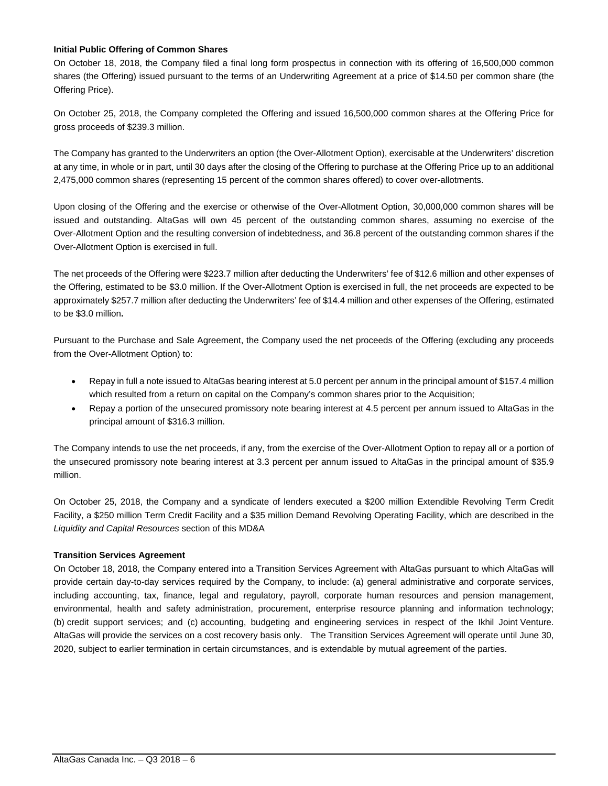## **Initial Public Offering of Common Shares**

On October 18, 2018, the Company filed a final long form prospectus in connection with its offering of 16,500,000 common shares (the Offering) issued pursuant to the terms of an Underwriting Agreement at a price of \$14.50 per common share (the Offering Price).

On October 25, 2018, the Company completed the Offering and issued 16,500,000 common shares at the Offering Price for gross proceeds of \$239.3 million.

The Company has granted to the Underwriters an option (the Over-Allotment Option), exercisable at the Underwriters' discretion at any time, in whole or in part, until 30 days after the closing of the Offering to purchase at the Offering Price up to an additional 2,475,000 common shares (representing 15 percent of the common shares offered) to cover over-allotments.

Upon closing of the Offering and the exercise or otherwise of the Over-Allotment Option, 30,000,000 common shares will be issued and outstanding. AltaGas will own 45 percent of the outstanding common shares, assuming no exercise of the Over-Allotment Option and the resulting conversion of indebtedness, and 36.8 percent of the outstanding common shares if the Over-Allotment Option is exercised in full.

The net proceeds of the Offering were \$223.7 million after deducting the Underwriters' fee of \$12.6 million and other expenses of the Offering, estimated to be \$3.0 million. If the Over-Allotment Option is exercised in full, the net proceeds are expected to be approximately \$257.7 million after deducting the Underwriters' fee of \$14.4 million and other expenses of the Offering, estimated to be \$3.0 million**.** 

Pursuant to the Purchase and Sale Agreement, the Company used the net proceeds of the Offering (excluding any proceeds from the Over-Allotment Option) to:

- Repay in full a note issued to AltaGas bearing interest at 5.0 percent per annum in the principal amount of \$157.4 million which resulted from a return on capital on the Company's common shares prior to the Acquisition;
- Repay a portion of the unsecured promissory note bearing interest at 4.5 percent per annum issued to AltaGas in the principal amount of \$316.3 million.

The Company intends to use the net proceeds, if any, from the exercise of the Over-Allotment Option to repay all or a portion of the unsecured promissory note bearing interest at 3.3 percent per annum issued to AltaGas in the principal amount of \$35.9 million.

On October 25, 2018, the Company and a syndicate of lenders executed a \$200 million Extendible Revolving Term Credit Facility, a \$250 million Term Credit Facility and a \$35 million Demand Revolving Operating Facility, which are described in the *Liquidity and Capital Resources* section of this MD&A

## **Transition Services Agreement**

On October 18, 2018, the Company entered into a Transition Services Agreement with AltaGas pursuant to which AltaGas will provide certain day-to-day services required by the Company, to include: (a) general administrative and corporate services, including accounting, tax, finance, legal and regulatory, payroll, corporate human resources and pension management, environmental, health and safety administration, procurement, enterprise resource planning and information technology; (b) credit support services; and (c) accounting, budgeting and engineering services in respect of the Ikhil Joint Venture. AltaGas will provide the services on a cost recovery basis only. The Transition Services Agreement will operate until June 30, 2020, subject to earlier termination in certain circumstances, and is extendable by mutual agreement of the parties.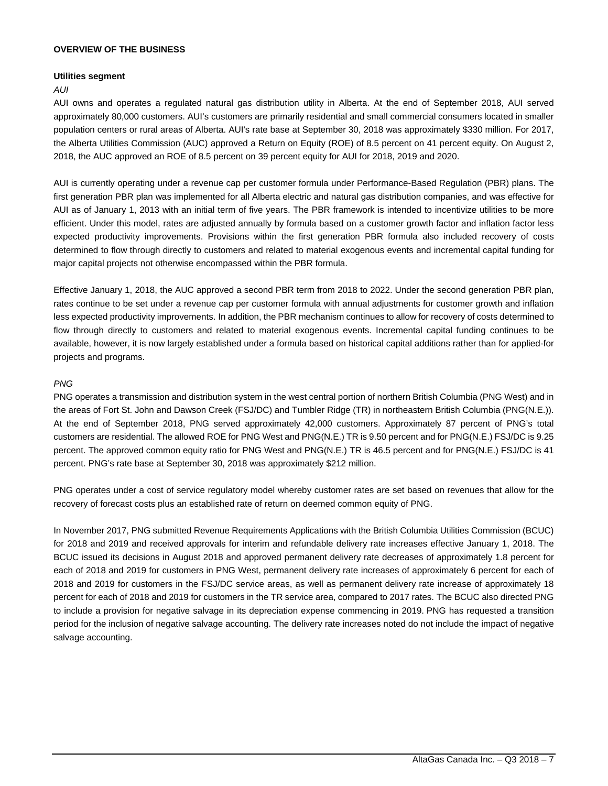#### **OVERVIEW OF THE BUSINESS**

#### **Utilities segment**

#### *AUI*

AUI owns and operates a regulated natural gas distribution utility in Alberta. At the end of September 2018, AUI served approximately 80,000 customers. AUI's customers are primarily residential and small commercial consumers located in smaller population centers or rural areas of Alberta. AUI's rate base at September 30, 2018 was approximately \$330 million. For 2017, the Alberta Utilities Commission (AUC) approved a Return on Equity (ROE) of 8.5 percent on 41 percent equity. On August 2, 2018, the AUC approved an ROE of 8.5 percent on 39 percent equity for AUI for 2018, 2019 and 2020.

AUI is currently operating under a revenue cap per customer formula under Performance-Based Regulation (PBR) plans. The first generation PBR plan was implemented for all Alberta electric and natural gas distribution companies, and was effective for AUI as of January 1, 2013 with an initial term of five years. The PBR framework is intended to incentivize utilities to be more efficient. Under this model, rates are adjusted annually by formula based on a customer growth factor and inflation factor less expected productivity improvements. Provisions within the first generation PBR formula also included recovery of costs determined to flow through directly to customers and related to material exogenous events and incremental capital funding for major capital projects not otherwise encompassed within the PBR formula.

Effective January 1, 2018, the AUC approved a second PBR term from 2018 to 2022. Under the second generation PBR plan, rates continue to be set under a revenue cap per customer formula with annual adjustments for customer growth and inflation less expected productivity improvements. In addition, the PBR mechanism continues to allow for recovery of costs determined to flow through directly to customers and related to material exogenous events. Incremental capital funding continues to be available, however, it is now largely established under a formula based on historical capital additions rather than for applied-for projects and programs.

#### *PNG*

PNG operates a transmission and distribution system in the west central portion of northern British Columbia (PNG West) and in the areas of Fort St. John and Dawson Creek (FSJ/DC) and Tumbler Ridge (TR) in northeastern British Columbia (PNG(N.E.)). At the end of September 2018, PNG served approximately 42,000 customers. Approximately 87 percent of PNG's total customers are residential. The allowed ROE for PNG West and PNG(N.E.) TR is 9.50 percent and for PNG(N.E.) FSJ/DC is 9.25 percent. The approved common equity ratio for PNG West and PNG(N.E.) TR is 46.5 percent and for PNG(N.E.) FSJ/DC is 41 percent. PNG's rate base at September 30, 2018 was approximately \$212 million.

PNG operates under a cost of service regulatory model whereby customer rates are set based on revenues that allow for the recovery of forecast costs plus an established rate of return on deemed common equity of PNG.

In November 2017, PNG submitted Revenue Requirements Applications with the British Columbia Utilities Commission (BCUC) for 2018 and 2019 and received approvals for interim and refundable delivery rate increases effective January 1, 2018. The BCUC issued its decisions in August 2018 and approved permanent delivery rate decreases of approximately 1.8 percent for each of 2018 and 2019 for customers in PNG West, permanent delivery rate increases of approximately 6 percent for each of 2018 and 2019 for customers in the FSJ/DC service areas, as well as permanent delivery rate increase of approximately 18 percent for each of 2018 and 2019 for customers in the TR service area, compared to 2017 rates. The BCUC also directed PNG to include a provision for negative salvage in its depreciation expense commencing in 2019. PNG has requested a transition period for the inclusion of negative salvage accounting. The delivery rate increases noted do not include the impact of negative salvage accounting.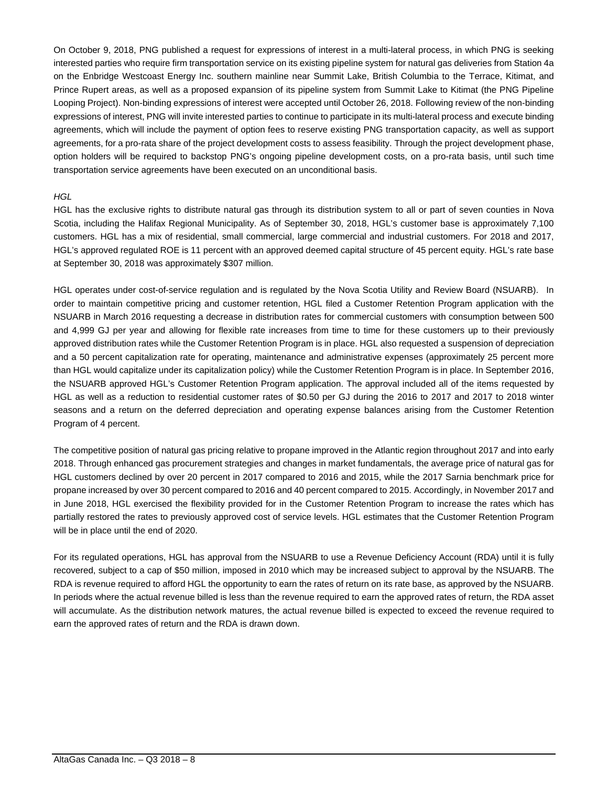On October 9, 2018, PNG published a request for expressions of interest in a multi-lateral process, in which PNG is seeking interested parties who require firm transportation service on its existing pipeline system for natural gas deliveries from Station 4a on the Enbridge Westcoast Energy Inc. southern mainline near Summit Lake, British Columbia to the Terrace, Kitimat, and Prince Rupert areas, as well as a proposed expansion of its pipeline system from Summit Lake to Kitimat (the PNG Pipeline Looping Project). Non-binding expressions of interest were accepted until October 26, 2018. Following review of the non-binding expressions of interest, PNG will invite interested parties to continue to participate in its multi-lateral process and execute binding agreements, which will include the payment of option fees to reserve existing PNG transportation capacity, as well as support agreements, for a pro-rata share of the project development costs to assess feasibility. Through the project development phase, option holders will be required to backstop PNG's ongoing pipeline development costs, on a pro-rata basis, until such time transportation service agreements have been executed on an unconditional basis.

## *HGL*

HGL has the exclusive rights to distribute natural gas through its distribution system to all or part of seven counties in Nova Scotia, including the Halifax Regional Municipality. As of September 30, 2018, HGL's customer base is approximately 7,100 customers. HGL has a mix of residential, small commercial, large commercial and industrial customers. For 2018 and 2017, HGL's approved regulated ROE is 11 percent with an approved deemed capital structure of 45 percent equity. HGL's rate base at September 30, 2018 was approximately \$307 million.

HGL operates under cost-of-service regulation and is regulated by the Nova Scotia Utility and Review Board (NSUARB). In order to maintain competitive pricing and customer retention, HGL filed a Customer Retention Program application with the NSUARB in March 2016 requesting a decrease in distribution rates for commercial customers with consumption between 500 and 4,999 GJ per year and allowing for flexible rate increases from time to time for these customers up to their previously approved distribution rates while the Customer Retention Program is in place. HGL also requested a suspension of depreciation and a 50 percent capitalization rate for operating, maintenance and administrative expenses (approximately 25 percent more than HGL would capitalize under its capitalization policy) while the Customer Retention Program is in place. In September 2016, the NSUARB approved HGL's Customer Retention Program application. The approval included all of the items requested by HGL as well as a reduction to residential customer rates of \$0.50 per GJ during the 2016 to 2017 and 2017 to 2018 winter seasons and a return on the deferred depreciation and operating expense balances arising from the Customer Retention Program of 4 percent.

The competitive position of natural gas pricing relative to propane improved in the Atlantic region throughout 2017 and into early 2018. Through enhanced gas procurement strategies and changes in market fundamentals, the average price of natural gas for HGL customers declined by over 20 percent in 2017 compared to 2016 and 2015, while the 2017 Sarnia benchmark price for propane increased by over 30 percent compared to 2016 and 40 percent compared to 2015. Accordingly, in November 2017 and in June 2018, HGL exercised the flexibility provided for in the Customer Retention Program to increase the rates which has partially restored the rates to previously approved cost of service levels. HGL estimates that the Customer Retention Program will be in place until the end of 2020.

For its regulated operations, HGL has approval from the NSUARB to use a Revenue Deficiency Account (RDA) until it is fully recovered, subject to a cap of \$50 million, imposed in 2010 which may be increased subject to approval by the NSUARB. The RDA is revenue required to afford HGL the opportunity to earn the rates of return on its rate base, as approved by the NSUARB. In periods where the actual revenue billed is less than the revenue required to earn the approved rates of return, the RDA asset will accumulate. As the distribution network matures, the actual revenue billed is expected to exceed the revenue required to earn the approved rates of return and the RDA is drawn down.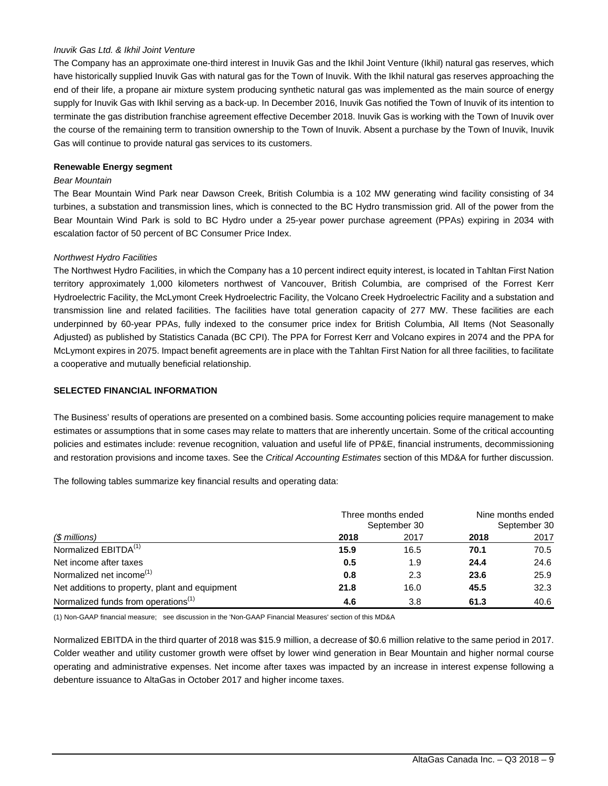#### *Inuvik Gas Ltd. & Ikhil Joint Venture*

The Company has an approximate one-third interest in Inuvik Gas and the Ikhil Joint Venture (Ikhil) natural gas reserves, which have historically supplied Inuvik Gas with natural gas for the Town of Inuvik. With the Ikhil natural gas reserves approaching the end of their life, a propane air mixture system producing synthetic natural gas was implemented as the main source of energy supply for Inuvik Gas with Ikhil serving as a back-up. In December 2016, Inuvik Gas notified the Town of Inuvik of its intention to terminate the gas distribution franchise agreement effective December 2018. Inuvik Gas is working with the Town of Inuvik over the course of the remaining term to transition ownership to the Town of Inuvik. Absent a purchase by the Town of Inuvik, Inuvik Gas will continue to provide natural gas services to its customers.

#### **Renewable Energy segment**

#### *Bear Mountain*

The Bear Mountain Wind Park near Dawson Creek, British Columbia is a 102 MW generating wind facility consisting of 34 turbines, a substation and transmission lines, which is connected to the BC Hydro transmission grid. All of the power from the Bear Mountain Wind Park is sold to BC Hydro under a 25-year power purchase agreement (PPAs) expiring in 2034 with escalation factor of 50 percent of BC Consumer Price Index.

#### *Northwest Hydro Facilities*

The Northwest Hydro Facilities, in which the Company has a 10 percent indirect equity interest, is located in Tahltan First Nation territory approximately 1,000 kilometers northwest of Vancouver, British Columbia, are comprised of the Forrest Kerr Hydroelectric Facility, the McLymont Creek Hydroelectric Facility, the Volcano Creek Hydroelectric Facility and a substation and transmission line and related facilities. The facilities have total generation capacity of 277 MW. These facilities are each underpinned by 60-year PPAs, fully indexed to the consumer price index for British Columbia, All Items (Not Seasonally Adjusted) as published by Statistics Canada (BC CPI). The PPA for Forrest Kerr and Volcano expires in 2074 and the PPA for McLymont expires in 2075. Impact benefit agreements are in place with the Tahltan First Nation for all three facilities, to facilitate a cooperative and mutually beneficial relationship.

#### **SELECTED FINANCIAL INFORMATION**

The Business' results of operations are presented on a combined basis. Some accounting policies require management to make estimates or assumptions that in some cases may relate to matters that are inherently uncertain. Some of the critical accounting policies and estimates include: revenue recognition, valuation and useful life of PP&E, financial instruments, decommissioning and restoration provisions and income taxes. See the *Critical Accounting Estimates* section of this MD&A for further discussion.

The following tables summarize key financial results and operating data:

|                                                 | Three months ended<br>September 30 | Nine months ended<br>September 30 |      |      |
|-------------------------------------------------|------------------------------------|-----------------------------------|------|------|
| (\$ millions)                                   | 2018                               | 2017                              | 2018 | 2017 |
| Normalized EBITDA <sup>(1)</sup>                | 15.9                               | 16.5                              | 70.1 | 70.5 |
| Net income after taxes                          | 0.5                                | 1.9                               | 24.4 | 24.6 |
| Normalized net income <sup>(1)</sup>            | 0.8                                | 2.3                               | 23.6 | 25.9 |
| Net additions to property, plant and equipment  | 21.8                               | 16.0                              | 45.5 | 32.3 |
| Normalized funds from operations <sup>(1)</sup> | 4.6                                | 3.8                               | 61.3 | 40.6 |

(1) Non-GAAP financial measure; see discussion in the 'Non-GAAP Financial Measures' section of this MD&A

Normalized EBITDA in the third quarter of 2018 was \$15.9 million, a decrease of \$0.6 million relative to the same period in 2017. Colder weather and utility customer growth were offset by lower wind generation in Bear Mountain and higher normal course operating and administrative expenses. Net income after taxes was impacted by an increase in interest expense following a debenture issuance to AltaGas in October 2017 and higher income taxes.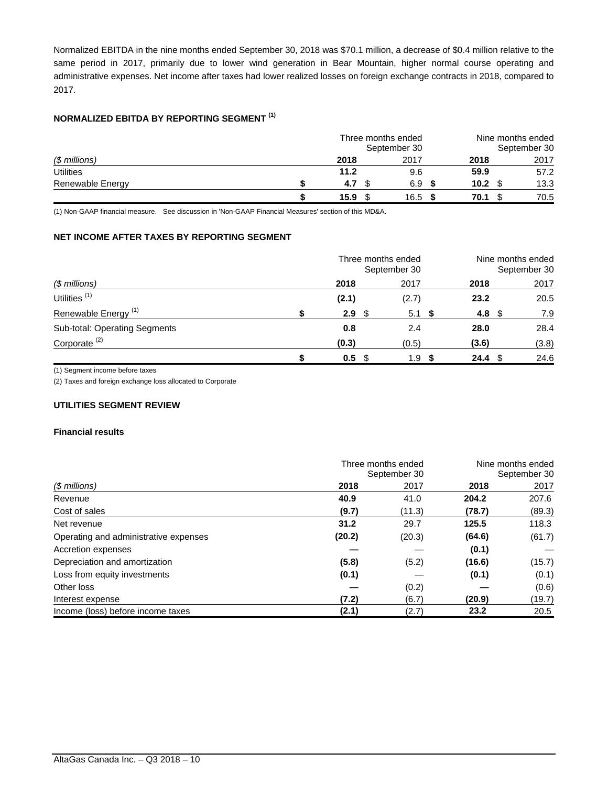Normalized EBITDA in the nine months ended September 30, 2018 was \$70.1 million, a decrease of \$0.4 million relative to the same period in 2017, primarily due to lower wind generation in Bear Mountain, higher normal course operating and administrative expenses. Net income after taxes had lower realized losses on foreign exchange contracts in 2018, compared to 2017.

## **NORMALIZED EBITDA BY REPORTING SEGMENT (1)**

|                  | Three months ended<br>September 30 |  |      | Nine months ended<br>September 30 |                   |  |      |
|------------------|------------------------------------|--|------|-----------------------------------|-------------------|--|------|
| (\$ millions)    | 2018                               |  | 2017 |                                   | 2018              |  | 2017 |
| <b>Utilities</b> | 11.2                               |  | 9.6  |                                   | 59.9              |  | 57.2 |
| Renewable Energy | 4.7                                |  | 6.9  |                                   | 10.2 <sub>1</sub> |  | 13.3 |
|                  | 15.9                               |  | 16.5 |                                   | 70.1              |  | 70.5 |

(1) Non-GAAP financial measure. See discussion in 'Non-GAAP Financial Measures' section of this MD&A.

## **NET INCOME AFTER TAXES BY REPORTING SEGMENT**

|                                 | Three months ended<br>September 30 |  |       | Nine months ended<br>September 30 |                   |  |       |
|---------------------------------|------------------------------------|--|-------|-----------------------------------|-------------------|--|-------|
| (\$ millions)                   | 2018                               |  | 2017  |                                   | 2018              |  | 2017  |
| Utilities <sup>(1)</sup>        | (2.1)                              |  | (2.7) |                                   | 23.2              |  | 20.5  |
| Renewable Energy <sup>(1)</sup> | 2.9 <sup>°</sup>                   |  | 5.1 S |                                   | 4.8 $$$           |  | 7.9   |
| Sub-total: Operating Segments   | 0.8                                |  | 2.4   |                                   | 28.0              |  | 28.4  |
| Corporate $(2)$                 | (0.3)                              |  | (0.5) |                                   | (3.6)             |  | (3.8) |
|                                 | 0.5 <sup>5</sup>                   |  | 1.9   | - 55                              | 24.4 <sup>°</sup> |  | 24.6  |

(1) Segment income before taxes

(2) Taxes and foreign exchange loss allocated to Corporate

## **UTILITIES SEGMENT REVIEW**

#### **Financial results**

|                                       | Three months ended | Nine months ended |              |        |  |
|---------------------------------------|--------------------|-------------------|--------------|--------|--|
|                                       | September 30       |                   | September 30 |        |  |
| $$$ millions)                         | 2018               | 2017              | 2018         | 2017   |  |
| Revenue                               | 40.9               | 41.0              | 204.2        | 207.6  |  |
| Cost of sales                         | (9.7)              | (11.3)            | (78.7)       | (89.3) |  |
| Net revenue                           | 31.2               | 29.7              | 125.5        | 118.3  |  |
| Operating and administrative expenses | (20.2)             | (20.3)            | (64.6)       | (61.7) |  |
| Accretion expenses                    |                    |                   | (0.1)        |        |  |
| Depreciation and amortization         | (5.8)              | (5.2)             | (16.6)       | (15.7) |  |
| Loss from equity investments          | (0.1)              |                   | (0.1)        | (0.1)  |  |
| Other loss                            |                    | (0.2)             |              | (0.6)  |  |
| Interest expense                      | (7.2)              | (6.7)             | (20.9)       | (19.7) |  |
| Income (loss) before income taxes     | (2.1)              | (2.7)             | 23.2         | 20.5   |  |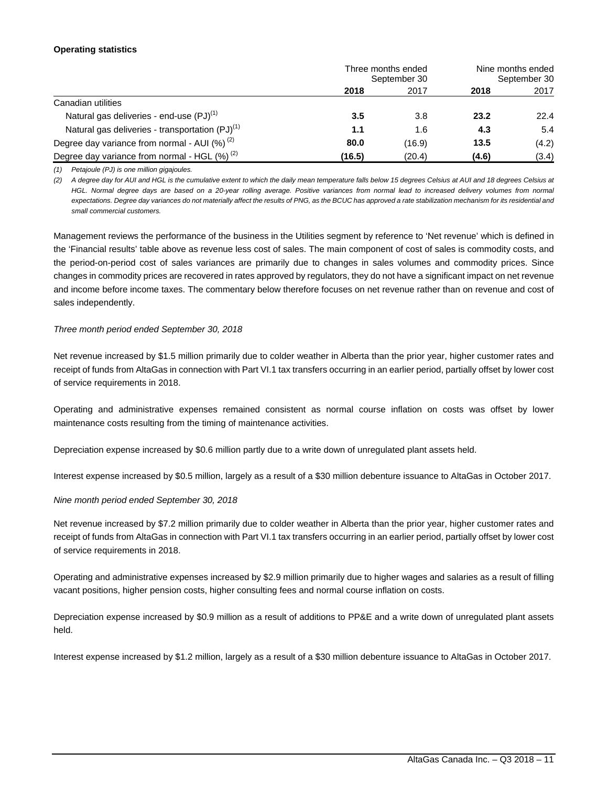#### **Operating statistics**

|                                                      | Three months ended<br>September 30 |        | Nine months ended<br>September 30 |       |
|------------------------------------------------------|------------------------------------|--------|-----------------------------------|-------|
|                                                      | 2018                               | 2017   | 2018                              | 2017  |
| Canadian utilities                                   |                                    |        |                                   |       |
| Natural gas deliveries - end-use $(PJ)^{(1)}$        | 3.5                                | 3.8    | 23.2                              | 22.4  |
| Natural gas deliveries - transportation $(PJ)^{(1)}$ | 1.1                                | 1.6    | 4.3                               | 5.4   |
| Degree day variance from normal - AUI $(%)^{(2)}$    | 80.0                               | (16.9) | 13.5                              | (4.2) |
| Degree day variance from normal - HGL $(\%)^{(2)}$   | (16.5)                             | (20.4) | (4.6)                             | (3.4) |

*(1) Petajoule (PJ) is one million gigajoules.*

*(2) A degree day for AUI and HGL is the cumulative extent to which the daily mean temperature falls below 15 degrees Celsius at AUI and 18 degrees Celsius at HGL. Normal degree days are based on a 20-year rolling average. Positive variances from normal lead to increased delivery volumes from normal expectations. Degree day variances do not materially affect the results of PNG, as the BCUC has approved a rate stabilization mechanism for its residential and small commercial customers.*

Management reviews the performance of the business in the Utilities segment by reference to 'Net revenue' which is defined in the 'Financial results' table above as revenue less cost of sales. The main component of cost of sales is commodity costs, and the period-on-period cost of sales variances are primarily due to changes in sales volumes and commodity prices. Since changes in commodity prices are recovered in rates approved by regulators, they do not have a significant impact on net revenue and income before income taxes. The commentary below therefore focuses on net revenue rather than on revenue and cost of sales independently.

#### *Three month period ended September 30, 2018*

Net revenue increased by \$1.5 million primarily due to colder weather in Alberta than the prior year, higher customer rates and receipt of funds from AltaGas in connection with Part VI.1 tax transfers occurring in an earlier period, partially offset by lower cost of service requirements in 2018.

Operating and administrative expenses remained consistent as normal course inflation on costs was offset by lower maintenance costs resulting from the timing of maintenance activities.

Depreciation expense increased by \$0.6 million partly due to a write down of unregulated plant assets held.

Interest expense increased by \$0.5 million, largely as a result of a \$30 million debenture issuance to AltaGas in October 2017.

#### *Nine month period ended September 30, 2018*

Net revenue increased by \$7.2 million primarily due to colder weather in Alberta than the prior year, higher customer rates and receipt of funds from AltaGas in connection with Part VI.1 tax transfers occurring in an earlier period, partially offset by lower cost of service requirements in 2018.

Operating and administrative expenses increased by \$2.9 million primarily due to higher wages and salaries as a result of filling vacant positions, higher pension costs, higher consulting fees and normal course inflation on costs.

Depreciation expense increased by \$0.9 million as a result of additions to PP&E and a write down of unregulated plant assets held.

Interest expense increased by \$1.2 million, largely as a result of a \$30 million debenture issuance to AltaGas in October 2017.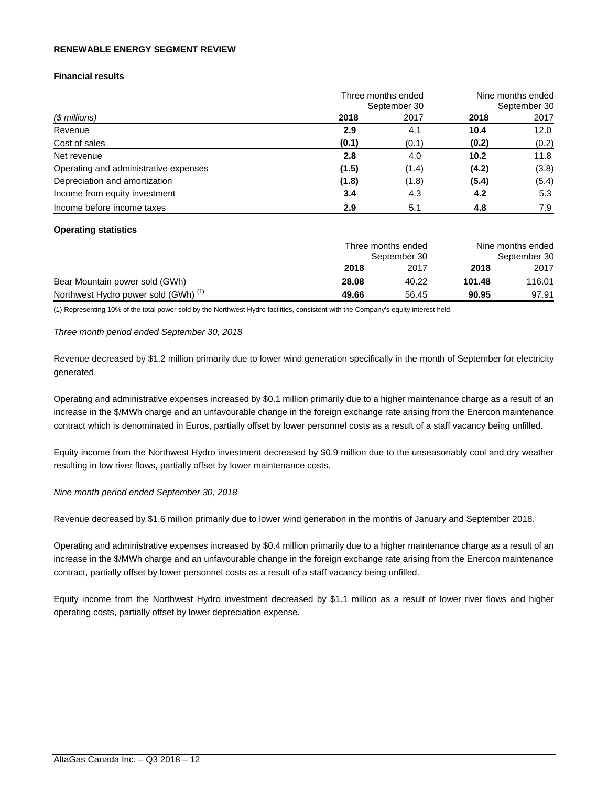#### **RENEWABLE ENERGY SEGMENT REVIEW**

## **Financial results**

| (\$ millions)                         | Three months ended<br>September 30 | Nine months ended<br>September 30 |       |       |
|---------------------------------------|------------------------------------|-----------------------------------|-------|-------|
|                                       | 2018                               | 2017                              | 2018  | 2017  |
| Revenue                               | 2.9                                | 4.1                               | 10.4  | 12.0  |
| Cost of sales                         | (0.1)                              | (0.1)                             | (0.2) | (0.2) |
| Net revenue                           | 2.8                                | 4.0                               | 10.2  | 11.8  |
| Operating and administrative expenses | (1.5)                              | (1.4)                             | (4.2) | (3.8) |
| Depreciation and amortization         | (1.8)                              | (1.8)                             | (5.4) | (5.4) |
| Income from equity investment         | 3.4                                | 4.3                               | 4.2   | 5.3   |
| Income before income taxes            | 2.9                                | 5.1                               | 4.8   | 7.9   |

#### **Operating statistics**

|                                                 | Three months ended<br>September 30 |       | Nine months ended<br>September 30 |        |  |
|-------------------------------------------------|------------------------------------|-------|-----------------------------------|--------|--|
|                                                 | 2018                               | 2017  | 2018                              | 2017   |  |
| Bear Mountain power sold (GWh)                  | 28.08                              | 40.22 | 101.48                            | 116.01 |  |
| Northwest Hydro power sold (GWh) <sup>(1)</sup> | 49.66                              | 56.45 | 90.95                             | 97.91  |  |

(1) Representing 10% of the total power sold by the Northwest Hydro facilities, consistent with the Company's equity interest held.

*Three month period ended September 30, 2018* 

Revenue decreased by \$1.2 million primarily due to lower wind generation specifically in the month of September for electricity generated.

Operating and administrative expenses increased by \$0.1 million primarily due to a higher maintenance charge as a result of an increase in the \$/MWh charge and an unfavourable change in the foreign exchange rate arising from the Enercon maintenance contract which is denominated in Euros, partially offset by lower personnel costs as a result of a staff vacancy being unfilled.

Equity income from the Northwest Hydro investment decreased by \$0.9 million due to the unseasonably cool and dry weather resulting in low river flows, partially offset by lower maintenance costs.

#### *Nine month period ended September 30, 2018*

Revenue decreased by \$1.6 million primarily due to lower wind generation in the months of January and September 2018.

Operating and administrative expenses increased by \$0.4 million primarily due to a higher maintenance charge as a result of an increase in the \$/MWh charge and an unfavourable change in the foreign exchange rate arising from the Enercon maintenance contract, partially offset by lower personnel costs as a result of a staff vacancy being unfilled.

Equity income from the Northwest Hydro investment decreased by \$1.1 million as a result of lower river flows and higher operating costs, partially offset by lower depreciation expense.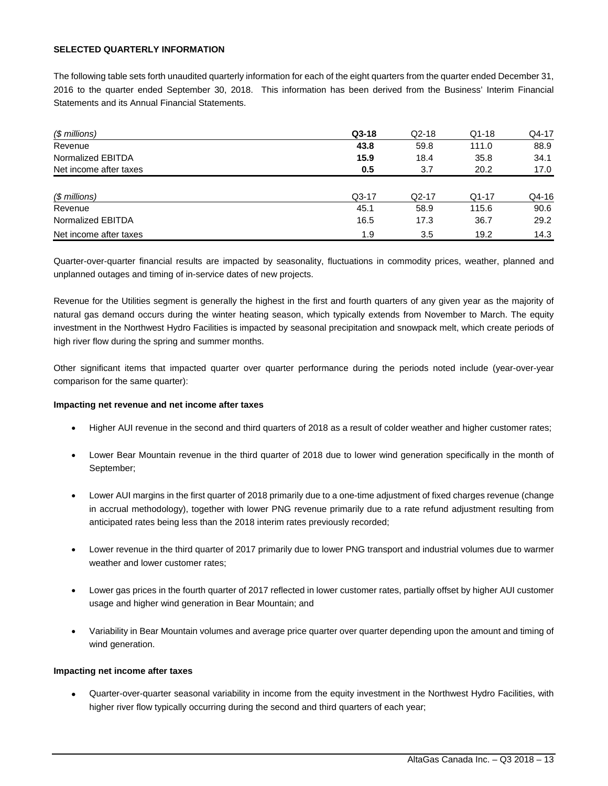#### **SELECTED QUARTERLY INFORMATION**

The following table sets forth unaudited quarterly information for each of the eight quarters from the quarter ended December 31, 2016 to the quarter ended September 30, 2018. This information has been derived from the Business' Interim Financial Statements and its Annual Financial Statements.

| (\$ millions)          | $Q3-18$ | $Q2-18$ | $Q1-18$ | Q4-17 |
|------------------------|---------|---------|---------|-------|
| Revenue                | 43.8    | 59.8    | 111.0   | 88.9  |
| Normalized EBITDA      | 15.9    | 18.4    | 35.8    | 34.1  |
| Net income after taxes | 0.5     | 3.7     | 20.2    | 17.0  |
|                        |         |         |         |       |
| $$$ millions)          | $Q3-17$ | $Q2-17$ | $Q1-17$ | Q4-16 |
| Revenue                | 45.1    | 58.9    | 115.6   | 90.6  |
| Normalized EBITDA      | 16.5    | 17.3    | 36.7    | 29.2  |
| Net income after taxes | 1.9     | 3.5     | 19.2    | 14.3  |

Quarter-over-quarter financial results are impacted by seasonality, fluctuations in commodity prices, weather, planned and unplanned outages and timing of in-service dates of new projects.

Revenue for the Utilities segment is generally the highest in the first and fourth quarters of any given year as the majority of natural gas demand occurs during the winter heating season, which typically extends from November to March. The equity investment in the Northwest Hydro Facilities is impacted by seasonal precipitation and snowpack melt, which create periods of high river flow during the spring and summer months.

Other significant items that impacted quarter over quarter performance during the periods noted include (year-over-year comparison for the same quarter):

#### **Impacting net revenue and net income after taxes**

- Higher AUI revenue in the second and third quarters of 2018 as a result of colder weather and higher customer rates;
- Lower Bear Mountain revenue in the third quarter of 2018 due to lower wind generation specifically in the month of September;
- Lower AUI margins in the first quarter of 2018 primarily due to a one-time adjustment of fixed charges revenue (change in accrual methodology), together with lower PNG revenue primarily due to a rate refund adjustment resulting from anticipated rates being less than the 2018 interim rates previously recorded;
- Lower revenue in the third quarter of 2017 primarily due to lower PNG transport and industrial volumes due to warmer weather and lower customer rates;
- Lower gas prices in the fourth quarter of 2017 reflected in lower customer rates, partially offset by higher AUI customer usage and higher wind generation in Bear Mountain; and
- Variability in Bear Mountain volumes and average price quarter over quarter depending upon the amount and timing of wind generation.

#### **Impacting net income after taxes**

 Quarter-over-quarter seasonal variability in income from the equity investment in the Northwest Hydro Facilities, with higher river flow typically occurring during the second and third quarters of each year;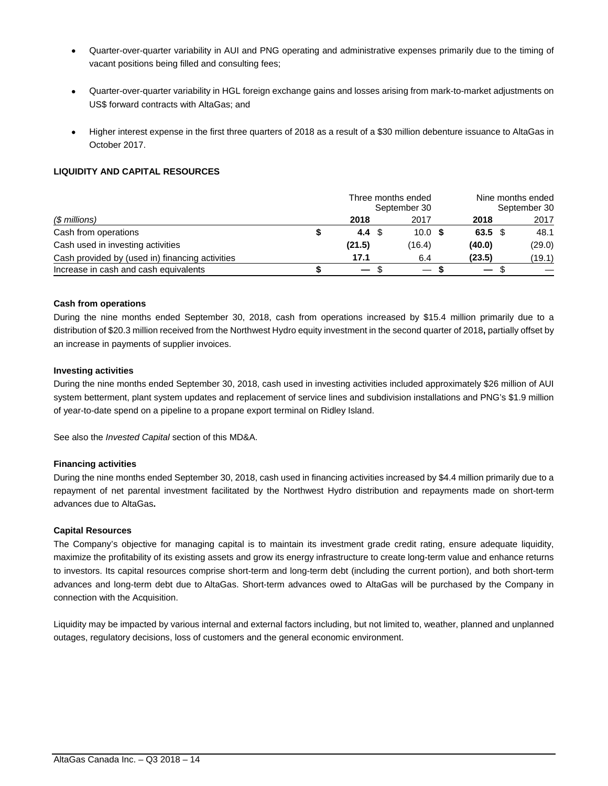- Quarter-over-quarter variability in AUI and PNG operating and administrative expenses primarily due to the timing of vacant positions being filled and consulting fees;
- Quarter-over-quarter variability in HGL foreign exchange gains and losses arising from mark-to-market adjustments on US\$ forward contracts with AltaGas; and
- Higher interest expense in the first three quarters of 2018 as a result of a \$30 million debenture issuance to AltaGas in October 2017.

## **LIQUIDITY AND CAPITAL RESOURCES**

| (\$ millions)                                   | Three months ended<br>September 30 |     |        |  |                          | Nine months ended<br>September 30 |        |  |  |
|-------------------------------------------------|------------------------------------|-----|--------|--|--------------------------|-----------------------------------|--------|--|--|
|                                                 | 2018                               |     | 2017   |  | 2018                     |                                   | 2017   |  |  |
| Cash from operations                            | 4.4 $\sqrt{3}$                     |     | 10.0 S |  | $63.5 \text{ } $$        |                                   | 48.1   |  |  |
| Cash used in investing activities               | (21.5)                             |     | (16.4) |  | (40.0)                   |                                   | (29.0) |  |  |
| Cash provided by (used in) financing activities | 17.1                               |     | 6.4    |  | (23.5)                   |                                   | (19.1) |  |  |
| Increase in cash and cash equivalents           | $\overline{\phantom{m}}$           | -86 |        |  | $\overline{\phantom{0}}$ |                                   |        |  |  |

## **Cash from operations**

During the nine months ended September 30, 2018, cash from operations increased by \$15.4 million primarily due to a distribution of \$20.3 million received from the Northwest Hydro equity investment in the second quarter of 2018**,** partially offset by an increase in payments of supplier invoices.

#### **Investing activities**

During the nine months ended September 30, 2018, cash used in investing activities included approximately \$26 million of AUI system betterment, plant system updates and replacement of service lines and subdivision installations and PNG's \$1.9 million of year-to-date spend on a pipeline to a propane export terminal on Ridley Island.

See also the *Invested Capital* section of this MD&A.

## **Financing activities**

During the nine months ended September 30, 2018, cash used in financing activities increased by \$4.4 million primarily due to a repayment of net parental investment facilitated by the Northwest Hydro distribution and repayments made on short-term advances due to AltaGas**.** 

#### **Capital Resources**

The Company's objective for managing capital is to maintain its investment grade credit rating, ensure adequate liquidity, maximize the profitability of its existing assets and grow its energy infrastructure to create long-term value and enhance returns to investors. Its capital resources comprise short-term and long-term debt (including the current portion), and both short-term advances and long-term debt due to AltaGas. Short-term advances owed to AltaGas will be purchased by the Company in connection with the Acquisition.

Liquidity may be impacted by various internal and external factors including, but not limited to, weather, planned and unplanned outages, regulatory decisions, loss of customers and the general economic environment.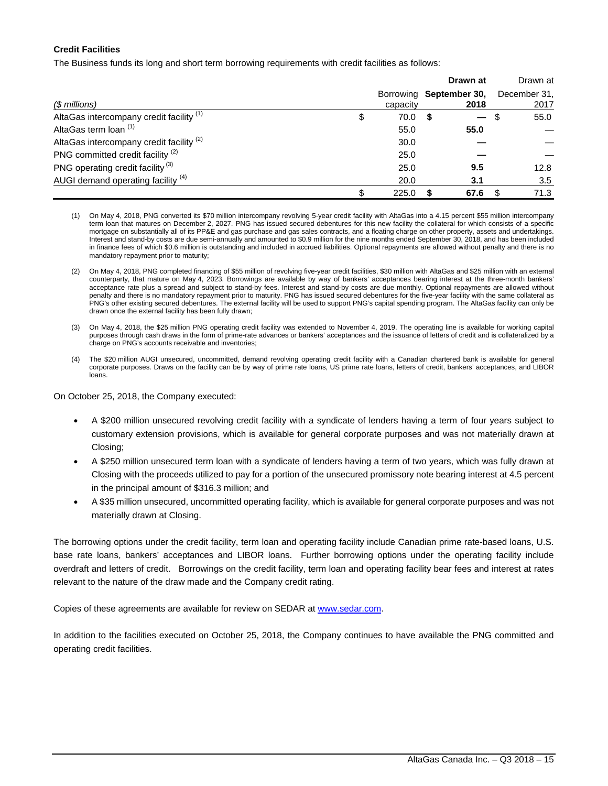## **Credit Facilities**

The Business funds its long and short term borrowing requirements with credit facilities as follows:

|                                                     |                                     |      | Drawn at |     | Drawn at             |
|-----------------------------------------------------|-------------------------------------|------|----------|-----|----------------------|
| (\$ millions)                                       | Borrowing September 30,<br>capacity |      | 2018     |     | December 31,<br>2017 |
| AltaGas intercompany credit facility <sup>(1)</sup> | \$<br>70.0                          | - \$ |          | \$. | 55.0                 |
| AltaGas term loan (1)                               | 55.0                                |      | 55.0     |     |                      |
| AltaGas intercompany credit facility <sup>(2)</sup> | 30.0                                |      |          |     |                      |
| PNG committed credit facility <sup>(2)</sup>        | 25.0                                |      |          |     |                      |
| PNG operating credit facility <sup>(3)</sup>        | 25.0                                |      | 9.5      |     | 12.8                 |
| AUGI demand operating facility (4)                  | 20.0                                |      | 3.1      |     | 3.5                  |
|                                                     | \$<br>225.0                         |      | 67.6     |     | 71.3                 |

- (1) On May 4, 2018, PNG converted its \$70 million intercompany revolving 5-year credit facility with AltaGas into a 4.15 percent \$55 million intercompany term loan that matures on December 2, 2027. PNG has issued secured debentures for this new facility the collateral for which consists of a specific mortgage on substantially all of its PP&E and gas purchase and gas sales contracts, and a floating charge on other property, assets and undertakings. Interest and stand-by costs are due semi-annually and amounted to \$0.9 million for the nine months ended September 30, 2018, and has been included in finance fees of which \$0.6 million is outstanding and included in accrued liabilities. Optional repayments are allowed without penalty and there is no mandatory repayment prior to maturity;
- (2) On May 4, 2018, PNG completed financing of \$55 million of revolving five-year credit facilities, \$30 million with AltaGas and \$25 million with an external counterparty, that mature on May 4, 2023. Borrowings are available by way of bankers' acceptances bearing interest at the three-month bankers' acceptance rate plus a spread and subject to stand-by fees. Interest and stand-by costs are due monthly. Optional repayments are allowed without penalty and there is no mandatory repayment prior to maturity. PNG has issued secured debentures for the five-year facility with the same collateral as PNG's other existing secured debentures. The external facility will be used to support PNG's capital spending program. The AltaGas facility can only be drawn once the external facility has been fully drawn;
- (3) On May 4, 2018, the \$25 million PNG operating credit facility was extended to November 4, 2019. The operating line is available for working capital purposes through cash draws in the form of prime-rate advances or bankers' acceptances and the issuance of letters of credit and is collateralized by a charge on PNG's accounts receivable and inventories;
- (4) The \$20 million AUGI unsecured, uncommitted, demand revolving operating credit facility with a Canadian chartered bank is available for general corporate purposes. Draws on the facility can be by way of prime rate loans, US prime rate loans, letters of credit, bankers' acceptances, and LIBOR loans.

On October 25, 2018, the Company executed:

- A \$200 million unsecured revolving credit facility with a syndicate of lenders having a term of four years subject to customary extension provisions, which is available for general corporate purposes and was not materially drawn at Closing;
- A \$250 million unsecured term loan with a syndicate of lenders having a term of two years, which was fully drawn at Closing with the proceeds utilized to pay for a portion of the unsecured promissory note bearing interest at 4.5 percent in the principal amount of \$316.3 million; and
- A \$35 million unsecured, uncommitted operating facility, which is available for general corporate purposes and was not materially drawn at Closing.

The borrowing options under the credit facility, term loan and operating facility include Canadian prime rate-based loans, U.S. base rate loans, bankers' acceptances and LIBOR loans. Further borrowing options under the operating facility include overdraft and letters of credit. Borrowings on the credit facility, term loan and operating facility bear fees and interest at rates relevant to the nature of the draw made and the Company credit rating.

Copies of these agreements are available for review on SEDAR at www.sedar.com.

In addition to the facilities executed on October 25, 2018, the Company continues to have available the PNG committed and operating credit facilities.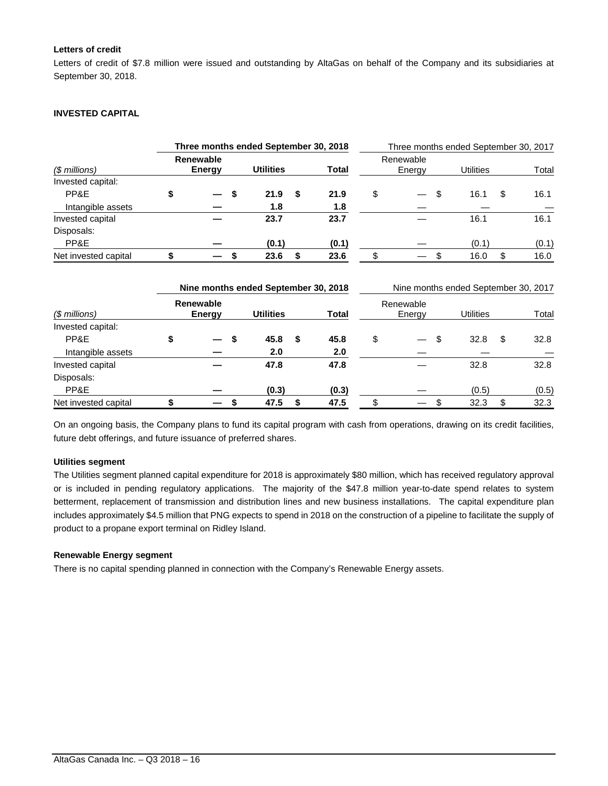## **Letters of credit**

Letters of credit of \$7.8 million were issued and outstanding by AltaGas on behalf of the Company and its subsidiaries at September 30, 2018.

### **INVESTED CAPITAL**

| Three months ended September 30, 2018 |                                   |                                   |    |                                                          |    |             | Three months ended September 30, 2017 |                     |    |                                                          |    |       |
|---------------------------------------|-----------------------------------|-----------------------------------|----|----------------------------------------------------------|----|-------------|---------------------------------------|---------------------|----|----------------------------------------------------------|----|-------|
| $$$ millions)                         | <b>Renewable</b><br><b>Energy</b> |                                   |    | <b>Utilities</b>                                         |    | Total       |                                       | Renewable<br>Energy |    | <b>Utilities</b>                                         |    | Total |
| Invested capital:                     |                                   |                                   |    |                                                          |    |             |                                       |                     |    |                                                          |    |       |
| PP&E                                  | \$                                |                                   | \$ | 21.9                                                     | \$ | 21.9        | \$                                    |                     | \$ | 16.1                                                     | \$ | 16.1  |
| Intangible assets                     |                                   |                                   |    | 1.8                                                      |    | 1.8         |                                       |                     |    |                                                          |    |       |
| Invested capital                      |                                   |                                   |    | 23.7                                                     |    | 23.7        |                                       |                     |    | 16.1                                                     |    | 16.1  |
| Disposals:                            |                                   |                                   |    |                                                          |    |             |                                       |                     |    |                                                          |    |       |
| PP&E                                  |                                   |                                   |    | (0.1)                                                    |    | (0.1)       |                                       |                     |    | (0.1)                                                    |    | (0.1) |
| Net invested capital                  | \$                                |                                   | S  | 23.6                                                     | \$ | 23.6        | \$                                    |                     | \$ | 16.0                                                     | \$ | 16.0  |
| $$$ millions)                         |                                   | <b>Renewable</b><br><b>Energy</b> |    | Nine months ended September 30, 2018<br><b>Utilities</b> |    | Total       |                                       | Renewable<br>Energy |    | Nine months ended September 30, 2017<br><b>Utilities</b> |    | Total |
| Invested capital:                     |                                   |                                   |    |                                                          |    |             |                                       |                     |    |                                                          |    |       |
| PP&E<br>Intangible assets             | \$                                |                                   | \$ | 45.8<br>2.0                                              | \$ | 45.8<br>2.0 | \$                                    |                     | \$ | 32.8                                                     | \$ | 32.8  |
| Invested capital                      |                                   |                                   |    | 47.8                                                     |    | 47.8        |                                       |                     |    | 32.8                                                     |    | 32.8  |
| Disposals:                            |                                   |                                   |    |                                                          |    |             |                                       |                     |    |                                                          |    |       |
| PP&E                                  |                                   |                                   |    | (0.3)                                                    |    | (0.3)       |                                       |                     |    | (0.5)                                                    |    | (0.5) |

On an ongoing basis, the Company plans to fund its capital program with cash from operations, drawing on its credit facilities, future debt offerings, and future issuance of preferred shares.

Net invested capital **\$**  $-$  \$ 47.5 \$ 47.5 \$  $-$  \$ 32.3 \$ 32.3

#### **Utilities segment**

The Utilities segment planned capital expenditure for 2018 is approximately \$80 million, which has received regulatory approval or is included in pending regulatory applications. The majority of the \$47.8 million year-to-date spend relates to system betterment, replacement of transmission and distribution lines and new business installations. The capital expenditure plan includes approximately \$4.5 million that PNG expects to spend in 2018 on the construction of a pipeline to facilitate the supply of product to a propane export terminal on Ridley Island.

#### **Renewable Energy segment**

There is no capital spending planned in connection with the Company's Renewable Energy assets.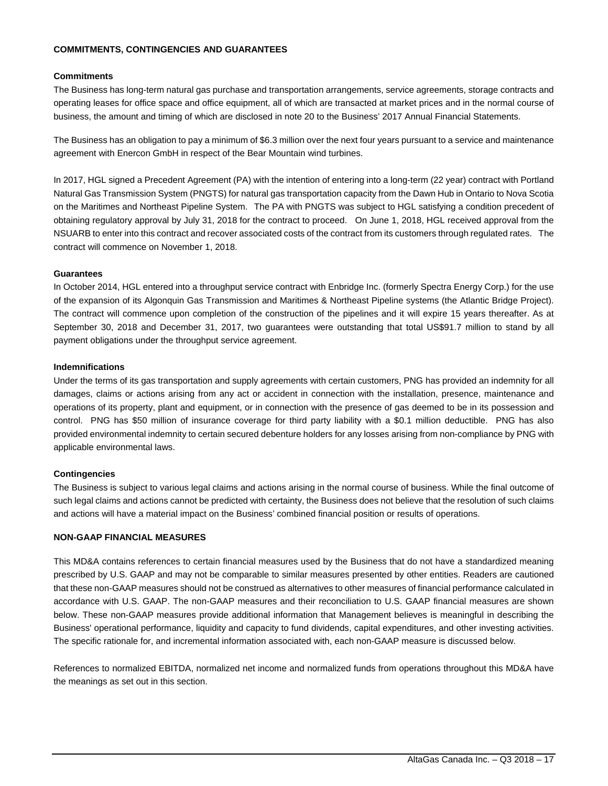#### **COMMITMENTS, CONTINGENCIES AND GUARANTEES**

#### **Commitments**

The Business has long-term natural gas purchase and transportation arrangements, service agreements, storage contracts and operating leases for office space and office equipment, all of which are transacted at market prices and in the normal course of business, the amount and timing of which are disclosed in note 20 to the Business' 2017 Annual Financial Statements.

The Business has an obligation to pay a minimum of \$6.3 million over the next four years pursuant to a service and maintenance agreement with Enercon GmbH in respect of the Bear Mountain wind turbines.

In 2017, HGL signed a Precedent Agreement (PA) with the intention of entering into a long-term (22 year) contract with Portland Natural Gas Transmission System (PNGTS) for natural gas transportation capacity from the Dawn Hub in Ontario to Nova Scotia on the Maritimes and Northeast Pipeline System. The PA with PNGTS was subject to HGL satisfying a condition precedent of obtaining regulatory approval by July 31, 2018 for the contract to proceed. On June 1, 2018, HGL received approval from the NSUARB to enter into this contract and recover associated costs of the contract from its customers through regulated rates. The contract will commence on November 1, 2018.

#### **Guarantees**

In October 2014, HGL entered into a throughput service contract with Enbridge Inc. (formerly Spectra Energy Corp.) for the use of the expansion of its Algonquin Gas Transmission and Maritimes & Northeast Pipeline systems (the Atlantic Bridge Project). The contract will commence upon completion of the construction of the pipelines and it will expire 15 years thereafter. As at September 30, 2018 and December 31, 2017, two guarantees were outstanding that total US\$91.7 million to stand by all payment obligations under the throughput service agreement.

#### **Indemnifications**

Under the terms of its gas transportation and supply agreements with certain customers, PNG has provided an indemnity for all damages, claims or actions arising from any act or accident in connection with the installation, presence, maintenance and operations of its property, plant and equipment, or in connection with the presence of gas deemed to be in its possession and control. PNG has \$50 million of insurance coverage for third party liability with a \$0.1 million deductible. PNG has also provided environmental indemnity to certain secured debenture holders for any losses arising from non-compliance by PNG with applicable environmental laws.

## **Contingencies**

The Business is subject to various legal claims and actions arising in the normal course of business. While the final outcome of such legal claims and actions cannot be predicted with certainty, the Business does not believe that the resolution of such claims and actions will have a material impact on the Business' combined financial position or results of operations.

#### **NON-GAAP FINANCIAL MEASURES**

This MD&A contains references to certain financial measures used by the Business that do not have a standardized meaning prescribed by U.S. GAAP and may not be comparable to similar measures presented by other entities. Readers are cautioned that these non-GAAP measures should not be construed as alternatives to other measures of financial performance calculated in accordance with U.S. GAAP. The non-GAAP measures and their reconciliation to U.S. GAAP financial measures are shown below. These non-GAAP measures provide additional information that Management believes is meaningful in describing the Business' operational performance, liquidity and capacity to fund dividends, capital expenditures, and other investing activities. The specific rationale for, and incremental information associated with, each non-GAAP measure is discussed below.

References to normalized EBITDA, normalized net income and normalized funds from operations throughout this MD&A have the meanings as set out in this section.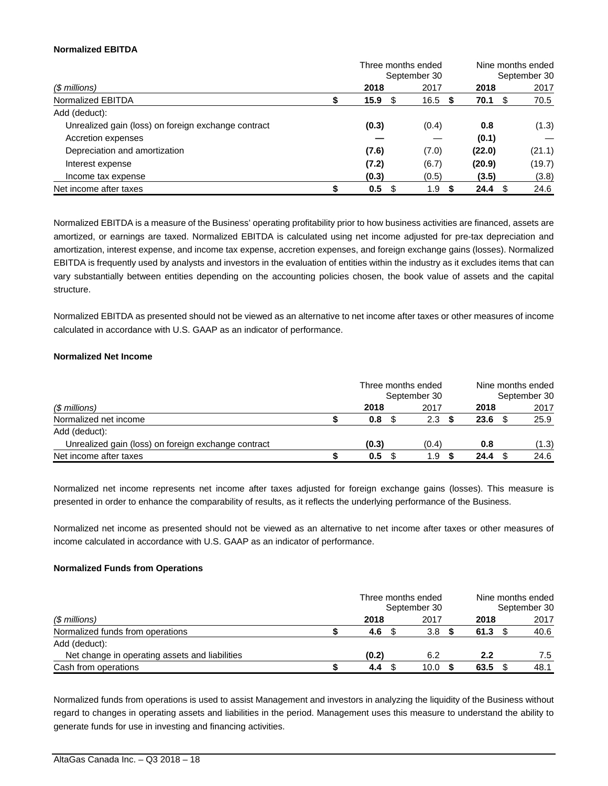#### **Normalized EBITDA**

|                                                     |   | Three months ended |              |             | Nine months ended<br>September 30 |  |
|-----------------------------------------------------|---|--------------------|--------------|-------------|-----------------------------------|--|
|                                                     |   |                    | September 30 |             |                                   |  |
| (\$ millions)                                       |   | 2018               | 2017         | 2018        | 2017                              |  |
| Normalized EBITDA                                   | D | 15.9<br>- \$       | 16.5         | 70.1<br>\$. | 70.5                              |  |
| Add (deduct):                                       |   |                    |              |             |                                   |  |
| Unrealized gain (loss) on foreign exchange contract |   | (0.3)              | (0.4)        | 0.8         | (1.3)                             |  |
| Accretion expenses                                  |   |                    |              | (0.1)       |                                   |  |
| Depreciation and amortization                       |   | (7.6)              | (7.0)        | (22.0)      | (21.1)                            |  |
| Interest expense                                    |   | (7.2)              | (6.7)        | (20.9)      | (19.7)                            |  |
| Income tax expense                                  |   | (0.3)              | (0.5)        | (3.5)       | (3.8)                             |  |
| Net income after taxes                              |   | 0.5                | 1.9          | 24.4        | 24.6                              |  |

Normalized EBITDA is a measure of the Business' operating profitability prior to how business activities are financed, assets are amortized, or earnings are taxed. Normalized EBITDA is calculated using net income adjusted for pre-tax depreciation and amortization, interest expense, and income tax expense, accretion expenses, and foreign exchange gains (losses). Normalized EBITDA is frequently used by analysts and investors in the evaluation of entities within the industry as it excludes items that can vary substantially between entities depending on the accounting policies chosen, the book value of assets and the capital structure.

Normalized EBITDA as presented should not be viewed as an alternative to net income after taxes or other measures of income calculated in accordance with U.S. GAAP as an indicator of performance.

#### **Normalized Net Income**

|                                                     | Three months ended<br>September 30 |               |  |       | Nine months ended<br>September 30 |      |  |       |  |
|-----------------------------------------------------|------------------------------------|---------------|--|-------|-----------------------------------|------|--|-------|--|
| (\$ millions)                                       |                                    | 2018          |  | 2017  |                                   | 2018 |  | 2017  |  |
| Normalized net income                               |                                    | 0.8           |  | 2.3   |                                   | 23.6 |  | 25.9  |  |
| Add (deduct):                                       |                                    |               |  |       |                                   |      |  |       |  |
| Unrealized gain (loss) on foreign exchange contract |                                    | (0.3)         |  | (0.4) |                                   | 0.8  |  | (1.3) |  |
| Net income after taxes                              |                                    | $0.5^{\circ}$ |  | 1.9   |                                   | 24.4 |  | 24.6  |  |

Normalized net income represents net income after taxes adjusted for foreign exchange gains (losses). This measure is presented in order to enhance the comparability of results, as it reflects the underlying performance of the Business.

Normalized net income as presented should not be viewed as an alternative to net income after taxes or other measures of income calculated in accordance with U.S. GAAP as an indicator of performance.

## **Normalized Funds from Operations**

|                                                |       | Three months ended<br>September 30 |      | Nine months ended<br>September 30 |
|------------------------------------------------|-------|------------------------------------|------|-----------------------------------|
| (\$ millions)                                  | 2018  | 2017                               | 2018 | 2017                              |
| Normalized funds from operations               | 4.6   | 3.8                                | 61.3 | 40.6                              |
| Add (deduct):                                  |       |                                    |      |                                   |
| Net change in operating assets and liabilities | (0.2) | 6.2                                | 2.2  | 7.5                               |
| Cash from operations                           | 4.4   | 10.0                               | 63.5 | 48.1                              |

Normalized funds from operations is used to assist Management and investors in analyzing the liquidity of the Business without regard to changes in operating assets and liabilities in the period. Management uses this measure to understand the ability to generate funds for use in investing and financing activities.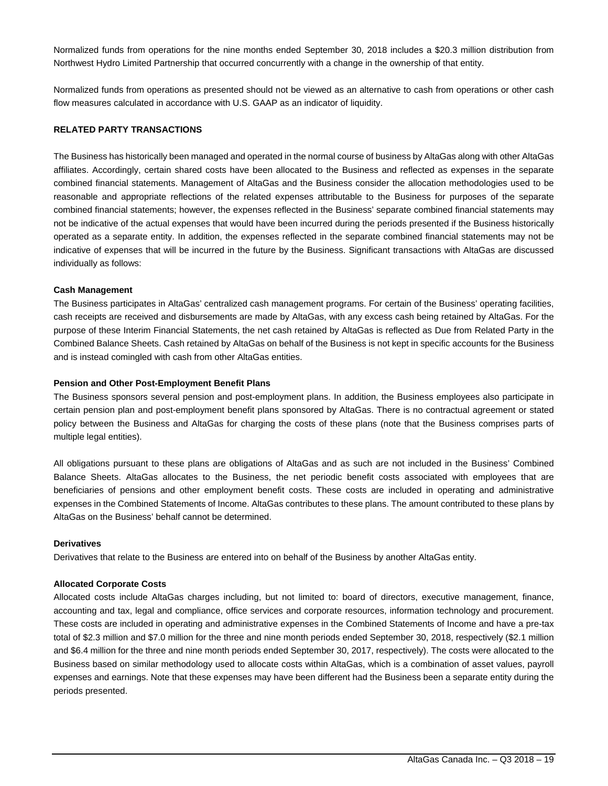Normalized funds from operations for the nine months ended September 30, 2018 includes a \$20.3 million distribution from Northwest Hydro Limited Partnership that occurred concurrently with a change in the ownership of that entity.

Normalized funds from operations as presented should not be viewed as an alternative to cash from operations or other cash flow measures calculated in accordance with U.S. GAAP as an indicator of liquidity.

#### **RELATED PARTY TRANSACTIONS**

The Business has historically been managed and operated in the normal course of business by AltaGas along with other AltaGas affiliates. Accordingly, certain shared costs have been allocated to the Business and reflected as expenses in the separate combined financial statements. Management of AltaGas and the Business consider the allocation methodologies used to be reasonable and appropriate reflections of the related expenses attributable to the Business for purposes of the separate combined financial statements; however, the expenses reflected in the Business' separate combined financial statements may not be indicative of the actual expenses that would have been incurred during the periods presented if the Business historically operated as a separate entity. In addition, the expenses reflected in the separate combined financial statements may not be indicative of expenses that will be incurred in the future by the Business. Significant transactions with AltaGas are discussed individually as follows:

#### **Cash Management**

The Business participates in AltaGas' centralized cash management programs. For certain of the Business' operating facilities, cash receipts are received and disbursements are made by AltaGas, with any excess cash being retained by AltaGas. For the purpose of these Interim Financial Statements, the net cash retained by AltaGas is reflected as Due from Related Party in the Combined Balance Sheets. Cash retained by AltaGas on behalf of the Business is not kept in specific accounts for the Business and is instead comingled with cash from other AltaGas entities.

#### **Pension and Other Post-Employment Benefit Plans**

The Business sponsors several pension and post-employment plans. In addition, the Business employees also participate in certain pension plan and post-employment benefit plans sponsored by AltaGas. There is no contractual agreement or stated policy between the Business and AltaGas for charging the costs of these plans (note that the Business comprises parts of multiple legal entities).

All obligations pursuant to these plans are obligations of AltaGas and as such are not included in the Business' Combined Balance Sheets. AltaGas allocates to the Business, the net periodic benefit costs associated with employees that are beneficiaries of pensions and other employment benefit costs. These costs are included in operating and administrative expenses in the Combined Statements of Income. AltaGas contributes to these plans. The amount contributed to these plans by AltaGas on the Business' behalf cannot be determined.

#### **Derivatives**

Derivatives that relate to the Business are entered into on behalf of the Business by another AltaGas entity.

#### **Allocated Corporate Costs**

Allocated costs include AltaGas charges including, but not limited to: board of directors, executive management, finance, accounting and tax, legal and compliance, office services and corporate resources, information technology and procurement. These costs are included in operating and administrative expenses in the Combined Statements of Income and have a pre-tax total of \$2.3 million and \$7.0 million for the three and nine month periods ended September 30, 2018, respectively (\$2.1 million and \$6.4 million for the three and nine month periods ended September 30, 2017, respectively). The costs were allocated to the Business based on similar methodology used to allocate costs within AltaGas, which is a combination of asset values, payroll expenses and earnings. Note that these expenses may have been different had the Business been a separate entity during the periods presented.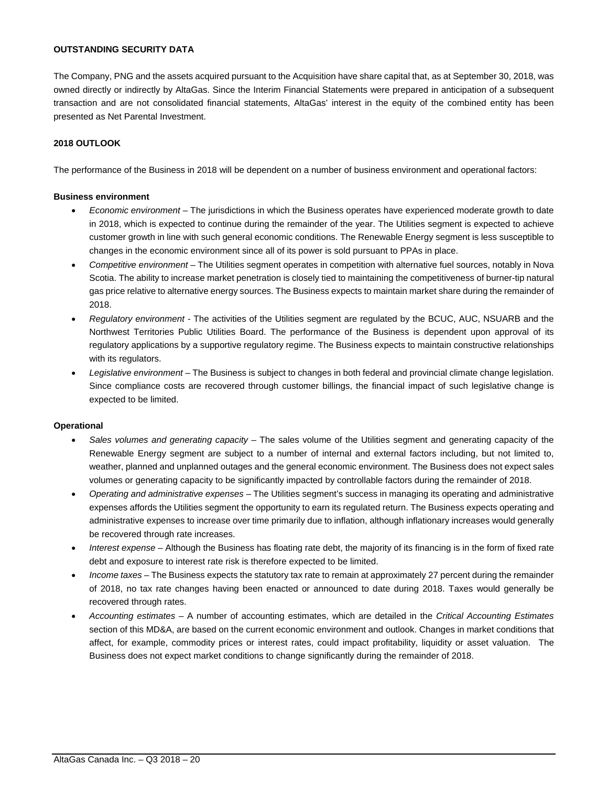### **OUTSTANDING SECURITY DATA**

The Company, PNG and the assets acquired pursuant to the Acquisition have share capital that, as at September 30, 2018, was owned directly or indirectly by AltaGas. Since the Interim Financial Statements were prepared in anticipation of a subsequent transaction and are not consolidated financial statements, AltaGas' interest in the equity of the combined entity has been presented as Net Parental Investment.

#### **2018 OUTLOOK**

The performance of the Business in 2018 will be dependent on a number of business environment and operational factors:

#### **Business environment**

- *Economic environment* The jurisdictions in which the Business operates have experienced moderate growth to date in 2018, which is expected to continue during the remainder of the year. The Utilities segment is expected to achieve customer growth in line with such general economic conditions. The Renewable Energy segment is less susceptible to changes in the economic environment since all of its power is sold pursuant to PPAs in place.
- *Competitive environment* The Utilities segment operates in competition with alternative fuel sources, notably in Nova Scotia. The ability to increase market penetration is closely tied to maintaining the competitiveness of burner-tip natural gas price relative to alternative energy sources. The Business expects to maintain market share during the remainder of 2018.
- *Regulatory environment* The activities of the Utilities segment are regulated by the BCUC, AUC, NSUARB and the Northwest Territories Public Utilities Board. The performance of the Business is dependent upon approval of its regulatory applications by a supportive regulatory regime. The Business expects to maintain constructive relationships with its regulators.
- *Legislative environment* The Business is subject to changes in both federal and provincial climate change legislation. Since compliance costs are recovered through customer billings, the financial impact of such legislative change is expected to be limited.

#### **Operational**

- *Sales volumes and generating capacity* The sales volume of the Utilities segment and generating capacity of the Renewable Energy segment are subject to a number of internal and external factors including, but not limited to, weather, planned and unplanned outages and the general economic environment. The Business does not expect sales volumes or generating capacity to be significantly impacted by controllable factors during the remainder of 2018.
- *Operating and administrative expenses* The Utilities segment's success in managing its operating and administrative expenses affords the Utilities segment the opportunity to earn its regulated return. The Business expects operating and administrative expenses to increase over time primarily due to inflation, although inflationary increases would generally be recovered through rate increases.
- *Interest expense* Although the Business has floating rate debt, the majority of its financing is in the form of fixed rate debt and exposure to interest rate risk is therefore expected to be limited.
- *Income taxes* The Business expects the statutory tax rate to remain at approximately 27 percent during the remainder of 2018, no tax rate changes having been enacted or announced to date during 2018. Taxes would generally be recovered through rates.
- *Accounting estimates* A number of accounting estimates, which are detailed in the *Critical Accounting Estimates* section of this MD&A, are based on the current economic environment and outlook. Changes in market conditions that affect, for example, commodity prices or interest rates, could impact profitability, liquidity or asset valuation. The Business does not expect market conditions to change significantly during the remainder of 2018.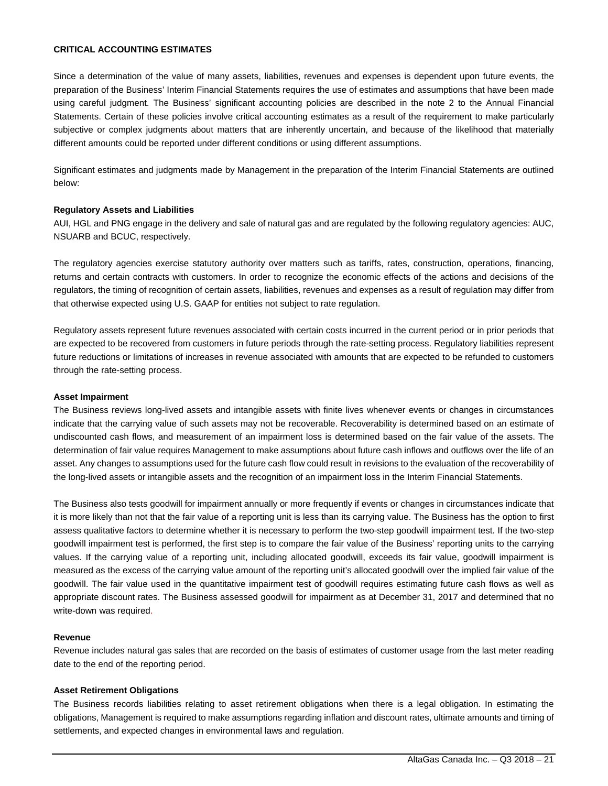#### **CRITICAL ACCOUNTING ESTIMATES**

Since a determination of the value of many assets, liabilities, revenues and expenses is dependent upon future events, the preparation of the Business' Interim Financial Statements requires the use of estimates and assumptions that have been made using careful judgment. The Business' significant accounting policies are described in the note 2 to the Annual Financial Statements. Certain of these policies involve critical accounting estimates as a result of the requirement to make particularly subjective or complex judgments about matters that are inherently uncertain, and because of the likelihood that materially different amounts could be reported under different conditions or using different assumptions.

Significant estimates and judgments made by Management in the preparation of the Interim Financial Statements are outlined below:

#### **Regulatory Assets and Liabilities**

AUI, HGL and PNG engage in the delivery and sale of natural gas and are regulated by the following regulatory agencies: AUC, NSUARB and BCUC, respectively.

The regulatory agencies exercise statutory authority over matters such as tariffs, rates, construction, operations, financing, returns and certain contracts with customers. In order to recognize the economic effects of the actions and decisions of the regulators, the timing of recognition of certain assets, liabilities, revenues and expenses as a result of regulation may differ from that otherwise expected using U.S. GAAP for entities not subject to rate regulation.

Regulatory assets represent future revenues associated with certain costs incurred in the current period or in prior periods that are expected to be recovered from customers in future periods through the rate-setting process. Regulatory liabilities represent future reductions or limitations of increases in revenue associated with amounts that are expected to be refunded to customers through the rate-setting process.

#### **Asset Impairment**

The Business reviews long-lived assets and intangible assets with finite lives whenever events or changes in circumstances indicate that the carrying value of such assets may not be recoverable. Recoverability is determined based on an estimate of undiscounted cash flows, and measurement of an impairment loss is determined based on the fair value of the assets. The determination of fair value requires Management to make assumptions about future cash inflows and outflows over the life of an asset. Any changes to assumptions used for the future cash flow could result in revisions to the evaluation of the recoverability of the long-lived assets or intangible assets and the recognition of an impairment loss in the Interim Financial Statements.

The Business also tests goodwill for impairment annually or more frequently if events or changes in circumstances indicate that it is more likely than not that the fair value of a reporting unit is less than its carrying value. The Business has the option to first assess qualitative factors to determine whether it is necessary to perform the two-step goodwill impairment test. If the two-step goodwill impairment test is performed, the first step is to compare the fair value of the Business' reporting units to the carrying values. If the carrying value of a reporting unit, including allocated goodwill, exceeds its fair value, goodwill impairment is measured as the excess of the carrying value amount of the reporting unit's allocated goodwill over the implied fair value of the goodwill. The fair value used in the quantitative impairment test of goodwill requires estimating future cash flows as well as appropriate discount rates. The Business assessed goodwill for impairment as at December 31, 2017 and determined that no write-down was required.

#### **Revenue**

Revenue includes natural gas sales that are recorded on the basis of estimates of customer usage from the last meter reading date to the end of the reporting period.

#### **Asset Retirement Obligations**

The Business records liabilities relating to asset retirement obligations when there is a legal obligation. In estimating the obligations, Management is required to make assumptions regarding inflation and discount rates, ultimate amounts and timing of settlements, and expected changes in environmental laws and regulation.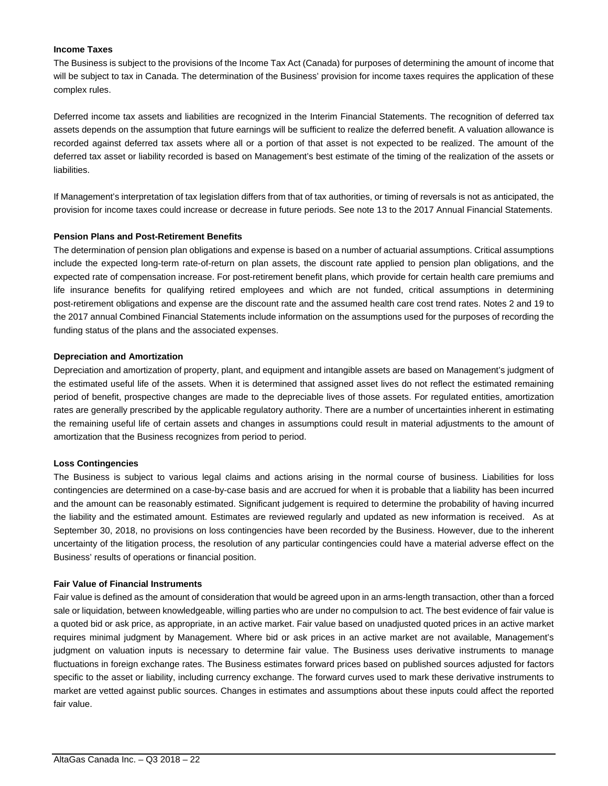### **Income Taxes**

The Business is subject to the provisions of the Income Tax Act (Canada) for purposes of determining the amount of income that will be subject to tax in Canada. The determination of the Business' provision for income taxes requires the application of these complex rules.

Deferred income tax assets and liabilities are recognized in the Interim Financial Statements. The recognition of deferred tax assets depends on the assumption that future earnings will be sufficient to realize the deferred benefit. A valuation allowance is recorded against deferred tax assets where all or a portion of that asset is not expected to be realized. The amount of the deferred tax asset or liability recorded is based on Management's best estimate of the timing of the realization of the assets or liabilities.

If Management's interpretation of tax legislation differs from that of tax authorities, or timing of reversals is not as anticipated, the provision for income taxes could increase or decrease in future periods. See note 13 to the 2017 Annual Financial Statements.

#### **Pension Plans and Post-Retirement Benefits**

The determination of pension plan obligations and expense is based on a number of actuarial assumptions. Critical assumptions include the expected long-term rate-of-return on plan assets, the discount rate applied to pension plan obligations, and the expected rate of compensation increase. For post-retirement benefit plans, which provide for certain health care premiums and life insurance benefits for qualifying retired employees and which are not funded, critical assumptions in determining post-retirement obligations and expense are the discount rate and the assumed health care cost trend rates. Notes 2 and 19 to the 2017 annual Combined Financial Statements include information on the assumptions used for the purposes of recording the funding status of the plans and the associated expenses.

#### **Depreciation and Amortization**

Depreciation and amortization of property, plant, and equipment and intangible assets are based on Management's judgment of the estimated useful life of the assets. When it is determined that assigned asset lives do not reflect the estimated remaining period of benefit, prospective changes are made to the depreciable lives of those assets. For regulated entities, amortization rates are generally prescribed by the applicable regulatory authority. There are a number of uncertainties inherent in estimating the remaining useful life of certain assets and changes in assumptions could result in material adjustments to the amount of amortization that the Business recognizes from period to period.

#### **Loss Contingencies**

The Business is subject to various legal claims and actions arising in the normal course of business. Liabilities for loss contingencies are determined on a case-by-case basis and are accrued for when it is probable that a liability has been incurred and the amount can be reasonably estimated. Significant judgement is required to determine the probability of having incurred the liability and the estimated amount. Estimates are reviewed regularly and updated as new information is received. As at September 30, 2018, no provisions on loss contingencies have been recorded by the Business. However, due to the inherent uncertainty of the litigation process, the resolution of any particular contingencies could have a material adverse effect on the Business' results of operations or financial position.

#### **Fair Value of Financial Instruments**

Fair value is defined as the amount of consideration that would be agreed upon in an arms-length transaction, other than a forced sale or liquidation, between knowledgeable, willing parties who are under no compulsion to act. The best evidence of fair value is a quoted bid or ask price, as appropriate, in an active market. Fair value based on unadjusted quoted prices in an active market requires minimal judgment by Management. Where bid or ask prices in an active market are not available, Management's judgment on valuation inputs is necessary to determine fair value. The Business uses derivative instruments to manage fluctuations in foreign exchange rates. The Business estimates forward prices based on published sources adjusted for factors specific to the asset or liability, including currency exchange. The forward curves used to mark these derivative instruments to market are vetted against public sources. Changes in estimates and assumptions about these inputs could affect the reported fair value.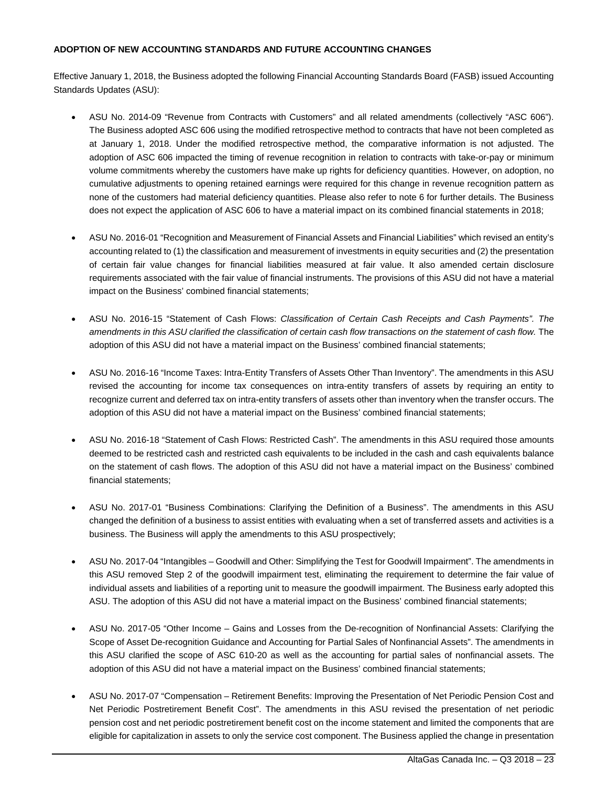## **ADOPTION OF NEW ACCOUNTING STANDARDS AND FUTURE ACCOUNTING CHANGES**

Effective January 1, 2018, the Business adopted the following Financial Accounting Standards Board (FASB) issued Accounting Standards Updates (ASU):

- ASU No. 2014-09 "Revenue from Contracts with Customers" and all related amendments (collectively "ASC 606"). The Business adopted ASC 606 using the modified retrospective method to contracts that have not been completed as at January 1, 2018. Under the modified retrospective method, the comparative information is not adjusted. The adoption of ASC 606 impacted the timing of revenue recognition in relation to contracts with take-or-pay or minimum volume commitments whereby the customers have make up rights for deficiency quantities. However, on adoption, no cumulative adjustments to opening retained earnings were required for this change in revenue recognition pattern as none of the customers had material deficiency quantities. Please also refer to note 6 for further details. The Business does not expect the application of ASC 606 to have a material impact on its combined financial statements in 2018;
- ASU No. 2016-01 "Recognition and Measurement of Financial Assets and Financial Liabilities" which revised an entity's accounting related to (1) the classification and measurement of investments in equity securities and (2) the presentation of certain fair value changes for financial liabilities measured at fair value. It also amended certain disclosure requirements associated with the fair value of financial instruments. The provisions of this ASU did not have a material impact on the Business' combined financial statements;
- ASU No. 2016-15 "Statement of Cash Flows: *Classification of Certain Cash Receipts and Cash Payments". The*  amendments in this ASU clarified the classification of certain cash flow transactions on the statement of cash flow. The adoption of this ASU did not have a material impact on the Business' combined financial statements;
- ASU No. 2016-16 "Income Taxes: Intra-Entity Transfers of Assets Other Than Inventory". The amendments in this ASU revised the accounting for income tax consequences on intra-entity transfers of assets by requiring an entity to recognize current and deferred tax on intra-entity transfers of assets other than inventory when the transfer occurs. The adoption of this ASU did not have a material impact on the Business' combined financial statements;
- ASU No. 2016-18 "Statement of Cash Flows: Restricted Cash". The amendments in this ASU required those amounts deemed to be restricted cash and restricted cash equivalents to be included in the cash and cash equivalents balance on the statement of cash flows. The adoption of this ASU did not have a material impact on the Business' combined financial statements;
- ASU No. 2017-01 "Business Combinations: Clarifying the Definition of a Business". The amendments in this ASU changed the definition of a business to assist entities with evaluating when a set of transferred assets and activities is a business. The Business will apply the amendments to this ASU prospectively;
- ASU No. 2017-04 "Intangibles Goodwill and Other: Simplifying the Test for Goodwill Impairment". The amendments in this ASU removed Step 2 of the goodwill impairment test, eliminating the requirement to determine the fair value of individual assets and liabilities of a reporting unit to measure the goodwill impairment. The Business early adopted this ASU. The adoption of this ASU did not have a material impact on the Business' combined financial statements;
- ASU No. 2017-05 "Other Income Gains and Losses from the De-recognition of Nonfinancial Assets: Clarifying the Scope of Asset De-recognition Guidance and Accounting for Partial Sales of Nonfinancial Assets". The amendments in this ASU clarified the scope of ASC 610-20 as well as the accounting for partial sales of nonfinancial assets. The adoption of this ASU did not have a material impact on the Business' combined financial statements;
- ASU No. 2017-07 "Compensation Retirement Benefits: Improving the Presentation of Net Periodic Pension Cost and Net Periodic Postretirement Benefit Cost". The amendments in this ASU revised the presentation of net periodic pension cost and net periodic postretirement benefit cost on the income statement and limited the components that are eligible for capitalization in assets to only the service cost component. The Business applied the change in presentation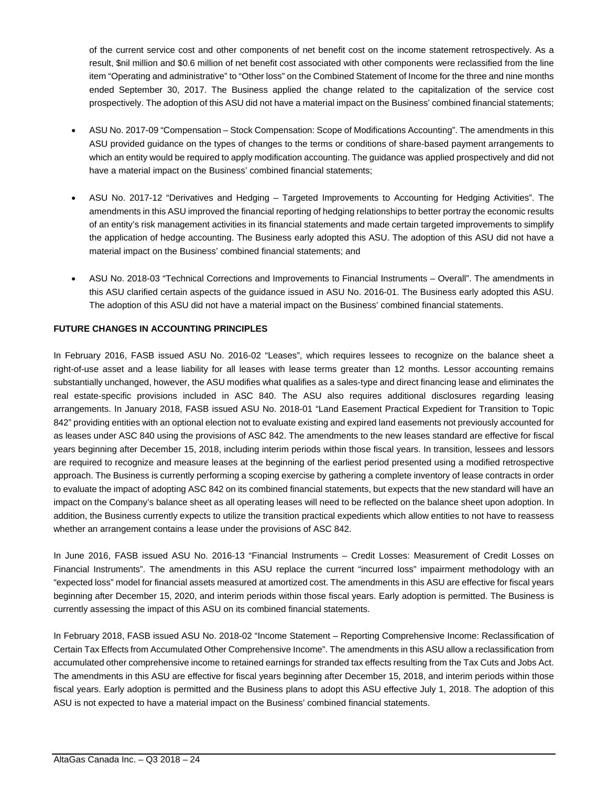of the current service cost and other components of net benefit cost on the income statement retrospectively. As a result, \$nil million and \$0.6 million of net benefit cost associated with other components were reclassified from the line item "Operating and administrative" to "Other loss" on the Combined Statement of Income for the three and nine months ended September 30, 2017. The Business applied the change related to the capitalization of the service cost prospectively. The adoption of this ASU did not have a material impact on the Business' combined financial statements;

- ASU No. 2017-09 "Compensation Stock Compensation: Scope of Modifications Accounting". The amendments in this ASU provided guidance on the types of changes to the terms or conditions of share-based payment arrangements to which an entity would be required to apply modification accounting. The guidance was applied prospectively and did not have a material impact on the Business' combined financial statements;
- ASU No. 2017-12 "Derivatives and Hedging Targeted Improvements to Accounting for Hedging Activities". The amendments in this ASU improved the financial reporting of hedging relationships to better portray the economic results of an entity's risk management activities in its financial statements and made certain targeted improvements to simplify the application of hedge accounting. The Business early adopted this ASU. The adoption of this ASU did not have a material impact on the Business' combined financial statements; and
- ASU No. 2018-03 "Technical Corrections and Improvements to Financial Instruments Overall". The amendments in this ASU clarified certain aspects of the guidance issued in ASU No. 2016-01. The Business early adopted this ASU. The adoption of this ASU did not have a material impact on the Business' combined financial statements.

## **FUTURE CHANGES IN ACCOUNTING PRINCIPLES**

In February 2016, FASB issued ASU No. 2016-02 "Leases", which requires lessees to recognize on the balance sheet a right-of-use asset and a lease liability for all leases with lease terms greater than 12 months. Lessor accounting remains substantially unchanged, however, the ASU modifies what qualifies as a sales-type and direct financing lease and eliminates the real estate-specific provisions included in ASC 840. The ASU also requires additional disclosures regarding leasing arrangements. In January 2018, FASB issued ASU No. 2018-01 "Land Easement Practical Expedient for Transition to Topic 842" providing entities with an optional election not to evaluate existing and expired land easements not previously accounted for as leases under ASC 840 using the provisions of ASC 842. The amendments to the new leases standard are effective for fiscal years beginning after December 15, 2018, including interim periods within those fiscal years. In transition, lessees and lessors are required to recognize and measure leases at the beginning of the earliest period presented using a modified retrospective approach. The Business is currently performing a scoping exercise by gathering a complete inventory of lease contracts in order to evaluate the impact of adopting ASC 842 on its combined financial statements, but expects that the new standard will have an impact on the Company's balance sheet as all operating leases will need to be reflected on the balance sheet upon adoption. In addition, the Business currently expects to utilize the transition practical expedients which allow entities to not have to reassess whether an arrangement contains a lease under the provisions of ASC 842.

In June 2016, FASB issued ASU No. 2016-13 "Financial Instruments – Credit Losses: Measurement of Credit Losses on Financial Instruments". The amendments in this ASU replace the current "incurred loss" impairment methodology with an "expected loss" model for financial assets measured at amortized cost. The amendments in this ASU are effective for fiscal years beginning after December 15, 2020, and interim periods within those fiscal years. Early adoption is permitted. The Business is currently assessing the impact of this ASU on its combined financial statements.

In February 2018, FASB issued ASU No. 2018-02 "Income Statement – Reporting Comprehensive Income: Reclassification of Certain Tax Effects from Accumulated Other Comprehensive Income". The amendments in this ASU allow a reclassification from accumulated other comprehensive income to retained earnings for stranded tax effects resulting from the Tax Cuts and Jobs Act. The amendments in this ASU are effective for fiscal years beginning after December 15, 2018, and interim periods within those fiscal years. Early adoption is permitted and the Business plans to adopt this ASU effective July 1, 2018. The adoption of this ASU is not expected to have a material impact on the Business' combined financial statements.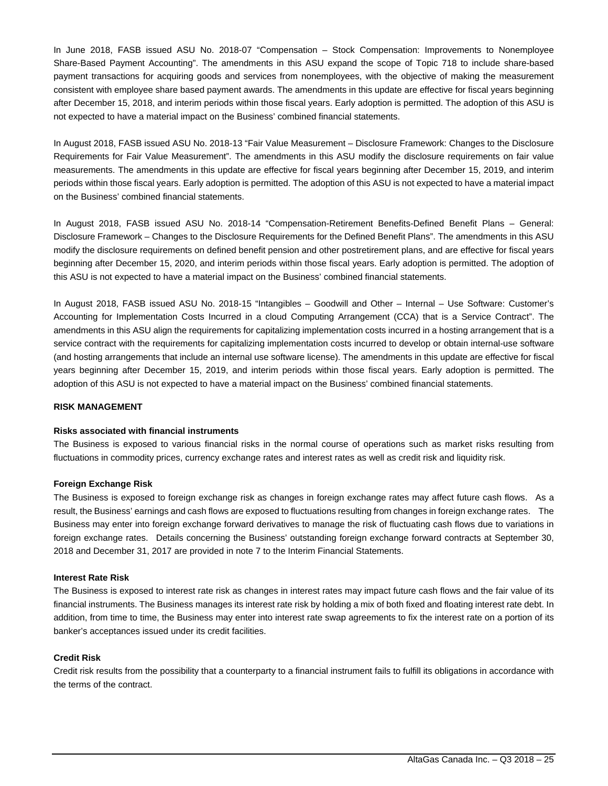In June 2018, FASB issued ASU No. 2018-07 "Compensation – Stock Compensation: Improvements to Nonemployee Share-Based Payment Accounting". The amendments in this ASU expand the scope of Topic 718 to include share-based payment transactions for acquiring goods and services from nonemployees, with the objective of making the measurement consistent with employee share based payment awards. The amendments in this update are effective for fiscal years beginning after December 15, 2018, and interim periods within those fiscal years. Early adoption is permitted. The adoption of this ASU is not expected to have a material impact on the Business' combined financial statements.

In August 2018, FASB issued ASU No. 2018-13 "Fair Value Measurement – Disclosure Framework: Changes to the Disclosure Requirements for Fair Value Measurement". The amendments in this ASU modify the disclosure requirements on fair value measurements. The amendments in this update are effective for fiscal years beginning after December 15, 2019, and interim periods within those fiscal years. Early adoption is permitted. The adoption of this ASU is not expected to have a material impact on the Business' combined financial statements.

In August 2018, FASB issued ASU No. 2018-14 "Compensation-Retirement Benefits-Defined Benefit Plans – General: Disclosure Framework – Changes to the Disclosure Requirements for the Defined Benefit Plans". The amendments in this ASU modify the disclosure requirements on defined benefit pension and other postretirement plans, and are effective for fiscal years beginning after December 15, 2020, and interim periods within those fiscal years. Early adoption is permitted. The adoption of this ASU is not expected to have a material impact on the Business' combined financial statements.

In August 2018, FASB issued ASU No. 2018-15 "Intangibles – Goodwill and Other – Internal – Use Software: Customer's Accounting for Implementation Costs Incurred in a cloud Computing Arrangement (CCA) that is a Service Contract". The amendments in this ASU align the requirements for capitalizing implementation costs incurred in a hosting arrangement that is a service contract with the requirements for capitalizing implementation costs incurred to develop or obtain internal-use software (and hosting arrangements that include an internal use software license). The amendments in this update are effective for fiscal years beginning after December 15, 2019, and interim periods within those fiscal years. Early adoption is permitted. The adoption of this ASU is not expected to have a material impact on the Business' combined financial statements.

#### **RISK MANAGEMENT**

#### **Risks associated with financial instruments**

The Business is exposed to various financial risks in the normal course of operations such as market risks resulting from fluctuations in commodity prices, currency exchange rates and interest rates as well as credit risk and liquidity risk.

#### **Foreign Exchange Risk**

The Business is exposed to foreign exchange risk as changes in foreign exchange rates may affect future cash flows. As a result, the Business' earnings and cash flows are exposed to fluctuations resulting from changes in foreign exchange rates. The Business may enter into foreign exchange forward derivatives to manage the risk of fluctuating cash flows due to variations in foreign exchange rates. Details concerning the Business' outstanding foreign exchange forward contracts at September 30, 2018 and December 31, 2017 are provided in note 7 to the Interim Financial Statements.

#### **Interest Rate Risk**

The Business is exposed to interest rate risk as changes in interest rates may impact future cash flows and the fair value of its financial instruments. The Business manages its interest rate risk by holding a mix of both fixed and floating interest rate debt. In addition, from time to time, the Business may enter into interest rate swap agreements to fix the interest rate on a portion of its banker's acceptances issued under its credit facilities.

## **Credit Risk**

Credit risk results from the possibility that a counterparty to a financial instrument fails to fulfill its obligations in accordance with the terms of the contract.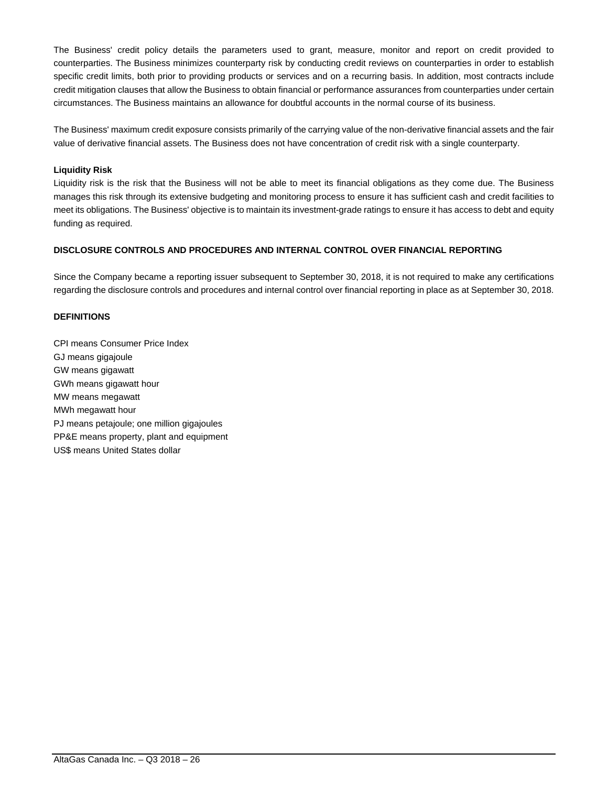The Business' credit policy details the parameters used to grant, measure, monitor and report on credit provided to counterparties. The Business minimizes counterparty risk by conducting credit reviews on counterparties in order to establish specific credit limits, both prior to providing products or services and on a recurring basis. In addition, most contracts include credit mitigation clauses that allow the Business to obtain financial or performance assurances from counterparties under certain circumstances. The Business maintains an allowance for doubtful accounts in the normal course of its business.

The Business' maximum credit exposure consists primarily of the carrying value of the non-derivative financial assets and the fair value of derivative financial assets. The Business does not have concentration of credit risk with a single counterparty.

### **Liquidity Risk**

Liquidity risk is the risk that the Business will not be able to meet its financial obligations as they come due. The Business manages this risk through its extensive budgeting and monitoring process to ensure it has sufficient cash and credit facilities to meet its obligations. The Business' objective is to maintain its investment-grade ratings to ensure it has access to debt and equity funding as required.

#### **DISCLOSURE CONTROLS AND PROCEDURES AND INTERNAL CONTROL OVER FINANCIAL REPORTING**

Since the Company became a reporting issuer subsequent to September 30, 2018, it is not required to make any certifications regarding the disclosure controls and procedures and internal control over financial reporting in place as at September 30, 2018.

#### **DEFINITIONS**

CPI means Consumer Price Index GJ means gigajoule GW means gigawatt GWh means gigawatt hour MW means megawatt MWh megawatt hour PJ means petajoule; one million gigajoules PP&E means property, plant and equipment US\$ means United States dollar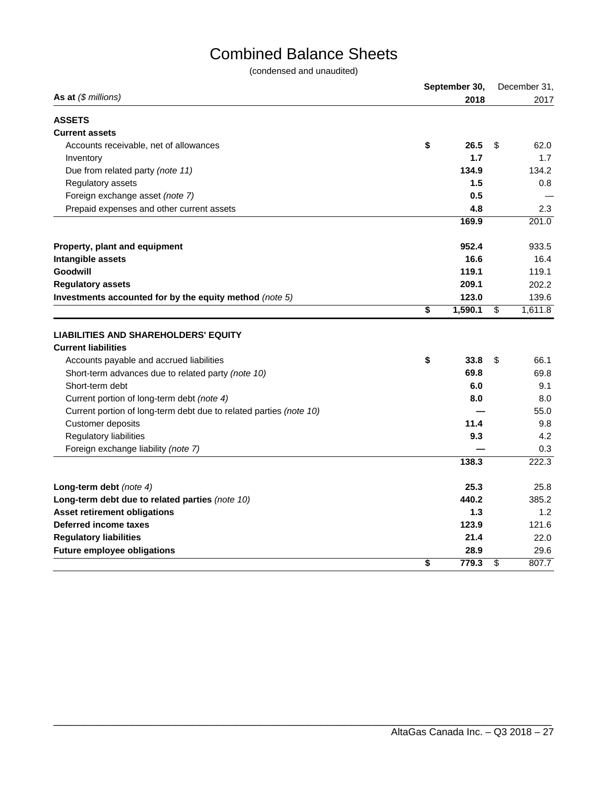## Combined Balance Sheets

(condensed and unaudited)

|                                                                    | September 30, | December 31,  |
|--------------------------------------------------------------------|---------------|---------------|
| As at $(\$$ millions)                                              | 2018          | 2017          |
| <b>ASSETS</b>                                                      |               |               |
| <b>Current assets</b>                                              |               |               |
| Accounts receivable, net of allowances                             | \$<br>26.5    | \$<br>62.0    |
| Inventory                                                          | 1.7           | 1.7           |
| Due from related party (note 11)                                   | 134.9         | 134.2         |
| Regulatory assets                                                  | 1.5           | 0.8           |
| Foreign exchange asset (note 7)                                    | 0.5           |               |
| Prepaid expenses and other current assets                          | 4.8           | 2.3           |
|                                                                    | 169.9         | 201.0         |
| Property, plant and equipment                                      | 952.4         | 933.5         |
| Intangible assets                                                  | 16.6          | 16.4          |
| Goodwill                                                           | 119.1         | 119.1         |
| <b>Regulatory assets</b>                                           | 209.1         | 202.2         |
| Investments accounted for by the equity method (note 5)            | 123.0         | 139.6         |
|                                                                    | \$<br>1,590.1 | \$<br>1,611.8 |
| <b>LIABILITIES AND SHAREHOLDERS' EQUITY</b>                        |               |               |
| <b>Current liabilities</b>                                         |               |               |
| Accounts payable and accrued liabilities                           | \$<br>33.8    | \$<br>66.1    |
| Short-term advances due to related party (note 10)                 | 69.8          | 69.8          |
| Short-term debt                                                    | 6.0           | 9.1           |
| Current portion of long-term debt (note 4)                         | 8.0           | 8.0           |
| Current portion of long-term debt due to related parties (note 10) |               | 55.0          |
| Customer deposits                                                  | 11.4          | 9.8           |
| <b>Regulatory liabilities</b>                                      | 9.3           | 4.2           |
| Foreign exchange liability (note 7)                                |               | 0.3           |
|                                                                    | 138.3         | 222.3         |
| Long-term debt (note 4)                                            | 25.3          | 25.8          |
| Long-term debt due to related parties (note 10)                    | 440.2         | 385.2         |
| <b>Asset retirement obligations</b>                                | 1.3           | 1.2           |
| Deferred income taxes                                              | 123.9         | 121.6         |
| <b>Regulatory liabilities</b>                                      | 21.4          | 22.0          |
| <b>Future employee obligations</b>                                 | 28.9          | 29.6          |
|                                                                    | \$<br>779.3   | \$<br>807.7   |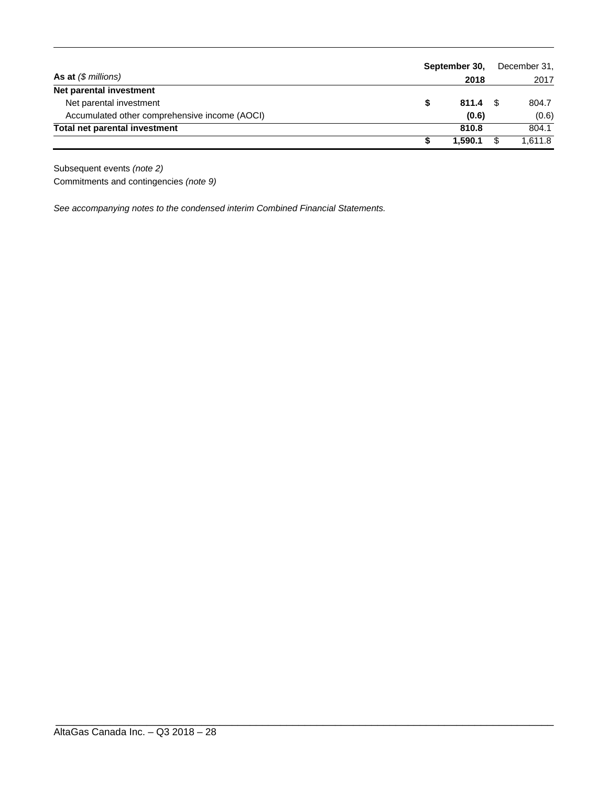|                                               | September 30,   | December 31, |         |  |
|-----------------------------------------------|-----------------|--------------|---------|--|
| As at $(\$$ millions)                         | 2018            |              | 2017    |  |
| Net parental investment                       |                 |              |         |  |
| Net parental investment                       | $811.4$ \$<br>S |              | 804.7   |  |
| Accumulated other comprehensive income (AOCI) | (0.6)           |              | (0.6)   |  |
| Total net parental investment                 | 810.8           |              | 804.1   |  |
|                                               | 1.590.1         | S            | 1.611.8 |  |

\_\_\_\_\_\_\_\_\_\_\_\_\_\_\_\_\_\_\_\_\_\_\_\_\_\_\_\_\_\_\_\_\_\_\_\_\_\_\_\_\_\_\_\_\_\_\_\_\_\_\_\_\_\_\_\_\_\_\_\_\_\_\_\_\_\_\_\_\_\_\_\_\_\_\_\_\_\_\_\_\_\_

Subsequent events *(note 2)*  Commitments and contingencies *(note 9)*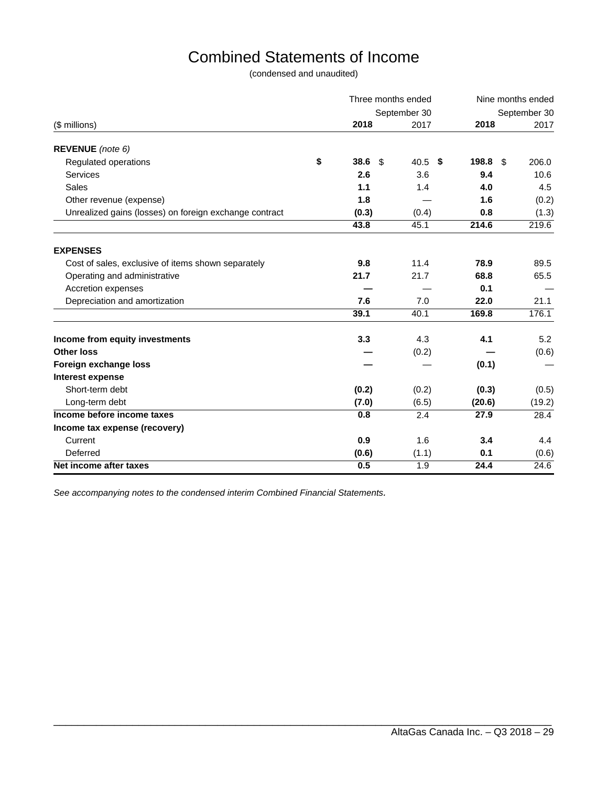## Combined Statements of Income

(condensed and unaudited)

|                                                        | Three months ended           |              | Nine months ended |              |  |  |
|--------------------------------------------------------|------------------------------|--------------|-------------------|--------------|--|--|
|                                                        |                              | September 30 |                   | September 30 |  |  |
| (\$ millions)                                          | 2018                         | 2017         | 2018              | 2017         |  |  |
| REVENUE (note 6)                                       |                              |              |                   |              |  |  |
| Regulated operations                                   | \$<br>38.6<br>$\mathfrak{L}$ | 40.5<br>\$   | 198.8<br>-\$      | 206.0        |  |  |
| Services                                               | 2.6                          | 3.6          | 9.4               | 10.6         |  |  |
| <b>Sales</b>                                           | 1.1                          | 1.4          | 4.0               | 4.5          |  |  |
| Other revenue (expense)                                | 1.8                          |              | 1.6               | (0.2)        |  |  |
| Unrealized gains (losses) on foreign exchange contract | (0.3)                        | (0.4)        | 0.8               | (1.3)        |  |  |
|                                                        | 43.8                         | 45.1         | 214.6             | 219.6        |  |  |
| <b>EXPENSES</b>                                        |                              |              |                   |              |  |  |
| Cost of sales, exclusive of items shown separately     | 9.8                          | 11.4         | 78.9              | 89.5         |  |  |
| Operating and administrative                           | 21.7                         | 21.7         | 68.8              | 65.5         |  |  |
| Accretion expenses                                     |                              |              | 0.1               |              |  |  |
| Depreciation and amortization                          | 7.6                          | 7.0          | 22.0              | 21.1         |  |  |
|                                                        | 39.1                         | 40.1         | 169.8             | 176.1        |  |  |
| Income from equity investments                         | 3.3                          | 4.3          | 4.1               | 5.2          |  |  |
| <b>Other loss</b>                                      |                              | (0.2)        |                   | (0.6)        |  |  |
| Foreign exchange loss                                  |                              |              | (0.1)             |              |  |  |
| Interest expense                                       |                              |              |                   |              |  |  |
| Short-term debt                                        | (0.2)                        | (0.2)        | (0.3)             | (0.5)        |  |  |
| Long-term debt                                         | (7.0)                        | (6.5)        | (20.6)            | (19.2)       |  |  |
| Income before income taxes                             | 0.8                          | 2.4          | 27.9              | 28.4         |  |  |
| Income tax expense (recovery)                          |                              |              |                   |              |  |  |
| Current                                                | 0.9                          | 1.6          | 3.4               | 4.4          |  |  |
| Deferred                                               | (0.6)                        | (1.1)        | 0.1               | (0.6)        |  |  |
| Net income after taxes                                 | 0.5                          | 1.9          | 24.4              | 24.6         |  |  |

\_\_\_\_\_\_\_\_\_\_\_\_\_\_\_\_\_\_\_\_\_\_\_\_\_\_\_\_\_\_\_\_\_\_\_\_\_\_\_\_\_\_\_\_\_\_\_\_\_\_\_\_\_\_\_\_\_\_\_\_\_\_\_\_\_\_\_\_\_\_\_\_\_\_\_\_\_\_\_\_\_\_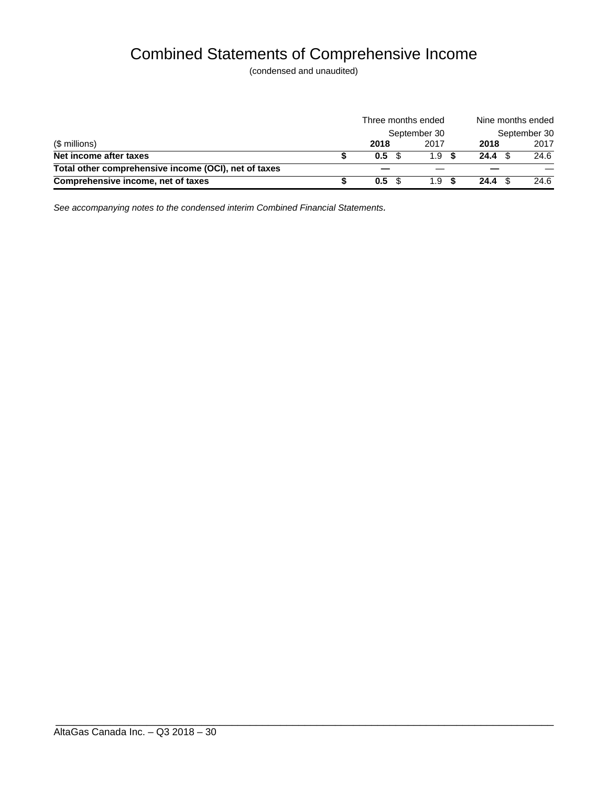## Combined Statements of Comprehensive Income

(condensed and unaudited)

|                                                      | Three months ended |                  |              |                   |              |
|------------------------------------------------------|--------------------|------------------|--------------|-------------------|--------------|
|                                                      |                    |                  | September 30 |                   | September 30 |
| (\$ millions)                                        |                    | 2018             | 2017         | 2018              | 2017         |
| Net income after taxes                               |                    | 0.5              | 1.9          | 24.4 <sup>°</sup> | 24.6         |
| Total other comprehensive income (OCI), net of taxes |                    |                  |              |                   |              |
| Comprehensive income, net of taxes                   |                    | 0.5 <sup>5</sup> | $1.9-$       | $24.4 \text{ } $$ | 24.6         |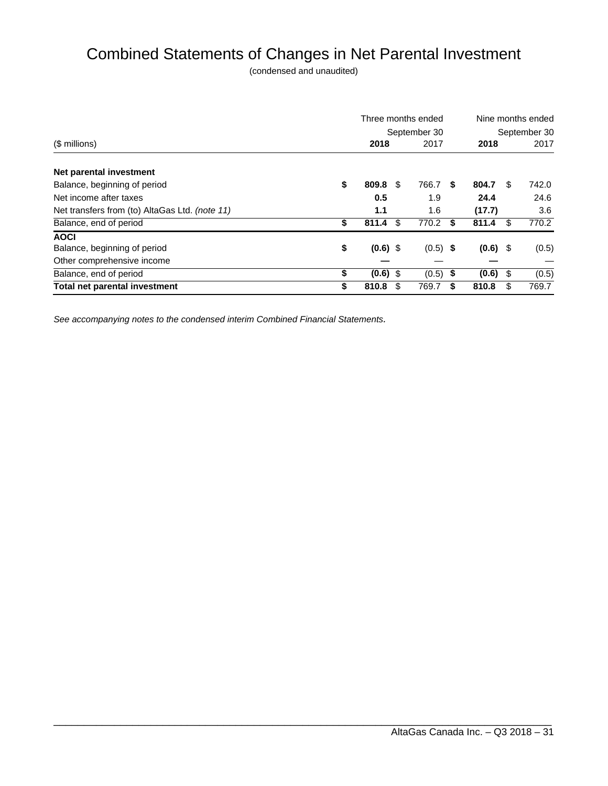## Combined Statements of Changes in Net Parental Investment

(condensed and unaudited)

|                                                |              |            |    | Three months ended | Nine months ended |              |     |       |
|------------------------------------------------|--------------|------------|----|--------------------|-------------------|--------------|-----|-------|
|                                                | September 30 |            |    |                    |                   | September 30 |     |       |
| (\$ millions)                                  |              | 2018       |    | 2017               |                   | 2018         |     | 2017  |
| Net parental investment                        |              |            |    |                    |                   |              |     |       |
| Balance, beginning of period                   | \$           | 809.8      | -S | 766.7              | S                 | 804.7        | \$. | 742.0 |
| Net income after taxes                         |              | 0.5        |    | 1.9                |                   | 24.4         |     | 24.6  |
| Net transfers from (to) AltaGas Ltd. (note 11) |              | 1.1        |    | 1.6                |                   | (17.7)       |     | 3.6   |
| Balance, end of period                         | \$           | 811.4      | \$ | 770.2              | \$                | 811.4        | \$  | 770.2 |
| <b>AOCI</b>                                    |              |            |    |                    |                   |              |     |       |
| Balance, beginning of period                   | \$           | $(0.6)$ \$ |    | $(0.5)$ \$         |                   | $(0.6)$ \$   |     | (0.5) |
| Other comprehensive income                     |              |            |    |                    |                   |              |     |       |
| Balance, end of period                         | \$           | $(0.6)$ \$ |    | $(0.5)$ \$         |                   | (0.6)        | \$  | (0.5) |
| <b>Total net parental investment</b>           |              | 810.8      |    | 769.7              | S                 | 810.8        | \$  | 769.7 |

\_\_\_\_\_\_\_\_\_\_\_\_\_\_\_\_\_\_\_\_\_\_\_\_\_\_\_\_\_\_\_\_\_\_\_\_\_\_\_\_\_\_\_\_\_\_\_\_\_\_\_\_\_\_\_\_\_\_\_\_\_\_\_\_\_\_\_\_\_\_\_\_\_\_\_\_\_\_\_\_\_\_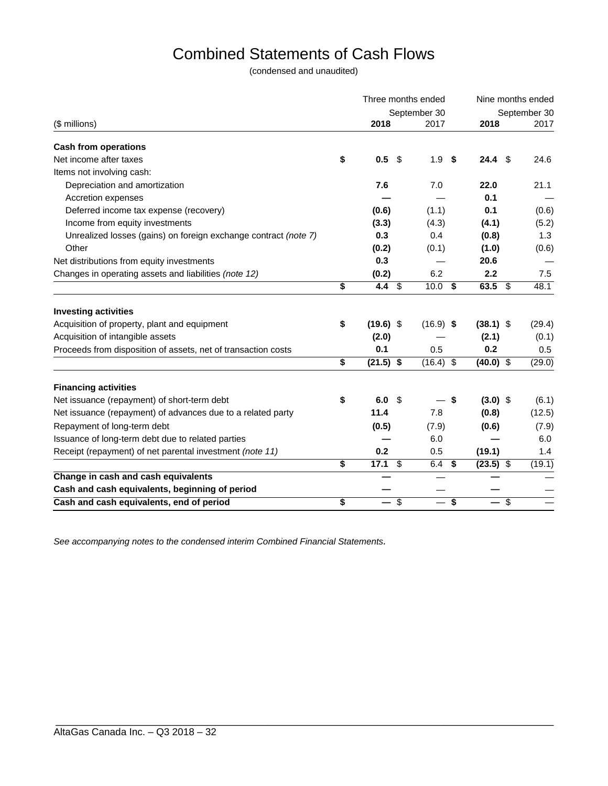## Combined Statements of Cash Flows

(condensed and unaudited)

|                                                                 |    | Three months ended |    |              |     | Nine months ended |                           |              |  |
|-----------------------------------------------------------------|----|--------------------|----|--------------|-----|-------------------|---------------------------|--------------|--|
|                                                                 |    |                    |    | September 30 |     |                   |                           | September 30 |  |
| (\$ millions)                                                   |    | 2018               |    | 2017         |     | 2018              |                           | 2017         |  |
| <b>Cash from operations</b>                                     |    |                    |    |              |     |                   |                           |              |  |
| Net income after taxes                                          | \$ | 0.5                | \$ | 1.9          | \$  | 24.4              | - \$                      | 24.6         |  |
| Items not involving cash:                                       |    |                    |    |              |     |                   |                           |              |  |
| Depreciation and amortization                                   |    | 7.6                |    | 7.0          |     | 22.0              |                           | 21.1         |  |
| Accretion expenses                                              |    |                    |    |              |     | 0.1               |                           |              |  |
| Deferred income tax expense (recovery)                          |    | (0.6)              |    | (1.1)        |     | 0.1               |                           | (0.6)        |  |
| Income from equity investments                                  |    | (3.3)              |    | (4.3)        |     | (4.1)             |                           | (5.2)        |  |
| Unrealized losses (gains) on foreign exchange contract (note 7) |    | 0.3                |    | 0.4          |     | (0.8)             |                           | 1.3          |  |
| Other                                                           |    | (0.2)              |    | (0.1)        |     | (1.0)             |                           | (0.6)        |  |
| Net distributions from equity investments                       |    | 0.3                |    |              |     | 20.6              |                           |              |  |
| Changes in operating assets and liabilities (note 12)           |    | (0.2)              |    | 6.2          |     | 2.2               |                           | 7.5          |  |
|                                                                 | \$ | 4.4 $$$            |    | $10.0$ \$    |     | 63.5              | - \$                      | 48.1         |  |
| <b>Investing activities</b>                                     |    |                    |    |              |     |                   |                           |              |  |
| Acquisition of property, plant and equipment                    | \$ | $(19.6)$ \$        |    | $(16.9)$ \$  |     | $(38.1)$ \$       |                           | (29.4)       |  |
| Acquisition of intangible assets                                |    | (2.0)              |    |              |     | (2.1)             |                           | (0.1)        |  |
| Proceeds from disposition of assets, net of transaction costs   |    | 0.1                |    | 0.5          |     | 0.2               |                           | 0.5          |  |
|                                                                 | \$ | $(21.5)$ \$        |    | $(16.4)$ \$  |     | $(40.0)$ \$       |                           | (29.0)       |  |
| <b>Financing activities</b>                                     |    |                    |    |              |     |                   |                           |              |  |
| Net issuance (repayment) of short-term debt                     | \$ | 6.0                | -S |              | -\$ | $(3.0)$ \$        |                           | (6.1)        |  |
| Net issuance (repayment) of advances due to a related party     |    | 11.4               |    | 7.8          |     | (0.8)             |                           | (12.5)       |  |
| Repayment of long-term debt                                     |    | (0.5)              |    | (7.9)        |     | (0.6)             |                           | (7.9)        |  |
| Issuance of long-term debt due to related parties               |    |                    |    | 6.0          |     |                   |                           | 6.0          |  |
| Receipt (repayment) of net parental investment (note 11)        |    | 0.2                |    | 0.5          |     | (19.1)            |                           | 1.4          |  |
|                                                                 | \$ | $17.1$ \$          |    | $6.4$ \$     |     | $(23.5)$ \$       |                           | (19.1)       |  |
| Change in cash and cash equivalents                             |    |                    |    |              |     |                   |                           |              |  |
| Cash and cash equivalents, beginning of period                  |    |                    |    |              |     |                   |                           |              |  |
| Cash and cash equivalents, end of period                        | \$ |                    | \$ |              | \$  |                   | $\boldsymbol{\mathsf{S}}$ |              |  |

\_\_\_\_\_\_\_\_\_\_\_\_\_\_\_\_\_\_\_\_\_\_\_\_\_\_\_\_\_\_\_\_\_\_\_\_\_\_\_\_\_\_\_\_\_\_\_\_\_\_\_\_\_\_\_\_\_\_\_\_\_\_\_\_\_\_\_\_\_\_\_\_\_\_\_\_\_\_\_\_\_\_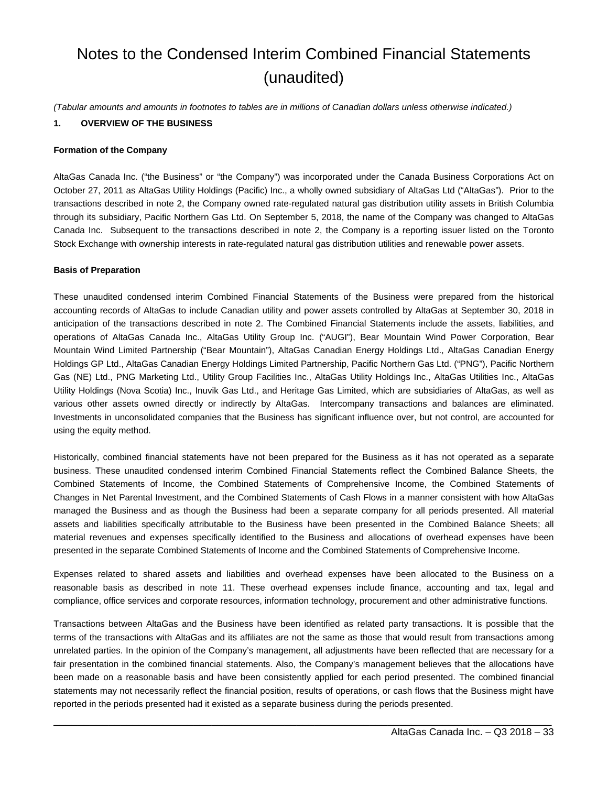## Notes to the Condensed Interim Combined Financial Statements (unaudited)

*(Tabular amounts and amounts in footnotes to tables are in millions of Canadian dollars unless otherwise indicated.)* 

## **1. OVERVIEW OF THE BUSINESS**

### **Formation of the Company**

AltaGas Canada Inc. ("the Business" or "the Company") was incorporated under the Canada Business Corporations Act on October 27, 2011 as AltaGas Utility Holdings (Pacific) Inc., a wholly owned subsidiary of AltaGas Ltd ("AltaGas"). Prior to the transactions described in note 2, the Company owned rate-regulated natural gas distribution utility assets in British Columbia through its subsidiary, Pacific Northern Gas Ltd. On September 5, 2018, the name of the Company was changed to AltaGas Canada Inc. Subsequent to the transactions described in note 2, the Company is a reporting issuer listed on the Toronto Stock Exchange with ownership interests in rate-regulated natural gas distribution utilities and renewable power assets.

### **Basis of Preparation**

These unaudited condensed interim Combined Financial Statements of the Business were prepared from the historical accounting records of AltaGas to include Canadian utility and power assets controlled by AltaGas at September 30, 2018 in anticipation of the transactions described in note 2. The Combined Financial Statements include the assets, liabilities, and operations of AltaGas Canada Inc., AltaGas Utility Group Inc. ("AUGI"), Bear Mountain Wind Power Corporation, Bear Mountain Wind Limited Partnership ("Bear Mountain"), AltaGas Canadian Energy Holdings Ltd., AltaGas Canadian Energy Holdings GP Ltd., AltaGas Canadian Energy Holdings Limited Partnership, Pacific Northern Gas Ltd. ("PNG"), Pacific Northern Gas (NE) Ltd., PNG Marketing Ltd., Utility Group Facilities Inc., AltaGas Utility Holdings Inc., AltaGas Utilities Inc., AltaGas Utility Holdings (Nova Scotia) Inc., Inuvik Gas Ltd., and Heritage Gas Limited, which are subsidiaries of AltaGas, as well as various other assets owned directly or indirectly by AltaGas. Intercompany transactions and balances are eliminated. Investments in unconsolidated companies that the Business has significant influence over, but not control, are accounted for using the equity method.

Historically, combined financial statements have not been prepared for the Business as it has not operated as a separate business. These unaudited condensed interim Combined Financial Statements reflect the Combined Balance Sheets, the Combined Statements of Income, the Combined Statements of Comprehensive Income, the Combined Statements of Changes in Net Parental Investment, and the Combined Statements of Cash Flows in a manner consistent with how AltaGas managed the Business and as though the Business had been a separate company for all periods presented. All material assets and liabilities specifically attributable to the Business have been presented in the Combined Balance Sheets; all material revenues and expenses specifically identified to the Business and allocations of overhead expenses have been presented in the separate Combined Statements of Income and the Combined Statements of Comprehensive Income.

Expenses related to shared assets and liabilities and overhead expenses have been allocated to the Business on a reasonable basis as described in note 11. These overhead expenses include finance, accounting and tax, legal and compliance, office services and corporate resources, information technology, procurement and other administrative functions.

Transactions between AltaGas and the Business have been identified as related party transactions. It is possible that the terms of the transactions with AltaGas and its affiliates are not the same as those that would result from transactions among unrelated parties. In the opinion of the Company's management, all adjustments have been reflected that are necessary for a fair presentation in the combined financial statements. Also, the Company's management believes that the allocations have been made on a reasonable basis and have been consistently applied for each period presented. The combined financial statements may not necessarily reflect the financial position, results of operations, or cash flows that the Business might have reported in the periods presented had it existed as a separate business during the periods presented.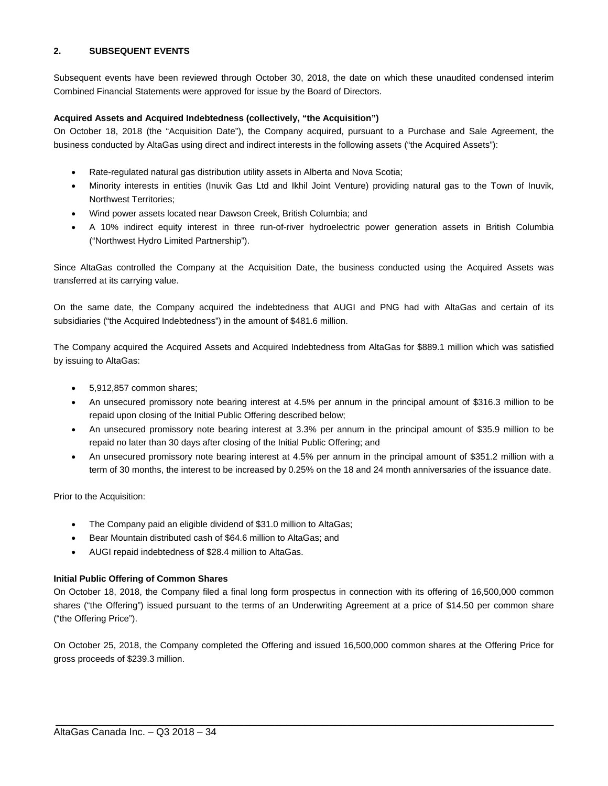## **2. SUBSEQUENT EVENTS**

Subsequent events have been reviewed through October 30, 2018, the date on which these unaudited condensed interim Combined Financial Statements were approved for issue by the Board of Directors.

## **Acquired Assets and Acquired Indebtedness (collectively, "the Acquisition")**

On October 18, 2018 (the "Acquisition Date"), the Company acquired, pursuant to a Purchase and Sale Agreement, the business conducted by AltaGas using direct and indirect interests in the following assets ("the Acquired Assets"):

- Rate-regulated natural gas distribution utility assets in Alberta and Nova Scotia;
- Minority interests in entities (Inuvik Gas Ltd and Ikhil Joint Venture) providing natural gas to the Town of Inuvik, Northwest Territories;
- Wind power assets located near Dawson Creek, British Columbia; and
- A 10% indirect equity interest in three run-of-river hydroelectric power generation assets in British Columbia ("Northwest Hydro Limited Partnership").

Since AltaGas controlled the Company at the Acquisition Date, the business conducted using the Acquired Assets was transferred at its carrying value.

On the same date, the Company acquired the indebtedness that AUGI and PNG had with AltaGas and certain of its subsidiaries ("the Acquired Indebtedness") in the amount of \$481.6 million.

The Company acquired the Acquired Assets and Acquired Indebtedness from AltaGas for \$889.1 million which was satisfied by issuing to AltaGas:

- 5,912,857 common shares;
- An unsecured promissory note bearing interest at 4.5% per annum in the principal amount of \$316.3 million to be repaid upon closing of the Initial Public Offering described below;
- An unsecured promissory note bearing interest at 3.3% per annum in the principal amount of \$35.9 million to be repaid no later than 30 days after closing of the Initial Public Offering; and
- An unsecured promissory note bearing interest at 4.5% per annum in the principal amount of \$351.2 million with a term of 30 months, the interest to be increased by 0.25% on the 18 and 24 month anniversaries of the issuance date.

Prior to the Acquisition:

- The Company paid an eligible dividend of \$31.0 million to AltaGas;
- Bear Mountain distributed cash of \$64.6 million to AltaGas; and
- AUGI repaid indebtedness of \$28.4 million to AltaGas.

## **Initial Public Offering of Common Shares**

On October 18, 2018, the Company filed a final long form prospectus in connection with its offering of 16,500,000 common shares ("the Offering") issued pursuant to the terms of an Underwriting Agreement at a price of \$14.50 per common share ("the Offering Price").

On October 25, 2018, the Company completed the Offering and issued 16,500,000 common shares at the Offering Price for gross proceeds of \$239.3 million.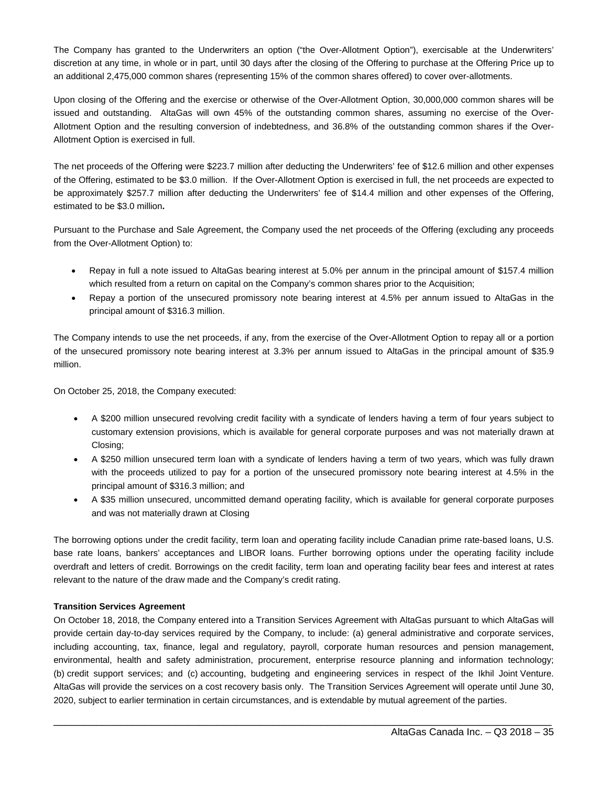The Company has granted to the Underwriters an option ("the Over-Allotment Option"), exercisable at the Underwriters' discretion at any time, in whole or in part, until 30 days after the closing of the Offering to purchase at the Offering Price up to an additional 2,475,000 common shares (representing 15% of the common shares offered) to cover over-allotments.

Upon closing of the Offering and the exercise or otherwise of the Over-Allotment Option, 30,000,000 common shares will be issued and outstanding. AltaGas will own 45% of the outstanding common shares, assuming no exercise of the Over-Allotment Option and the resulting conversion of indebtedness, and 36.8% of the outstanding common shares if the Over-Allotment Option is exercised in full.

The net proceeds of the Offering were \$223.7 million after deducting the Underwriters' fee of \$12.6 million and other expenses of the Offering, estimated to be \$3.0 million. If the Over-Allotment Option is exercised in full, the net proceeds are expected to be approximately \$257.7 million after deducting the Underwriters' fee of \$14.4 million and other expenses of the Offering, estimated to be \$3.0 million**.** 

Pursuant to the Purchase and Sale Agreement, the Company used the net proceeds of the Offering (excluding any proceeds from the Over-Allotment Option) to:

- Repay in full a note issued to AltaGas bearing interest at 5.0% per annum in the principal amount of \$157.4 million which resulted from a return on capital on the Company's common shares prior to the Acquisition;
- Repay a portion of the unsecured promissory note bearing interest at 4.5% per annum issued to AltaGas in the principal amount of \$316.3 million.

The Company intends to use the net proceeds, if any, from the exercise of the Over-Allotment Option to repay all or a portion of the unsecured promissory note bearing interest at 3.3% per annum issued to AltaGas in the principal amount of \$35.9 million.

On October 25, 2018, the Company executed:

- A \$200 million unsecured revolving credit facility with a syndicate of lenders having a term of four years subject to customary extension provisions, which is available for general corporate purposes and was not materially drawn at Closing;
- A \$250 million unsecured term loan with a syndicate of lenders having a term of two years, which was fully drawn with the proceeds utilized to pay for a portion of the unsecured promissory note bearing interest at 4.5% in the principal amount of \$316.3 million; and
- A \$35 million unsecured, uncommitted demand operating facility, which is available for general corporate purposes and was not materially drawn at Closing

The borrowing options under the credit facility, term loan and operating facility include Canadian prime rate-based loans, U.S. base rate loans, bankers' acceptances and LIBOR loans. Further borrowing options under the operating facility include overdraft and letters of credit. Borrowings on the credit facility, term loan and operating facility bear fees and interest at rates relevant to the nature of the draw made and the Company's credit rating.

## **Transition Services Agreement**

On October 18, 2018, the Company entered into a Transition Services Agreement with AltaGas pursuant to which AltaGas will provide certain day-to-day services required by the Company, to include: (a) general administrative and corporate services, including accounting, tax, finance, legal and regulatory, payroll, corporate human resources and pension management, environmental, health and safety administration, procurement, enterprise resource planning and information technology; (b) credit support services; and (c) accounting, budgeting and engineering services in respect of the Ikhil Joint Venture. AltaGas will provide the services on a cost recovery basis only. The Transition Services Agreement will operate until June 30, 2020, subject to earlier termination in certain circumstances, and is extendable by mutual agreement of the parties.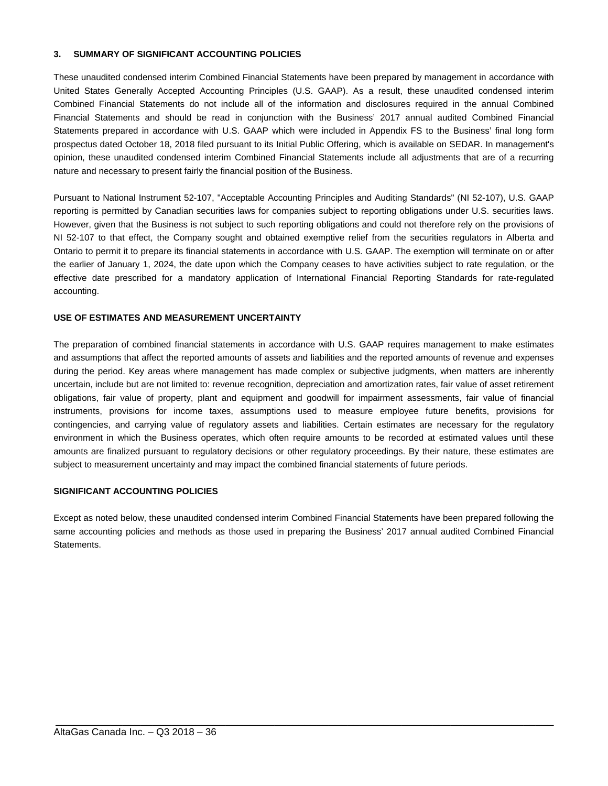#### **3. SUMMARY OF SIGNIFICANT ACCOUNTING POLICIES**

These unaudited condensed interim Combined Financial Statements have been prepared by management in accordance with United States Generally Accepted Accounting Principles (U.S. GAAP). As a result, these unaudited condensed interim Combined Financial Statements do not include all of the information and disclosures required in the annual Combined Financial Statements and should be read in conjunction with the Business' 2017 annual audited Combined Financial Statements prepared in accordance with U.S. GAAP which were included in Appendix FS to the Business' final long form prospectus dated October 18, 2018 filed pursuant to its Initial Public Offering, which is available on SEDAR. In management's opinion, these unaudited condensed interim Combined Financial Statements include all adjustments that are of a recurring nature and necessary to present fairly the financial position of the Business.

Pursuant to National Instrument 52-107, "Acceptable Accounting Principles and Auditing Standards" (NI 52-107), U.S. GAAP reporting is permitted by Canadian securities laws for companies subject to reporting obligations under U.S. securities laws. However, given that the Business is not subject to such reporting obligations and could not therefore rely on the provisions of NI 52-107 to that effect, the Company sought and obtained exemptive relief from the securities regulators in Alberta and Ontario to permit it to prepare its financial statements in accordance with U.S. GAAP. The exemption will terminate on or after the earlier of January 1, 2024, the date upon which the Company ceases to have activities subject to rate regulation, or the effective date prescribed for a mandatory application of International Financial Reporting Standards for rate-regulated accounting.

#### **USE OF ESTIMATES AND MEASUREMENT UNCERTAINTY**

The preparation of combined financial statements in accordance with U.S. GAAP requires management to make estimates and assumptions that affect the reported amounts of assets and liabilities and the reported amounts of revenue and expenses during the period. Key areas where management has made complex or subjective judgments, when matters are inherently uncertain, include but are not limited to: revenue recognition, depreciation and amortization rates, fair value of asset retirement obligations, fair value of property, plant and equipment and goodwill for impairment assessments, fair value of financial instruments, provisions for income taxes, assumptions used to measure employee future benefits, provisions for contingencies, and carrying value of regulatory assets and liabilities. Certain estimates are necessary for the regulatory environment in which the Business operates, which often require amounts to be recorded at estimated values until these amounts are finalized pursuant to regulatory decisions or other regulatory proceedings. By their nature, these estimates are subject to measurement uncertainty and may impact the combined financial statements of future periods.

#### **SIGNIFICANT ACCOUNTING POLICIES**

Except as noted below, these unaudited condensed interim Combined Financial Statements have been prepared following the same accounting policies and methods as those used in preparing the Business' 2017 annual audited Combined Financial Statements.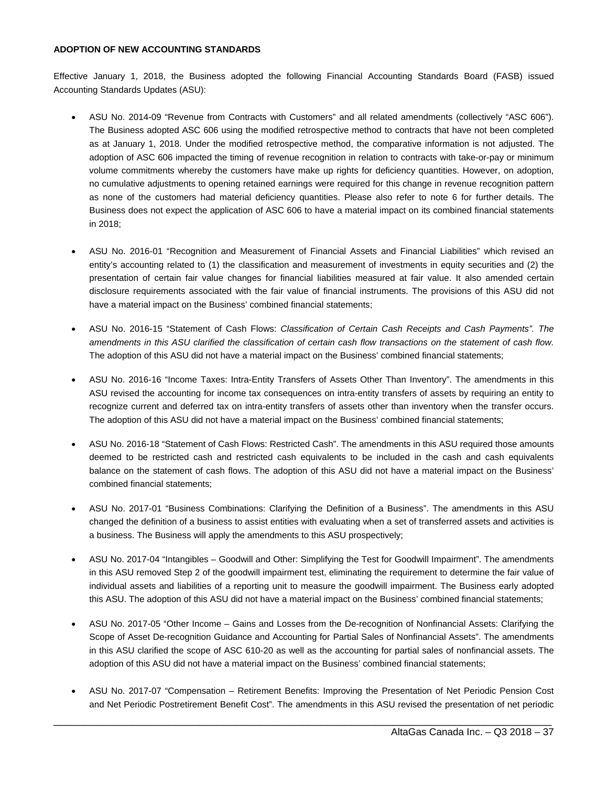#### **ADOPTION OF NEW ACCOUNTING STANDARDS**

Effective January 1, 2018, the Business adopted the following Financial Accounting Standards Board (FASB) issued Accounting Standards Updates (ASU):

- ASU No. 2014-09 "Revenue from Contracts with Customers" and all related amendments (collectively "ASC 606"). The Business adopted ASC 606 using the modified retrospective method to contracts that have not been completed as at January 1, 2018. Under the modified retrospective method, the comparative information is not adjusted. The adoption of ASC 606 impacted the timing of revenue recognition in relation to contracts with take-or-pay or minimum volume commitments whereby the customers have make up rights for deficiency quantities. However, on adoption, no cumulative adjustments to opening retained earnings were required for this change in revenue recognition pattern as none of the customers had material deficiency quantities. Please also refer to note 6 for further details. The Business does not expect the application of ASC 606 to have a material impact on its combined financial statements in 2018;
- ASU No. 2016-01 "Recognition and Measurement of Financial Assets and Financial Liabilities" which revised an entity's accounting related to (1) the classification and measurement of investments in equity securities and (2) the presentation of certain fair value changes for financial liabilities measured at fair value. It also amended certain disclosure requirements associated with the fair value of financial instruments. The provisions of this ASU did not have a material impact on the Business' combined financial statements;
- ASU No. 2016-15 "Statement of Cash Flows: *Classification of Certain Cash Receipts and Cash Payments". The amendments in this ASU clarified the classification of certain cash flow transactions on the statement of cash flow.*  The adoption of this ASU did not have a material impact on the Business' combined financial statements;
- ASU No. 2016-16 "Income Taxes: Intra-Entity Transfers of Assets Other Than Inventory". The amendments in this ASU revised the accounting for income tax consequences on intra-entity transfers of assets by requiring an entity to recognize current and deferred tax on intra-entity transfers of assets other than inventory when the transfer occurs. The adoption of this ASU did not have a material impact on the Business' combined financial statements;
- ASU No. 2016-18 "Statement of Cash Flows: Restricted Cash". The amendments in this ASU required those amounts deemed to be restricted cash and restricted cash equivalents to be included in the cash and cash equivalents balance on the statement of cash flows. The adoption of this ASU did not have a material impact on the Business' combined financial statements;
- ASU No. 2017-01 "Business Combinations: Clarifying the Definition of a Business". The amendments in this ASU changed the definition of a business to assist entities with evaluating when a set of transferred assets and activities is a business. The Business will apply the amendments to this ASU prospectively;
- ASU No. 2017-04 "Intangibles Goodwill and Other: Simplifying the Test for Goodwill Impairment". The amendments in this ASU removed Step 2 of the goodwill impairment test, eliminating the requirement to determine the fair value of individual assets and liabilities of a reporting unit to measure the goodwill impairment. The Business early adopted this ASU. The adoption of this ASU did not have a material impact on the Business' combined financial statements;
- ASU No. 2017-05 "Other Income Gains and Losses from the De-recognition of Nonfinancial Assets: Clarifying the Scope of Asset De-recognition Guidance and Accounting for Partial Sales of Nonfinancial Assets". The amendments in this ASU clarified the scope of ASC 610-20 as well as the accounting for partial sales of nonfinancial assets. The adoption of this ASU did not have a material impact on the Business' combined financial statements;
- ASU No. 2017-07 "Compensation Retirement Benefits: Improving the Presentation of Net Periodic Pension Cost and Net Periodic Postretirement Benefit Cost". The amendments in this ASU revised the presentation of net periodic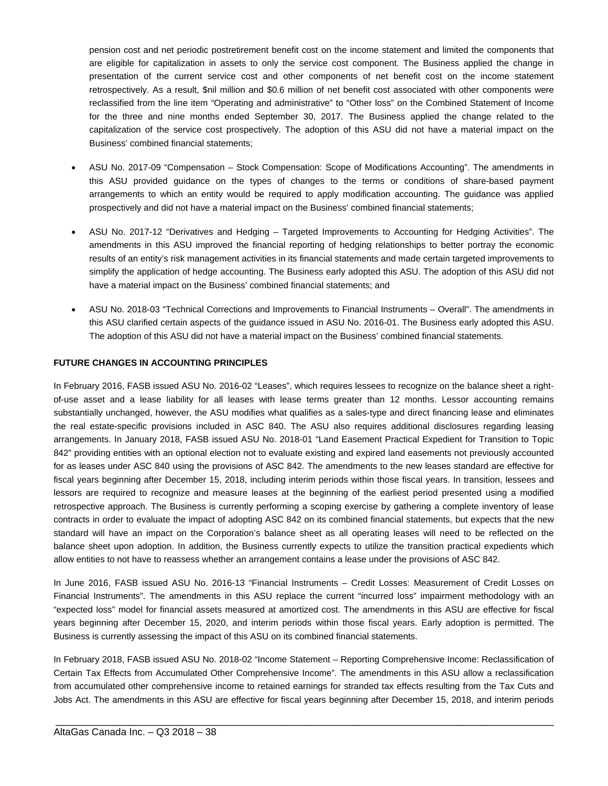pension cost and net periodic postretirement benefit cost on the income statement and limited the components that are eligible for capitalization in assets to only the service cost component. The Business applied the change in presentation of the current service cost and other components of net benefit cost on the income statement retrospectively. As a result, \$nil million and \$0.6 million of net benefit cost associated with other components were reclassified from the line item "Operating and administrative" to "Other loss" on the Combined Statement of Income for the three and nine months ended September 30, 2017. The Business applied the change related to the capitalization of the service cost prospectively. The adoption of this ASU did not have a material impact on the Business' combined financial statements;

- ASU No. 2017-09 "Compensation Stock Compensation: Scope of Modifications Accounting". The amendments in this ASU provided guidance on the types of changes to the terms or conditions of share-based payment arrangements to which an entity would be required to apply modification accounting. The guidance was applied prospectively and did not have a material impact on the Business' combined financial statements;
- ASU No. 2017-12 "Derivatives and Hedging Targeted Improvements to Accounting for Hedging Activities". The amendments in this ASU improved the financial reporting of hedging relationships to better portray the economic results of an entity's risk management activities in its financial statements and made certain targeted improvements to simplify the application of hedge accounting. The Business early adopted this ASU. The adoption of this ASU did not have a material impact on the Business' combined financial statements; and
- ASU No. 2018-03 "Technical Corrections and Improvements to Financial Instruments Overall". The amendments in this ASU clarified certain aspects of the guidance issued in ASU No. 2016-01. The Business early adopted this ASU. The adoption of this ASU did not have a material impact on the Business' combined financial statements.

## **FUTURE CHANGES IN ACCOUNTING PRINCIPLES**

In February 2016, FASB issued ASU No. 2016-02 "Leases", which requires lessees to recognize on the balance sheet a rightof-use asset and a lease liability for all leases with lease terms greater than 12 months. Lessor accounting remains substantially unchanged, however, the ASU modifies what qualifies as a sales-type and direct financing lease and eliminates the real estate-specific provisions included in ASC 840. The ASU also requires additional disclosures regarding leasing arrangements. In January 2018, FASB issued ASU No. 2018-01 "Land Easement Practical Expedient for Transition to Topic 842" providing entities with an optional election not to evaluate existing and expired land easements not previously accounted for as leases under ASC 840 using the provisions of ASC 842. The amendments to the new leases standard are effective for fiscal years beginning after December 15, 2018, including interim periods within those fiscal years. In transition, lessees and lessors are required to recognize and measure leases at the beginning of the earliest period presented using a modified retrospective approach. The Business is currently performing a scoping exercise by gathering a complete inventory of lease contracts in order to evaluate the impact of adopting ASC 842 on its combined financial statements, but expects that the new standard will have an impact on the Corporation's balance sheet as all operating leases will need to be reflected on the balance sheet upon adoption. In addition, the Business currently expects to utilize the transition practical expedients which allow entities to not have to reassess whether an arrangement contains a lease under the provisions of ASC 842.

In June 2016, FASB issued ASU No. 2016-13 "Financial Instruments – Credit Losses: Measurement of Credit Losses on Financial Instruments". The amendments in this ASU replace the current "incurred loss" impairment methodology with an "expected loss" model for financial assets measured at amortized cost. The amendments in this ASU are effective for fiscal years beginning after December 15, 2020, and interim periods within those fiscal years. Early adoption is permitted. The Business is currently assessing the impact of this ASU on its combined financial statements.

In February 2018, FASB issued ASU No. 2018-02 "Income Statement – Reporting Comprehensive Income: Reclassification of Certain Tax Effects from Accumulated Other Comprehensive Income". The amendments in this ASU allow a reclassification from accumulated other comprehensive income to retained earnings for stranded tax effects resulting from the Tax Cuts and Jobs Act. The amendments in this ASU are effective for fiscal years beginning after December 15, 2018, and interim periods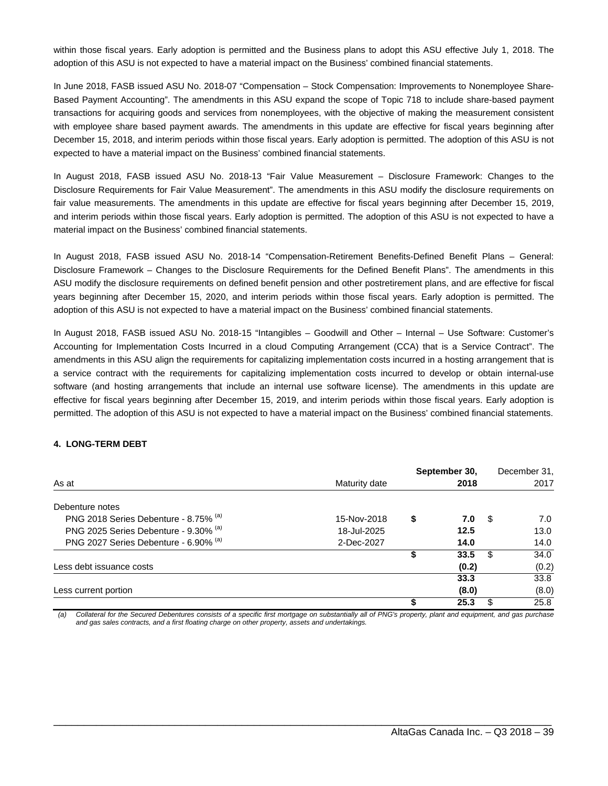within those fiscal years. Early adoption is permitted and the Business plans to adopt this ASU effective July 1, 2018. The adoption of this ASU is not expected to have a material impact on the Business' combined financial statements.

In June 2018, FASB issued ASU No. 2018-07 "Compensation – Stock Compensation: Improvements to Nonemployee Share-Based Payment Accounting". The amendments in this ASU expand the scope of Topic 718 to include share-based payment transactions for acquiring goods and services from nonemployees, with the objective of making the measurement consistent with employee share based payment awards. The amendments in this update are effective for fiscal years beginning after December 15, 2018, and interim periods within those fiscal years. Early adoption is permitted. The adoption of this ASU is not expected to have a material impact on the Business' combined financial statements.

In August 2018, FASB issued ASU No. 2018-13 "Fair Value Measurement – Disclosure Framework: Changes to the Disclosure Requirements for Fair Value Measurement". The amendments in this ASU modify the disclosure requirements on fair value measurements. The amendments in this update are effective for fiscal years beginning after December 15, 2019, and interim periods within those fiscal years. Early adoption is permitted. The adoption of this ASU is not expected to have a material impact on the Business' combined financial statements.

In August 2018, FASB issued ASU No. 2018-14 "Compensation-Retirement Benefits-Defined Benefit Plans – General: Disclosure Framework – Changes to the Disclosure Requirements for the Defined Benefit Plans". The amendments in this ASU modify the disclosure requirements on defined benefit pension and other postretirement plans, and are effective for fiscal years beginning after December 15, 2020, and interim periods within those fiscal years. Early adoption is permitted. The adoption of this ASU is not expected to have a material impact on the Business' combined financial statements.

In August 2018, FASB issued ASU No. 2018-15 "Intangibles – Goodwill and Other – Internal – Use Software: Customer's Accounting for Implementation Costs Incurred in a cloud Computing Arrangement (CCA) that is a Service Contract". The amendments in this ASU align the requirements for capitalizing implementation costs incurred in a hosting arrangement that is a service contract with the requirements for capitalizing implementation costs incurred to develop or obtain internal-use software (and hosting arrangements that include an internal use software license). The amendments in this update are effective for fiscal years beginning after December 15, 2019, and interim periods within those fiscal years. Early adoption is permitted. The adoption of this ASU is not expected to have a material impact on the Business' combined financial statements.

## **4. LONG-TERM DEBT**

|                                       |               |   | September 30, |     | December 31, |
|---------------------------------------|---------------|---|---------------|-----|--------------|
| As at                                 | Maturity date |   | 2018          |     | 2017         |
| Debenture notes                       |               |   |               |     |              |
| PNG 2018 Series Debenture - 8.75% (a) | 15-Nov-2018   | S | 7.0           | -SS | 7.0          |
| PNG 2025 Series Debenture - 9.30% (a) | 18-Jul-2025   |   | 12.5          |     | 13.0         |
| PNG 2027 Series Debenture - 6.90% (a) | 2-Dec-2027    |   | 14.0          |     | 14.0         |
|                                       |               |   | 33.5          | \$  | 34.0         |
| Less debt issuance costs              |               |   | (0.2)         |     | (0.2)        |
|                                       |               |   | 33.3          |     | 33.8         |
| Less current portion                  |               |   | (8.0)         |     | (8.0)        |
|                                       |               |   | 25.3          | \$  | 25.8         |

*(a) Collateral for the Secured Debentures consists of a specific first mortgage on substantially all of PNG's property, plant and equipment, and gas purchase and gas sales contracts, and a first floating charge on other property, assets and undertakings.*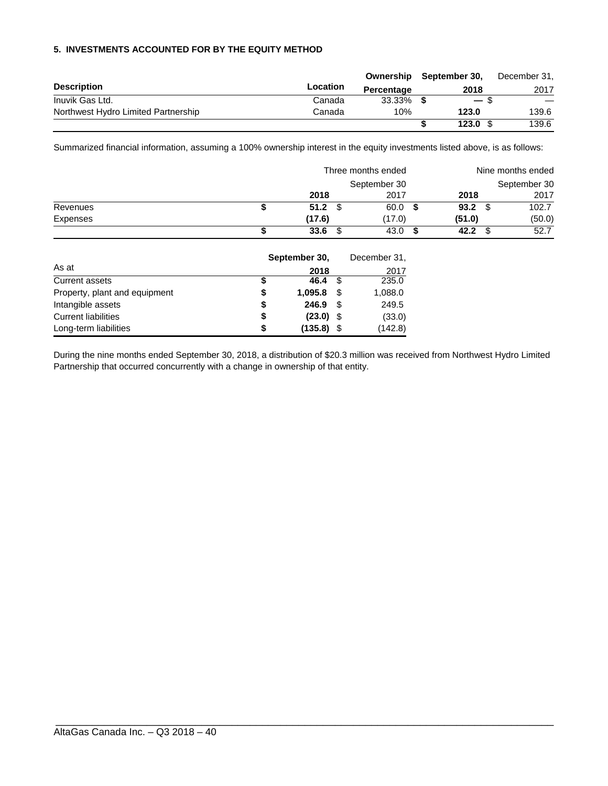## **5. INVESTMENTS ACCOUNTED FOR BY THE EQUITY METHOD**

|                                     |          | Ownership  | September 30, | December 31, |
|-------------------------------------|----------|------------|---------------|--------------|
| <b>Description</b>                  | Location | Percentage | 2018          | 2017         |
| Inuvik Gas Ltd.                     | Canada   | 33.33%     | $-$ \$        |              |
| Northwest Hydro Limited Partnership | Canada   | 10%        | 123.0         | 139.6        |
|                                     |          |            | 123.0         | 139.6        |

Summarized financial information, assuming a 100% ownership interest in the equity investments listed above, is as follows:

|          |        | Three months ended | Nine months ended |        |  |  |  |
|----------|--------|--------------------|-------------------|--------|--|--|--|
|          |        | September 30       | September 30      |        |  |  |  |
|          | 2018   | 2017               | 2018              | 2017   |  |  |  |
| Revenues | 51.2   | 60.0               | 93.2              | 102.7  |  |  |  |
| Expenses | (17.6) | (17.0)             | (51.0)            | (50.0) |  |  |  |
|          | 33.6   | 43.0               | 42.2              | 52.7   |  |  |  |

|                               | September 30, |              | December 31, |         |  |
|-------------------------------|---------------|--------------|--------------|---------|--|
| As at                         |               | 2018         |              | 2017    |  |
| Current assets                | \$            | 46.4         | - \$         | 235.0   |  |
| Property, plant and equipment | \$            | 1,095.8      | -SS          | 1,088.0 |  |
| Intangible assets             | \$            | 246.9        | - \$         | 249.5   |  |
| <b>Current liabilities</b>    | \$            | $(23.0)$ \$  |              | (33.0)  |  |
| Long-term liabilities         | S             | $(135.8)$ \$ |              | (142.8) |  |

During the nine months ended September 30, 2018, a distribution of \$20.3 million was received from Northwest Hydro Limited Partnership that occurred concurrently with a change in ownership of that entity.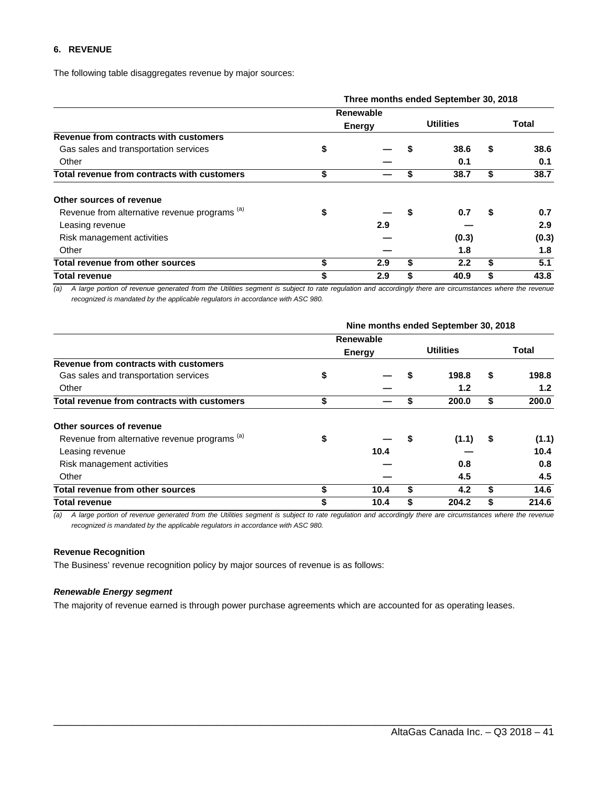## **6. REVENUE**

The following table disaggregates revenue by major sources:

|                                                          | Three months ended September 30, 2018 |           |                  |       |       |       |  |  |  |  |
|----------------------------------------------------------|---------------------------------------|-----------|------------------|-------|-------|-------|--|--|--|--|
|                                                          |                                       | Renewable |                  |       |       |       |  |  |  |  |
|                                                          | Energy                                |           | <b>Utilities</b> |       | Total |       |  |  |  |  |
| Revenue from contracts with customers                    |                                       |           |                  |       |       |       |  |  |  |  |
| Gas sales and transportation services                    | \$                                    |           |                  | 38.6  | S     | 38.6  |  |  |  |  |
| Other                                                    |                                       |           |                  | 0.1   |       | 0.1   |  |  |  |  |
| Total revenue from contracts with customers              | \$                                    |           | S                | 38.7  | S     | 38.7  |  |  |  |  |
| Other sources of revenue                                 |                                       |           |                  |       |       |       |  |  |  |  |
| Revenue from alternative revenue programs <sup>(a)</sup> | \$                                    |           |                  | 0.7   | S     | 0.7   |  |  |  |  |
| Leasing revenue                                          |                                       | 2.9       |                  |       |       | 2.9   |  |  |  |  |
| Risk management activities                               |                                       |           |                  | (0.3) |       | (0.3) |  |  |  |  |
| Other                                                    |                                       |           |                  | 1.8   |       | 1.8   |  |  |  |  |
| Total revenue from other sources                         | \$                                    | 2.9       | \$               | 2.2   | \$    | 5.1   |  |  |  |  |
| Total revenue                                            | \$                                    | 2.9       |                  | 40.9  |       | 43.8  |  |  |  |  |

*(a) A large portion of revenue generated from the Utilities segment is subject to rate regulation and accordingly there are circumstances where the revenue recognized is mandated by the applicable regulators in accordance with ASC 980.* 

|                                                          | Nine months ended September 30, 2018 |           |                  |                  |       |                  |  |  |  |  |  |
|----------------------------------------------------------|--------------------------------------|-----------|------------------|------------------|-------|------------------|--|--|--|--|--|
|                                                          |                                      | Renewable |                  |                  |       |                  |  |  |  |  |  |
|                                                          | <b>Energy</b>                        |           | <b>Utilities</b> |                  | Total |                  |  |  |  |  |  |
| Revenue from contracts with customers                    |                                      |           |                  |                  |       |                  |  |  |  |  |  |
| Gas sales and transportation services                    | \$                                   |           |                  | 198.8            | \$    | 198.8            |  |  |  |  |  |
| Other                                                    |                                      |           |                  | 1.2 <sub>2</sub> |       | 1.2 <sub>2</sub> |  |  |  |  |  |
| Total revenue from contracts with customers              | \$                                   |           |                  | 200.0            | \$    | 200.0            |  |  |  |  |  |
| Other sources of revenue                                 |                                      |           |                  |                  |       |                  |  |  |  |  |  |
| Revenue from alternative revenue programs <sup>(a)</sup> | \$                                   |           | 5                | (1.1)            | \$    | (1.1)            |  |  |  |  |  |
| Leasing revenue                                          |                                      | 10.4      |                  |                  |       | 10.4             |  |  |  |  |  |
| Risk management activities                               |                                      |           |                  | 0.8              |       | 0.8              |  |  |  |  |  |
| Other                                                    |                                      |           |                  | 4.5              |       | 4.5              |  |  |  |  |  |
| Total revenue from other sources                         | \$                                   | 10.4      | \$               | 4.2              | S     | 14.6             |  |  |  |  |  |
| <b>Total revenue</b>                                     |                                      | 10.4      |                  | 204.2            |       | 214.6            |  |  |  |  |  |

*(a) A large portion of revenue generated from the Utilities segment is subject to rate regulation and accordingly there are circumstances where the revenue recognized is mandated by the applicable regulators in accordance with ASC 980.* 

\_\_\_\_\_\_\_\_\_\_\_\_\_\_\_\_\_\_\_\_\_\_\_\_\_\_\_\_\_\_\_\_\_\_\_\_\_\_\_\_\_\_\_\_\_\_\_\_\_\_\_\_\_\_\_\_\_\_\_\_\_\_\_\_\_\_\_\_\_\_\_\_\_\_\_\_\_\_\_\_\_\_

### **Revenue Recognition**

The Business' revenue recognition policy by major sources of revenue is as follows:

#### *Renewable Energy segment*

The majority of revenue earned is through power purchase agreements which are accounted for as operating leases.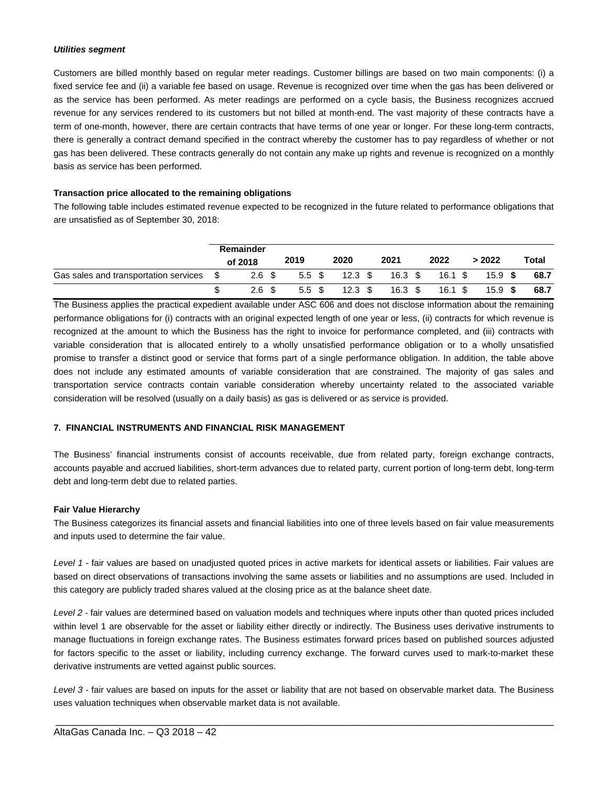#### *Utilities segment*

Customers are billed monthly based on regular meter readings. Customer billings are based on two main components: (i) a fixed service fee and (ii) a variable fee based on usage. Revenue is recognized over time when the gas has been delivered or as the service has been performed. As meter readings are performed on a cycle basis, the Business recognizes accrued revenue for any services rendered to its customers but not billed at month-end. The vast majority of these contracts have a term of one-month, however, there are certain contracts that have terms of one year or longer. For these long-term contracts, there is generally a contract demand specified in the contract whereby the customer has to pay regardless of whether or not gas has been delivered. These contracts generally do not contain any make up rights and revenue is recognized on a monthly basis as service has been performed.

## **Transaction price allocated to the remaining obligations**

The following table includes estimated revenue expected to be recognized in the future related to performance obligations that are unsatisfied as of September 30, 2018:

|                                                  | Remainder        |        |                                |                         |      |           |       |
|--------------------------------------------------|------------------|--------|--------------------------------|-------------------------|------|-----------|-------|
|                                                  | of 2018          | 2019   | 2020                           | 2021                    | 2022 | > 2022    | Total |
| Gas sales and transportation services $$$ 2.6 \$ |                  |        | 5.5 \$ 12.3 \$ 16.3 \$ 16.1 \$ |                         |      | 15.9 \$   | 68.7  |
|                                                  | 2.6 <sup>5</sup> | 5.5 \$ |                                | 12.3 \$ 16.3 \$ 16.1 \$ |      | $15.9$ \$ | 68.7  |

The Business applies the practical expedient available under ASC 606 and does not disclose information about the remaining performance obligations for (i) contracts with an original expected length of one year or less, (ii) contracts for which revenue is recognized at the amount to which the Business has the right to invoice for performance completed, and (iii) contracts with variable consideration that is allocated entirely to a wholly unsatisfied performance obligation or to a wholly unsatisfied promise to transfer a distinct good or service that forms part of a single performance obligation. In addition, the table above does not include any estimated amounts of variable consideration that are constrained. The majority of gas sales and transportation service contracts contain variable consideration whereby uncertainty related to the associated variable consideration will be resolved (usually on a daily basis) as gas is delivered or as service is provided.

## **7. FINANCIAL INSTRUMENTS AND FINANCIAL RISK MANAGEMENT**

The Business' financial instruments consist of accounts receivable, due from related party, foreign exchange contracts, accounts payable and accrued liabilities, short-term advances due to related party, current portion of long-term debt, long-term debt and long-term debt due to related parties.

#### **Fair Value Hierarchy**

The Business categorizes its financial assets and financial liabilities into one of three levels based on fair value measurements and inputs used to determine the fair value.

*Level 1* - fair values are based on unadjusted quoted prices in active markets for identical assets or liabilities. Fair values are based on direct observations of transactions involving the same assets or liabilities and no assumptions are used. Included in this category are publicly traded shares valued at the closing price as at the balance sheet date.

*Level 2* - fair values are determined based on valuation models and techniques where inputs other than quoted prices included within level 1 are observable for the asset or liability either directly or indirectly. The Business uses derivative instruments to manage fluctuations in foreign exchange rates. The Business estimates forward prices based on published sources adjusted for factors specific to the asset or liability, including currency exchange. The forward curves used to mark-to-market these derivative instruments are vetted against public sources.

*Level 3* - fair values are based on inputs for the asset or liability that are not based on observable market data. The Business uses valuation techniques when observable market data is not available.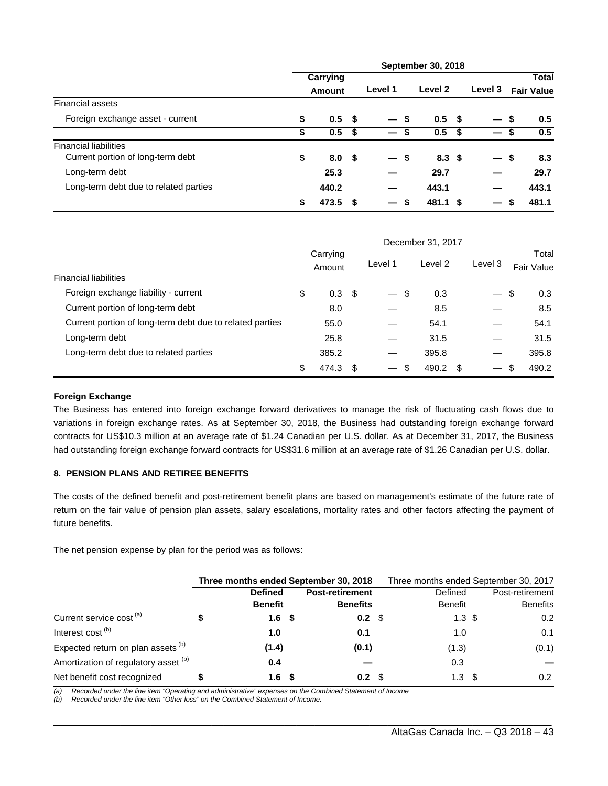|                                       | <b>September 30, 2018</b> |                  |      |                          |    |                  |  |         |    |                   |
|---------------------------------------|---------------------------|------------------|------|--------------------------|----|------------------|--|---------|----|-------------------|
|                                       | Carrying                  |                  |      |                          |    |                  |  |         |    | <b>Total</b>      |
|                                       |                           | Amount           |      | Level 1                  |    | Level 2          |  | Level 3 |    | <b>Fair Value</b> |
| <b>Financial assets</b>               |                           |                  |      |                          |    |                  |  |         |    |                   |
| Foreign exchange asset - current      | \$                        | 0.5 <sup>5</sup> |      | — \$                     |    | 0.5 <sup>5</sup> |  | $-5$    |    | 0.5               |
|                                       | \$                        | 0.5              | -\$  | $\overline{\phantom{0}}$ | \$ | 0.5 <sup>5</sup> |  |         | 5  | 0.5               |
| <b>Financial liabilities</b>          |                           |                  |      |                          |    |                  |  |         |    |                   |
| Current portion of long-term debt     | \$                        | 8.0 <sup>5</sup> |      | $\overline{\phantom{0}}$ | \$ | 8.3 <sup>5</sup> |  |         | \$ | 8.3               |
| Long-term debt                        |                           | 25.3             |      |                          |    | 29.7             |  |         |    | 29.7              |
| Long-term debt due to related parties |                           | 440.2            |      |                          |    | 443.1            |  |         |    | 443.1             |
|                                       | \$                        | 473.5            | - \$ | $\overline{\phantom{0}}$ | \$ | 481.1 \$         |  |         | S  | 481.1             |

|                                                          | December 31, 2017 |       |         |         |            |     |             |  |  |
|----------------------------------------------------------|-------------------|-------|---------|---------|------------|-----|-------------|--|--|
|                                                          | Carrying          |       |         |         |            |     | Total       |  |  |
|                                                          | Level 1<br>Amount |       | Level 2 | Level 3 | Fair Value |     |             |  |  |
| <b>Financial liabilities</b>                             |                   |       |         |         |            |     |             |  |  |
| Foreign exchange liability - current                     | \$                | 0.3   | - \$    | \$      | 0.3        |     | \$<br>0.3   |  |  |
| Current portion of long-term debt                        |                   | 8.0   |         |         | 8.5        |     | 8.5         |  |  |
| Current portion of long-term debt due to related parties |                   | 55.0  |         |         | 54.1       |     | 54.1        |  |  |
| Long-term debt                                           |                   | 25.8  |         |         | 31.5       |     | 31.5        |  |  |
| Long-term debt due to related parties                    |                   | 385.2 |         |         | 395.8      |     | 395.8       |  |  |
|                                                          | \$.               | 474.3 | \$      | \$      | 490.2      | \$. | 490.2<br>\$ |  |  |

#### **Foreign Exchange**

The Business has entered into foreign exchange forward derivatives to manage the risk of fluctuating cash flows due to variations in foreign exchange rates. As at September 30, 2018, the Business had outstanding foreign exchange forward contracts for US\$10.3 million at an average rate of \$1.24 Canadian per U.S. dollar. As at December 31, 2017, the Business had outstanding foreign exchange forward contracts for US\$31.6 million at an average rate of \$1.26 Canadian per U.S. dollar.

## **8. PENSION PLANS AND RETIREE BENEFITS**

The costs of the defined benefit and post-retirement benefit plans are based on management's estimate of the future rate of return on the fair value of pension plan assets, salary escalations, mortality rates and other factors affecting the payment of future benefits.

The net pension expense by plan for the period was as follows:

|                                               | Three months ended September 30, 2018 |      |                        |  | Three months ended September 30, 2017 |      |                 |  |  |  |  |
|-----------------------------------------------|---------------------------------------|------|------------------------|--|---------------------------------------|------|-----------------|--|--|--|--|
|                                               | <b>Defined</b>                        |      | <b>Post-retirement</b> |  | Defined                               |      | Post-retirement |  |  |  |  |
|                                               | <b>Benefit</b>                        |      | <b>Benefits</b>        |  | <b>Benefit</b>                        |      | <b>Benefits</b> |  |  |  |  |
| Current service cost <sup>(a)</sup>           | 1.6                                   | - \$ | $0.2 \text{ } $$       |  | $1.3 \text{ } $$                      |      | 0.2             |  |  |  |  |
| Interest cost <sup>(b)</sup>                  | 1.0                                   |      | 0.1                    |  | 1.0                                   |      | 0.1             |  |  |  |  |
| Expected return on plan assets <sup>(b)</sup> | (1.4)                                 |      | (0.1)                  |  | (1.3)                                 |      | (0.1)           |  |  |  |  |
| Amortization of regulatory asset (b)          | 0.4                                   |      |                        |  | 0.3                                   |      |                 |  |  |  |  |
| Net benefit cost recognized                   | 1.6                                   | - \$ | 0.2 <sup>5</sup>       |  | 1.3                                   | - \$ | 0.2             |  |  |  |  |

\_\_\_\_\_\_\_\_\_\_\_\_\_\_\_\_\_\_\_\_\_\_\_\_\_\_\_\_\_\_\_\_\_\_\_\_\_\_\_\_\_\_\_\_\_\_\_\_\_\_\_\_\_\_\_\_\_\_\_\_\_\_\_\_\_\_\_\_\_\_\_\_\_\_\_\_\_\_\_\_\_\_

*(a) Recorded under the line item "Operating and administrative" expenses on the Combined Statement of Income* 

*(b) Recorded under the line item "Other loss" on the Combined Statement of Income.*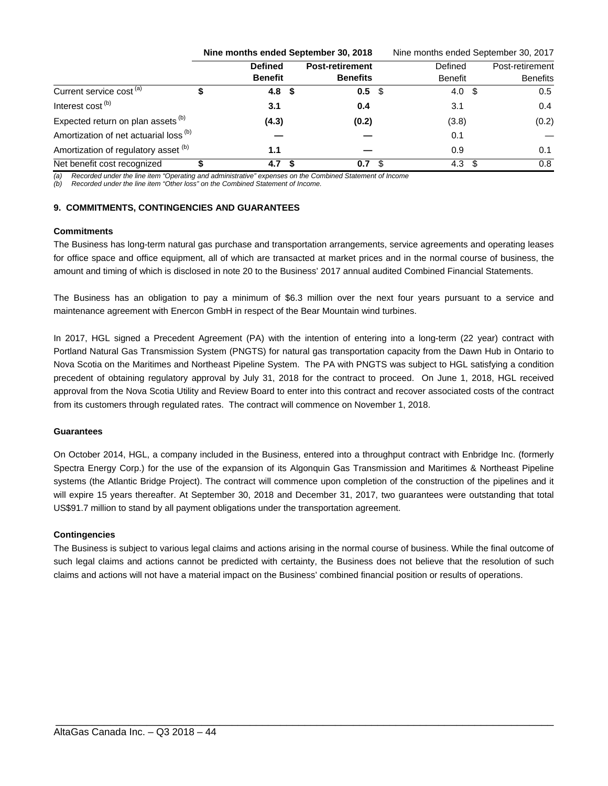|                                                   | Nine months ended September 30, 2018 |      |                        |  | Nine months ended September 30, 2017 |  |                 |  |  |  |
|---------------------------------------------------|--------------------------------------|------|------------------------|--|--------------------------------------|--|-----------------|--|--|--|
|                                                   | <b>Defined</b>                       |      | <b>Post-retirement</b> |  | Defined                              |  | Post-retirement |  |  |  |
|                                                   | <b>Benefit</b>                       |      | <b>Benefits</b>        |  | <b>Benefit</b>                       |  | <b>Benefits</b> |  |  |  |
| Current service cost <sup>(a)</sup>               | 4.8                                  | - \$ | 0.5 <sup>5</sup>       |  | 4.0 $$$                              |  | 0.5             |  |  |  |
| Interest cost <sup>(b)</sup>                      | 3.1                                  |      | 0.4                    |  | 3.1                                  |  | 0.4             |  |  |  |
| Expected return on plan assets <sup>(b)</sup>     | (4.3)                                |      | (0.2)                  |  | (3.8)                                |  | (0.2)           |  |  |  |
| Amortization of net actuarial loss <sup>(b)</sup> |                                      |      |                        |  | 0.1                                  |  |                 |  |  |  |
| Amortization of regulatory asset (b)              | 1.1                                  |      |                        |  | 0.9                                  |  | 0.1             |  |  |  |
| Net benefit cost recognized                       | 4.7                                  |      | 0.7                    |  | 4.3                                  |  | 0.8             |  |  |  |

*(a) Recorded under the line item "Operating and administrative" expenses on the Combined Statement of Income* 

*(b) Recorded under the line item "Other loss" on the Combined Statement of Income.* 

#### **9. COMMITMENTS, CONTINGENCIES AND GUARANTEES**

#### **Commitments**

The Business has long-term natural gas purchase and transportation arrangements, service agreements and operating leases for office space and office equipment, all of which are transacted at market prices and in the normal course of business, the amount and timing of which is disclosed in note 20 to the Business' 2017 annual audited Combined Financial Statements.

The Business has an obligation to pay a minimum of \$6.3 million over the next four years pursuant to a service and maintenance agreement with Enercon GmbH in respect of the Bear Mountain wind turbines.

In 2017, HGL signed a Precedent Agreement (PA) with the intention of entering into a long-term (22 year) contract with Portland Natural Gas Transmission System (PNGTS) for natural gas transportation capacity from the Dawn Hub in Ontario to Nova Scotia on the Maritimes and Northeast Pipeline System. The PA with PNGTS was subject to HGL satisfying a condition precedent of obtaining regulatory approval by July 31, 2018 for the contract to proceed. On June 1, 2018, HGL received approval from the Nova Scotia Utility and Review Board to enter into this contract and recover associated costs of the contract from its customers through regulated rates. The contract will commence on November 1, 2018.

#### **Guarantees**

On October 2014, HGL, a company included in the Business, entered into a throughput contract with Enbridge Inc. (formerly Spectra Energy Corp.) for the use of the expansion of its Algonquin Gas Transmission and Maritimes & Northeast Pipeline systems (the Atlantic Bridge Project). The contract will commence upon completion of the construction of the pipelines and it will expire 15 years thereafter. At September 30, 2018 and December 31, 2017, two guarantees were outstanding that total US\$91.7 million to stand by all payment obligations under the transportation agreement.

## **Contingencies**

The Business is subject to various legal claims and actions arising in the normal course of business. While the final outcome of such legal claims and actions cannot be predicted with certainty, the Business does not believe that the resolution of such claims and actions will not have a material impact on the Business' combined financial position or results of operations.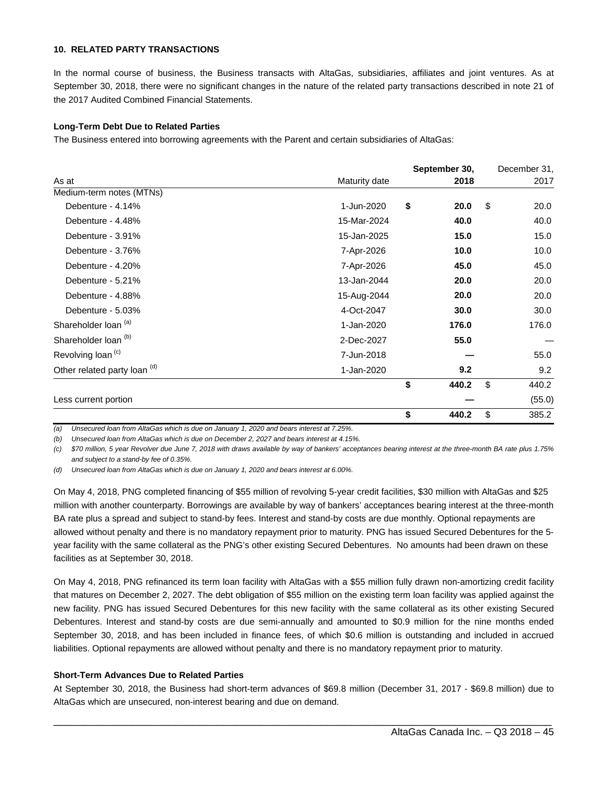#### **10. RELATED PARTY TRANSACTIONS**

In the normal course of business, the Business transacts with AltaGas, subsidiaries, affiliates and joint ventures. As at September 30, 2018, there were no significant changes in the nature of the related party transactions described in note 21 of the 2017 Audited Combined Financial Statements.

#### **Long-Term Debt Due to Related Parties**

The Business entered into borrowing agreements with the Parent and certain subsidiaries of AltaGas:

|                                 |               | September 30, | December 31, |
|---------------------------------|---------------|---------------|--------------|
| As at                           | Maturity date | 2018          | 2017         |
| Medium-term notes (MTNs)        |               |               |              |
| Debenture - 4.14%               | 1-Jun-2020    | \$<br>20.0    | \$<br>20.0   |
| Debenture - 4.48%               | 15-Mar-2024   | 40.0          | 40.0         |
| Debenture - 3.91%               | 15-Jan-2025   | 15.0          | 15.0         |
| Debenture - 3.76%               | 7-Apr-2026    | 10.0          | 10.0         |
| Debenture - 4.20%               | 7-Apr-2026    | 45.0          | 45.0         |
| Debenture - 5.21%               | 13-Jan-2044   | 20.0          | 20.0         |
| Debenture - 4.88%               | 15-Aug-2044   | 20.0          | 20.0         |
| Debenture - 5.03%               | 4-Oct-2047    | 30.0          | 30.0         |
| Shareholder loan (a)            | 1-Jan-2020    | 176.0         | 176.0        |
| Shareholder loan <sup>(b)</sup> | 2-Dec-2027    | 55.0          |              |
| Revolving loan <sup>(c)</sup>   | 7-Jun-2018    |               | 55.0         |
| Other related party loan (d)    | 1-Jan-2020    | 9.2           | 9.2          |
|                                 |               | \$<br>440.2   | \$<br>440.2  |
| Less current portion            |               |               | (55.0)       |
|                                 |               | \$<br>440.2   | \$<br>385.2  |

*(a) Unsecured loan from AltaGas which is due on January 1, 2020 and bears interest at 7.25%. (b) Unsecured loan from AltaGas which is due on December 2, 2027 and bears interest at 4.15%.* 

*(c) \$70 million, 5 year Revolver due June 7, 2018 with draws available by way of bankers' acceptances bearing interest at the three-month BA rate plus 1.75% and subject to a stand-by fee of 0.35%.* 

*(d) Unsecured loan from AltaGas which is due on January 1, 2020 and bears interest at 6.00%.* 

On May 4, 2018, PNG completed financing of \$55 million of revolving 5-year credit facilities, \$30 million with AltaGas and \$25 million with another counterparty. Borrowings are available by way of bankers' acceptances bearing interest at the three-month BA rate plus a spread and subject to stand-by fees. Interest and stand-by costs are due monthly. Optional repayments are allowed without penalty and there is no mandatory repayment prior to maturity. PNG has issued Secured Debentures for the 5 year facility with the same collateral as the PNG's other existing Secured Debentures. No amounts had been drawn on these facilities as at September 30, 2018.

On May 4, 2018, PNG refinanced its term loan facility with AltaGas with a \$55 million fully drawn non-amortizing credit facility that matures on December 2, 2027. The debt obligation of \$55 million on the existing term loan facility was applied against the new facility. PNG has issued Secured Debentures for this new facility with the same collateral as its other existing Secured Debentures. Interest and stand-by costs are due semi-annually and amounted to \$0.9 million for the nine months ended September 30, 2018, and has been included in finance fees, of which \$0.6 million is outstanding and included in accrued liabilities. Optional repayments are allowed without penalty and there is no mandatory repayment prior to maturity.

#### **Short-Term Advances Due to Related Parties**

At September 30, 2018, the Business had short-term advances of \$69.8 million (December 31, 2017 - \$69.8 million) due to AltaGas which are unsecured, non-interest bearing and due on demand.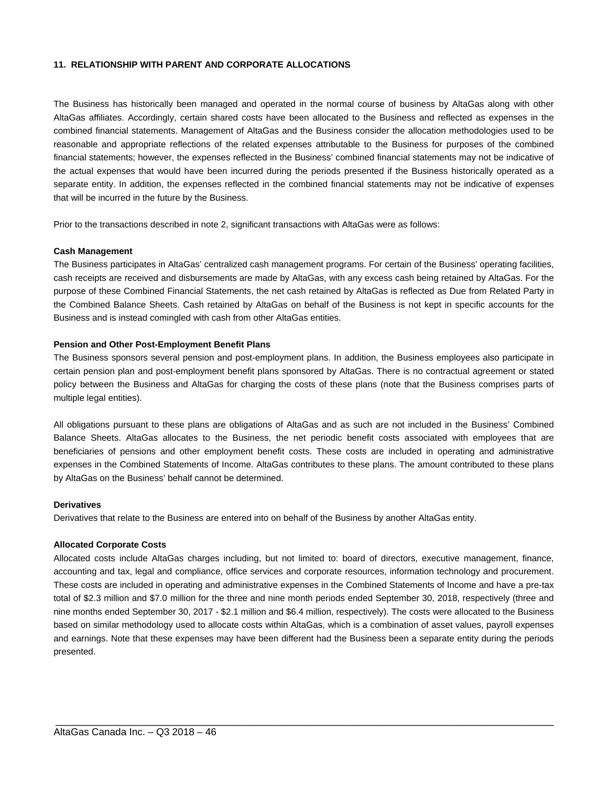#### **11. RELATIONSHIP WITH PARENT AND CORPORATE ALLOCATIONS**

The Business has historically been managed and operated in the normal course of business by AltaGas along with other AltaGas affiliates. Accordingly, certain shared costs have been allocated to the Business and reflected as expenses in the combined financial statements. Management of AltaGas and the Business consider the allocation methodologies used to be reasonable and appropriate reflections of the related expenses attributable to the Business for purposes of the combined financial statements; however, the expenses reflected in the Business' combined financial statements may not be indicative of the actual expenses that would have been incurred during the periods presented if the Business historically operated as a separate entity. In addition, the expenses reflected in the combined financial statements may not be indicative of expenses that will be incurred in the future by the Business.

Prior to the transactions described in note 2, significant transactions with AltaGas were as follows:

#### **Cash Management**

The Business participates in AltaGas' centralized cash management programs. For certain of the Business' operating facilities, cash receipts are received and disbursements are made by AltaGas, with any excess cash being retained by AltaGas. For the purpose of these Combined Financial Statements, the net cash retained by AltaGas is reflected as Due from Related Party in the Combined Balance Sheets. Cash retained by AltaGas on behalf of the Business is not kept in specific accounts for the Business and is instead comingled with cash from other AltaGas entities.

#### **Pension and Other Post-Employment Benefit Plans**

The Business sponsors several pension and post-employment plans. In addition, the Business employees also participate in certain pension plan and post-employment benefit plans sponsored by AltaGas. There is no contractual agreement or stated policy between the Business and AltaGas for charging the costs of these plans (note that the Business comprises parts of multiple legal entities).

All obligations pursuant to these plans are obligations of AltaGas and as such are not included in the Business' Combined Balance Sheets. AltaGas allocates to the Business, the net periodic benefit costs associated with employees that are beneficiaries of pensions and other employment benefit costs. These costs are included in operating and administrative expenses in the Combined Statements of Income. AltaGas contributes to these plans. The amount contributed to these plans by AltaGas on the Business' behalf cannot be determined.

#### **Derivatives**

Derivatives that relate to the Business are entered into on behalf of the Business by another AltaGas entity.

#### **Allocated Corporate Costs**

Allocated costs include AltaGas charges including, but not limited to: board of directors, executive management, finance, accounting and tax, legal and compliance, office services and corporate resources, information technology and procurement. These costs are included in operating and administrative expenses in the Combined Statements of Income and have a pre-tax total of \$2.3 million and \$7.0 million for the three and nine month periods ended September 30, 2018, respectively (three and nine months ended September 30, 2017 - \$2.1 million and \$6.4 million, respectively). The costs were allocated to the Business based on similar methodology used to allocate costs within AltaGas, which is a combination of asset values, payroll expenses and earnings. Note that these expenses may have been different had the Business been a separate entity during the periods presented.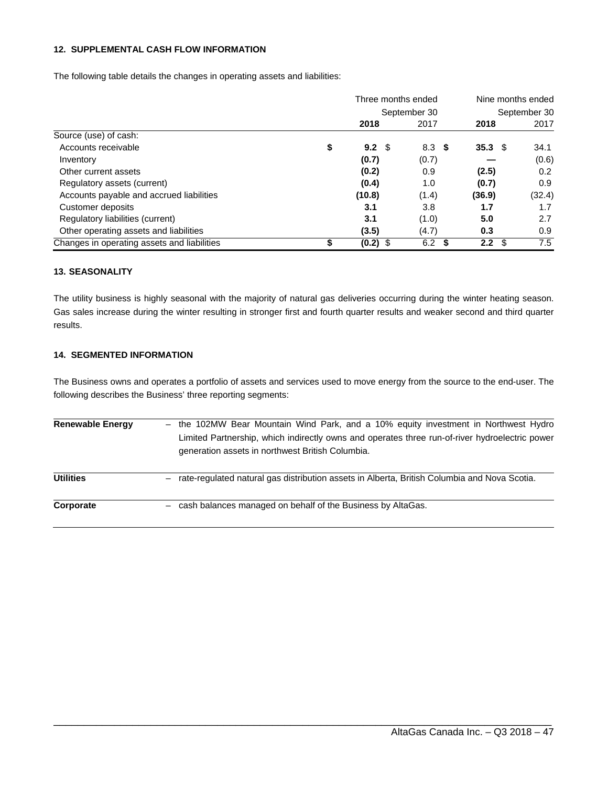#### **12. SUPPLEMENTAL CASH FLOW INFORMATION**

The following table details the changes in operating assets and liabilities:

|                                             |    | Three months ended |                  |                   | Nine months ended |  |  |
|---------------------------------------------|----|--------------------|------------------|-------------------|-------------------|--|--|
|                                             |    |                    | September 30     | September 30      |                   |  |  |
|                                             |    | 2018               | 2017             | 2018              | 2017              |  |  |
| Source (use) of cash:                       |    |                    |                  |                   |                   |  |  |
| Accounts receivable                         | \$ | $9.2 \text{ } $$   | 8.3 <sup>5</sup> | 35.3 <sup>°</sup> | 34.1              |  |  |
| Inventory                                   |    | (0.7)              | (0.7)            |                   | (0.6)             |  |  |
| Other current assets                        |    | (0.2)              | 0.9              | (2.5)             | 0.2               |  |  |
| Regulatory assets (current)                 |    | (0.4)              | 1.0              | (0.7)             | 0.9               |  |  |
| Accounts payable and accrued liabilities    |    | (10.8)             | (1.4)            | (36.9)            | (32.4)            |  |  |
| Customer deposits                           |    | 3.1                | 3.8              | 1.7               | 1.7               |  |  |
| Regulatory liabilities (current)            |    | 3.1                | (1.0)            | 5.0               | 2.7               |  |  |
| Other operating assets and liabilities      |    | (3.5)              | (4.7)            | 0.3               | 0.9               |  |  |
| Changes in operating assets and liabilities | ъ  | $(0.2)$ \$         | 6.2<br>- \$      | 2.2<br>- \$       | 7.5               |  |  |

#### **13. SEASONALITY**

The utility business is highly seasonal with the majority of natural gas deliveries occurring during the winter heating season. Gas sales increase during the winter resulting in stronger first and fourth quarter results and weaker second and third quarter results.

## **14. SEGMENTED INFORMATION**

The Business owns and operates a portfolio of assets and services used to move energy from the source to the end-user. The following describes the Business' three reporting segments:

| <b>Renewable Energy</b> | - the 102MW Bear Mountain Wind Park, and a 10% equity investment in Northwest Hydro<br>Limited Partnership, which indirectly owns and operates three run-of-river hydroelectric power<br>generation assets in northwest British Columbia. |
|-------------------------|-------------------------------------------------------------------------------------------------------------------------------------------------------------------------------------------------------------------------------------------|
| <b>Utilities</b>        | rate-regulated natural gas distribution assets in Alberta, British Columbia and Nova Scotia.                                                                                                                                              |
| Corporate               | cash balances managed on behalf of the Business by AltaGas.                                                                                                                                                                               |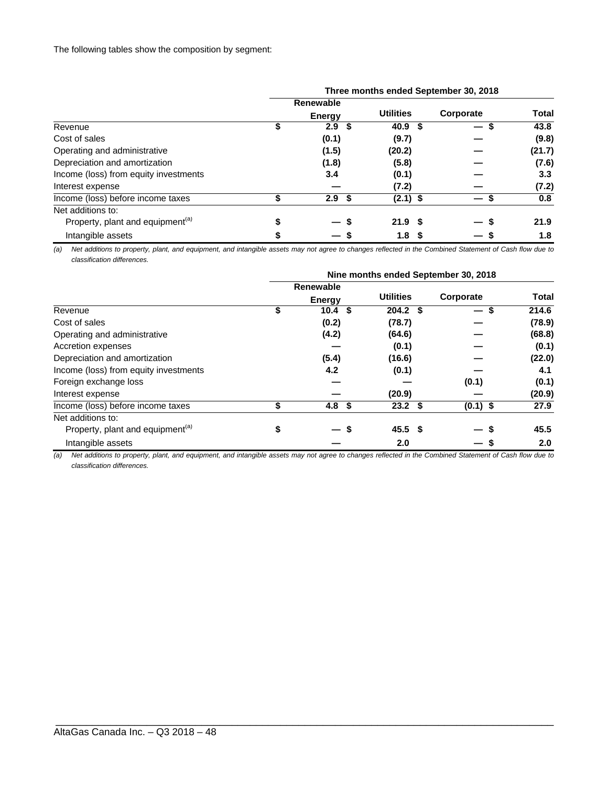|                                              | Three months ended September 30, 2018 |                  |                   |  |           |              |  |  |  |  |
|----------------------------------------------|---------------------------------------|------------------|-------------------|--|-----------|--------------|--|--|--|--|
|                                              |                                       | Renewable        |                   |  |           |              |  |  |  |  |
|                                              |                                       | <b>Energy</b>    | <b>Utilities</b>  |  | Corporate | <b>Total</b> |  |  |  |  |
| Revenue                                      |                                       | 2.9<br>- \$      | 40.9 <sup>5</sup> |  | —         | 43.8         |  |  |  |  |
| Cost of sales                                |                                       | (0.1)            | (9.7)             |  |           | (9.8)        |  |  |  |  |
| Operating and administrative                 |                                       | (1.5)            | (20.2)            |  |           | (21.7)       |  |  |  |  |
| Depreciation and amortization                |                                       | (1.8)            | (5.8)             |  |           | (7.6)        |  |  |  |  |
| Income (loss) from equity investments        |                                       | 3.4              | (0.1)             |  |           | 3.3          |  |  |  |  |
| Interest expense                             |                                       |                  | (7.2)             |  |           | (7.2)        |  |  |  |  |
| Income (loss) before income taxes            |                                       | 2.9 <sup>5</sup> | $(2.1)$ \$        |  | —         | 0.8          |  |  |  |  |
| Net additions to:                            |                                       |                  |                   |  |           |              |  |  |  |  |
| Property, plant and equipment <sup>(a)</sup> |                                       | — s              | 21.9 <sup>5</sup> |  | -         | 21.9         |  |  |  |  |
| Intangible assets                            |                                       |                  | 1.8               |  |           | 1.8          |  |  |  |  |

*(a) Net additions to property, plant, and equipment, and intangible assets may not agree to changes reflected in the Combined Statement of Cash flow due to classification differences.*

|                                              | Nine months ended September 30, 2018 |                   |      |                   |  |            |              |  |  |  |
|----------------------------------------------|--------------------------------------|-------------------|------|-------------------|--|------------|--------------|--|--|--|
|                                              |                                      | Renewable         |      |                   |  |            |              |  |  |  |
|                                              |                                      | <b>Energy</b>     |      | <b>Utilities</b>  |  | Corporate  | <b>Total</b> |  |  |  |
| Revenue                                      | \$                                   | $10.4 \text{ } $$ |      | $204.2$ \$        |  | — \$       | 214.6        |  |  |  |
| Cost of sales                                |                                      | (0.2)             |      | (78.7)            |  |            | (78.9)       |  |  |  |
| Operating and administrative                 |                                      | (4.2)             |      | (64.6)            |  |            | (68.8)       |  |  |  |
| Accretion expenses                           |                                      |                   |      | (0.1)             |  |            | (0.1)        |  |  |  |
| Depreciation and amortization                |                                      | (5.4)             |      | (16.6)            |  |            | (22.0)       |  |  |  |
| Income (loss) from equity investments        |                                      | 4.2               |      | (0.1)             |  |            | 4.1          |  |  |  |
| Foreign exchange loss                        |                                      |                   |      |                   |  | (0.1)      | (0.1)        |  |  |  |
| Interest expense                             |                                      |                   |      | (20.9)            |  |            | (20.9)       |  |  |  |
| Income (loss) before income taxes            |                                      | 4.8 <sup>5</sup>  |      | $23.2$ \$         |  | $(0.1)$ \$ | 27.9         |  |  |  |
| Net additions to:                            |                                      |                   |      |                   |  |            |              |  |  |  |
| Property, plant and equipment <sup>(a)</sup> | \$                                   |                   | - \$ | 45.5 <sup>5</sup> |  |            | 45.5         |  |  |  |
| Intangible assets                            |                                      |                   |      | 2.0               |  |            | 2.0          |  |  |  |

*(a) Net additions to property, plant, and equipment, and intangible assets may not agree to changes reflected in the Combined Statement of Cash flow due to classification differences.*